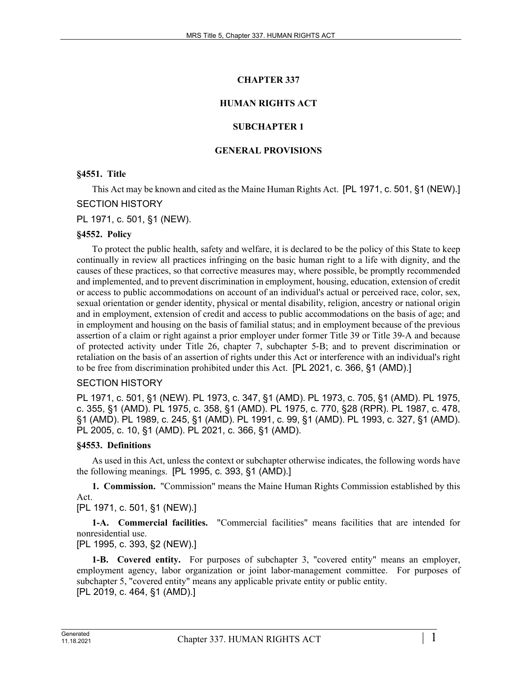# **CHAPTER 337**

# **HUMAN RIGHTS ACT**

# **SUBCHAPTER 1**

# **GENERAL PROVISIONS**

# **§4551. Title**

This Act may be known and cited as the Maine Human Rights Act. [PL 1971, c. 501, §1 (NEW).] SECTION HISTORY

PL 1971, c. 501, §1 (NEW).

# **§4552. Policy**

To protect the public health, safety and welfare, it is declared to be the policy of this State to keep continually in review all practices infringing on the basic human right to a life with dignity, and the causes of these practices, so that corrective measures may, where possible, be promptly recommended and implemented, and to prevent discrimination in employment, housing, education, extension of credit or access to public accommodations on account of an individual's actual or perceived race, color, sex, sexual orientation or gender identity, physical or mental disability, religion, ancestry or national origin and in employment, extension of credit and access to public accommodations on the basis of age; and in employment and housing on the basis of familial status; and in employment because of the previous assertion of a claim or right against a prior employer under former Title 39 or Title 39‑A and because of protected activity under Title 26, chapter 7, subchapter 5‑B; and to prevent discrimination or retaliation on the basis of an assertion of rights under this Act or interference with an individual's right to be free from discrimination prohibited under this Act. [PL 2021, c. 366, §1 (AMD).]

# SECTION HISTORY

PL 1971, c. 501, §1 (NEW). PL 1973, c. 347, §1 (AMD). PL 1973, c. 705, §1 (AMD). PL 1975, c. 355, §1 (AMD). PL 1975, c. 358, §1 (AMD). PL 1975, c. 770, §28 (RPR). PL 1987, c. 478, §1 (AMD). PL 1989, c. 245, §1 (AMD). PL 1991, c. 99, §1 (AMD). PL 1993, c. 327, §1 (AMD). PL 2005, c. 10, §1 (AMD). PL 2021, c. 366, §1 (AMD).

# **§4553. Definitions**

As used in this Act, unless the context or subchapter otherwise indicates, the following words have the following meanings. [PL 1995, c. 393, §1 (AMD).]

**1. Commission.** "Commission" means the Maine Human Rights Commission established by this Act.

[PL 1971, c. 501, §1 (NEW).]

**1-A. Commercial facilities.** "Commercial facilities" means facilities that are intended for nonresidential use.

[PL 1995, c. 393, §2 (NEW).]

**1-B. Covered entity.** For purposes of subchapter 3, "covered entity" means an employer, employment agency, labor organization or joint labor-management committee. For purposes of subchapter 5, "covered entity" means any applicable private entity or public entity. [PL 2019, c. 464, §1 (AMD).]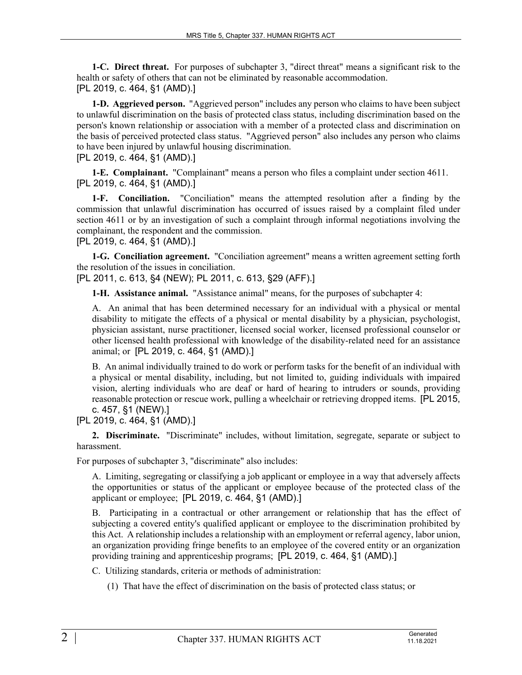**1-C. Direct threat.** For purposes of subchapter 3, "direct threat" means a significant risk to the health or safety of others that can not be eliminated by reasonable accommodation. [PL 2019, c. 464, §1 (AMD).]

**1-D. Aggrieved person.** "Aggrieved person" includes any person who claims to have been subject to unlawful discrimination on the basis of protected class status, including discrimination based on the person's known relationship or association with a member of a protected class and discrimination on the basis of perceived protected class status. "Aggrieved person" also includes any person who claims to have been injured by unlawful housing discrimination.

[PL 2019, c. 464, §1 (AMD).]

**1-E. Complainant.** "Complainant" means a person who files a complaint under section 4611. [PL 2019, c. 464, §1 (AMD).]

**1-F. Conciliation.** "Conciliation" means the attempted resolution after a finding by the commission that unlawful discrimination has occurred of issues raised by a complaint filed under section 4611 or by an investigation of such a complaint through informal negotiations involving the complainant, the respondent and the commission.

[PL 2019, c. 464, §1 (AMD).]

**1-G. Conciliation agreement.** "Conciliation agreement" means a written agreement setting forth the resolution of the issues in conciliation.

[PL 2011, c. 613, §4 (NEW); PL 2011, c. 613, §29 (AFF).]

**1-H. Assistance animal.** "Assistance animal" means, for the purposes of subchapter 4:

A. An animal that has been determined necessary for an individual with a physical or mental disability to mitigate the effects of a physical or mental disability by a physician, psychologist, physician assistant, nurse practitioner, licensed social worker, licensed professional counselor or other licensed health professional with knowledge of the disability-related need for an assistance animal; or [PL 2019, c. 464, §1 (AMD).]

B. An animal individually trained to do work or perform tasks for the benefit of an individual with a physical or mental disability, including, but not limited to, guiding individuals with impaired vision, alerting individuals who are deaf or hard of hearing to intruders or sounds, providing reasonable protection or rescue work, pulling a wheelchair or retrieving dropped items. [PL 2015, c. 457, §1 (NEW).]

[PL 2019, c. 464, §1 (AMD).]

**2. Discriminate.** "Discriminate" includes, without limitation, segregate, separate or subject to harassment.

For purposes of subchapter 3, "discriminate" also includes:

A. Limiting, segregating or classifying a job applicant or employee in a way that adversely affects the opportunities or status of the applicant or employee because of the protected class of the applicant or employee; [PL 2019, c. 464, §1 (AMD).]

B. Participating in a contractual or other arrangement or relationship that has the effect of subjecting a covered entity's qualified applicant or employee to the discrimination prohibited by this Act. A relationship includes a relationship with an employment or referral agency, labor union, an organization providing fringe benefits to an employee of the covered entity or an organization providing training and apprenticeship programs; [PL 2019, c. 464, §1 (AMD).]

C. Utilizing standards, criteria or methods of administration:

(1) That have the effect of discrimination on the basis of protected class status; or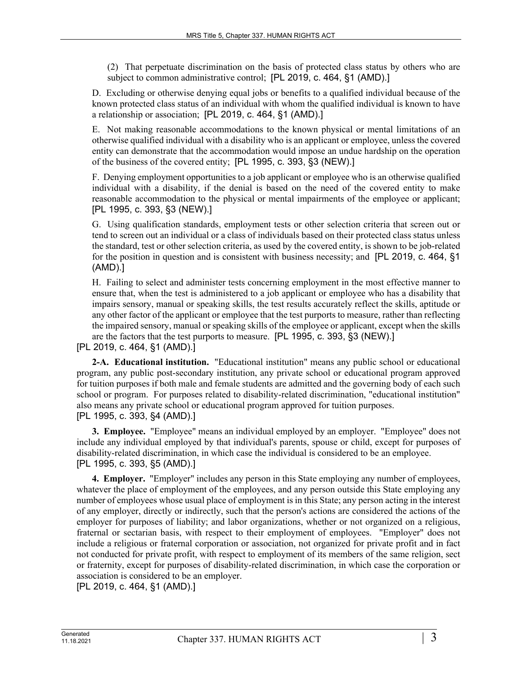(2) That perpetuate discrimination on the basis of protected class status by others who are subject to common administrative control; [PL 2019, c. 464, §1 (AMD).]

D. Excluding or otherwise denying equal jobs or benefits to a qualified individual because of the known protected class status of an individual with whom the qualified individual is known to have a relationship or association; [PL 2019, c. 464, §1 (AMD).]

E. Not making reasonable accommodations to the known physical or mental limitations of an otherwise qualified individual with a disability who is an applicant or employee, unless the covered entity can demonstrate that the accommodation would impose an undue hardship on the operation of the business of the covered entity; [PL 1995, c. 393, §3 (NEW).]

F. Denying employment opportunities to a job applicant or employee who is an otherwise qualified individual with a disability, if the denial is based on the need of the covered entity to make reasonable accommodation to the physical or mental impairments of the employee or applicant; [PL 1995, c. 393, §3 (NEW).]

G. Using qualification standards, employment tests or other selection criteria that screen out or tend to screen out an individual or a class of individuals based on their protected class status unless the standard, test or other selection criteria, as used by the covered entity, is shown to be job-related for the position in question and is consistent with business necessity; and [PL 2019, c. 464, §1 (AMD).]

H. Failing to select and administer tests concerning employment in the most effective manner to ensure that, when the test is administered to a job applicant or employee who has a disability that impairs sensory, manual or speaking skills, the test results accurately reflect the skills, aptitude or any other factor of the applicant or employee that the test purports to measure, rather than reflecting the impaired sensory, manual or speaking skills of the employee or applicant, except when the skills are the factors that the test purports to measure. [PL 1995, c. 393, §3 (NEW).]

[PL 2019, c. 464, §1 (AMD).]

**2-A. Educational institution.** "Educational institution" means any public school or educational program, any public post-secondary institution, any private school or educational program approved for tuition purposes if both male and female students are admitted and the governing body of each such school or program. For purposes related to disability-related discrimination, "educational institution" also means any private school or educational program approved for tuition purposes. [PL 1995, c. 393, §4 (AMD).]

**3. Employee.** "Employee" means an individual employed by an employer. "Employee" does not include any individual employed by that individual's parents, spouse or child, except for purposes of disability-related discrimination, in which case the individual is considered to be an employee. [PL 1995, c. 393, §5 (AMD).]

**4. Employer.** "Employer" includes any person in this State employing any number of employees, whatever the place of employment of the employees, and any person outside this State employing any number of employees whose usual place of employment is in this State; any person acting in the interest of any employer, directly or indirectly, such that the person's actions are considered the actions of the employer for purposes of liability; and labor organizations, whether or not organized on a religious, fraternal or sectarian basis, with respect to their employment of employees. "Employer" does not include a religious or fraternal corporation or association, not organized for private profit and in fact not conducted for private profit, with respect to employment of its members of the same religion, sect or fraternity, except for purposes of disability-related discrimination, in which case the corporation or association is considered to be an employer.

[PL 2019, c. 464, §1 (AMD).]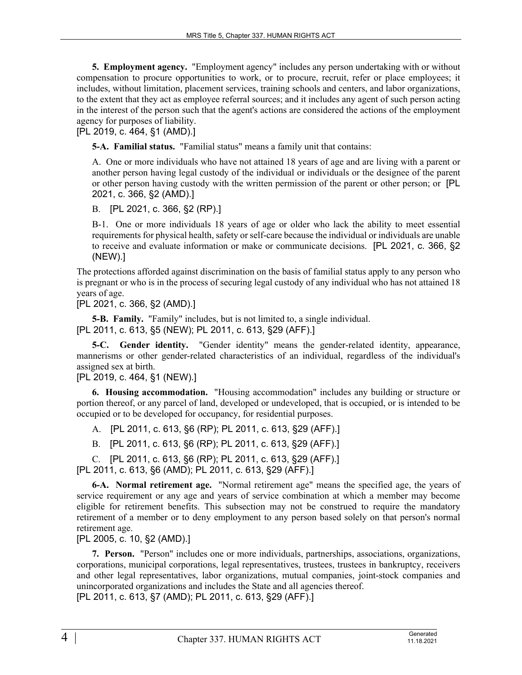**5. Employment agency.** "Employment agency" includes any person undertaking with or without compensation to procure opportunities to work, or to procure, recruit, refer or place employees; it includes, without limitation, placement services, training schools and centers, and labor organizations, to the extent that they act as employee referral sources; and it includes any agent of such person acting in the interest of the person such that the agent's actions are considered the actions of the employment agency for purposes of liability.

[PL 2019, c. 464, §1 (AMD).]

**5-A. Familial status.** "Familial status" means a family unit that contains:

A. One or more individuals who have not attained 18 years of age and are living with a parent or another person having legal custody of the individual or individuals or the designee of the parent or other person having custody with the written permission of the parent or other person; or [PL 2021, c. 366, §2 (AMD).]

B. [PL 2021, c. 366, §2 (RP).]

B-1. One or more individuals 18 years of age or older who lack the ability to meet essential requirements for physical health, safety or self-care because the individual or individuals are unable to receive and evaluate information or make or communicate decisions. [PL 2021, c. 366, §2 (NEW).]

The protections afforded against discrimination on the basis of familial status apply to any person who is pregnant or who is in the process of securing legal custody of any individual who has not attained 18 years of age.

[PL 2021, c. 366, §2 (AMD).]

**5-B. Family.** "Family" includes, but is not limited to, a single individual.

[PL 2011, c. 613, §5 (NEW); PL 2011, c. 613, §29 (AFF).]

**5-C. Gender identity.** "Gender identity" means the gender-related identity, appearance, mannerisms or other gender-related characteristics of an individual, regardless of the individual's assigned sex at birth.

[PL 2019, c. 464, §1 (NEW).]

**6. Housing accommodation.** "Housing accommodation" includes any building or structure or portion thereof, or any parcel of land, developed or undeveloped, that is occupied, or is intended to be occupied or to be developed for occupancy, for residential purposes.

A. [PL 2011, c. 613, §6 (RP); PL 2011, c. 613, §29 (AFF).]

B. [PL 2011, c. 613, §6 (RP); PL 2011, c. 613, §29 (AFF).]

C. [PL 2011, c. 613, §6 (RP); PL 2011, c. 613, §29 (AFF).]

[PL 2011, c. 613, §6 (AMD); PL 2011, c. 613, §29 (AFF).]

**6-A. Normal retirement age.** "Normal retirement age" means the specified age, the years of service requirement or any age and years of service combination at which a member may become eligible for retirement benefits. This subsection may not be construed to require the mandatory retirement of a member or to deny employment to any person based solely on that person's normal retirement age.

[PL 2005, c. 10, §2 (AMD).]

**7. Person.** "Person" includes one or more individuals, partnerships, associations, organizations, corporations, municipal corporations, legal representatives, trustees, trustees in bankruptcy, receivers and other legal representatives, labor organizations, mutual companies, joint-stock companies and unincorporated organizations and includes the State and all agencies thereof.

[PL 2011, c. 613, §7 (AMD); PL 2011, c. 613, §29 (AFF).]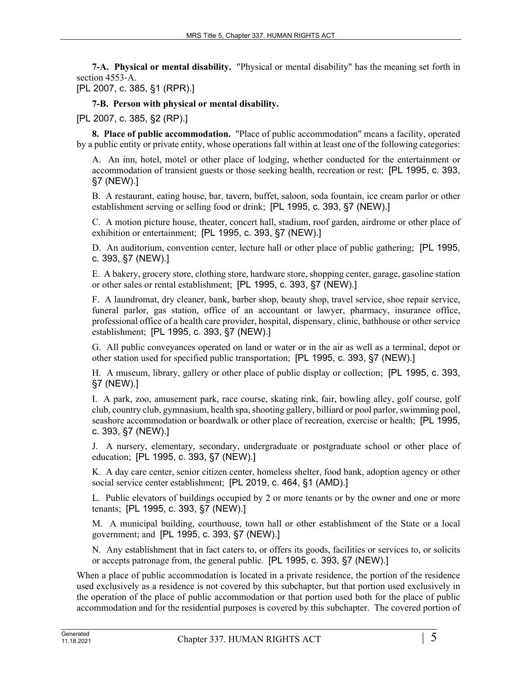**7-A. Physical or mental disability.** "Physical or mental disability" has the meaning set forth in section 4553‑A.

[PL 2007, c. 385, §1 (RPR).]

# **7-B. Person with physical or mental disability.**

[PL 2007, c. 385, §2 (RP).]

**8. Place of public accommodation.** "Place of public accommodation" means a facility, operated by a public entity or private entity, whose operations fall within at least one of the following categories:

A. An inn, hotel, motel or other place of lodging, whether conducted for the entertainment or accommodation of transient guests or those seeking health, recreation or rest; [PL 1995, c. 393, §7 (NEW).]

B. A restaurant, eating house, bar, tavern, buffet, saloon, soda fountain, ice cream parlor or other establishment serving or selling food or drink; [PL 1995, c. 393, §7 (NEW).]

C. A motion picture house, theater, concert hall, stadium, roof garden, airdrome or other place of exhibition or entertainment; [PL 1995, c. 393, §7 (NEW).]

D. An auditorium, convention center, lecture hall or other place of public gathering; [PL 1995, c. 393, §7 (NEW).]

E. A bakery, grocery store, clothing store, hardware store, shopping center, garage, gasoline station or other sales or rental establishment; [PL 1995, c. 393, §7 (NEW).]

F. A laundromat, dry cleaner, bank, barber shop, beauty shop, travel service, shoe repair service, funeral parlor, gas station, office of an accountant or lawyer, pharmacy, insurance office, professional office of a health care provider, hospital, dispensary, clinic, bathhouse or other service establishment; [PL 1995, c. 393, §7 (NEW).]

G. All public conveyances operated on land or water or in the air as well as a terminal, depot or other station used for specified public transportation; [PL 1995, c. 393, §7 (NEW).]

H. A museum, library, gallery or other place of public display or collection; [PL 1995, c. 393, §7 (NEW).]

I. A park, zoo, amusement park, race course, skating rink, fair, bowling alley, golf course, golf club, country club, gymnasium, health spa, shooting gallery, billiard or pool parlor, swimming pool, seashore accommodation or boardwalk or other place of recreation, exercise or health; [PL 1995, c. 393, §7 (NEW).]

J. A nursery, elementary, secondary, undergraduate or postgraduate school or other place of education; [PL 1995, c. 393, §7 (NEW).]

K. A day care center, senior citizen center, homeless shelter, food bank, adoption agency or other social service center establishment; [PL 2019, c. 464, §1 (AMD).]

L. Public elevators of buildings occupied by 2 or more tenants or by the owner and one or more tenants; [PL 1995, c. 393, §7 (NEW).]

M. A municipal building, courthouse, town hall or other establishment of the State or a local government; and [PL 1995, c. 393, §7 (NEW).]

N. Any establishment that in fact caters to, or offers its goods, facilities or services to, or solicits or accepts patronage from, the general public. [PL 1995, c. 393, §7 (NEW).]

When a place of public accommodation is located in a private residence, the portion of the residence used exclusively as a residence is not covered by this subchapter, but that portion used exclusively in the operation of the place of public accommodation or that portion used both for the place of public accommodation and for the residential purposes is covered by this subchapter. The covered portion of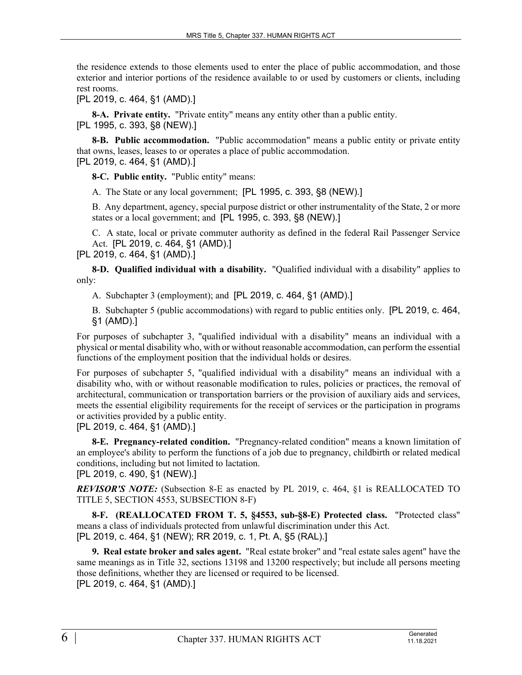the residence extends to those elements used to enter the place of public accommodation, and those exterior and interior portions of the residence available to or used by customers or clients, including rest rooms.

[PL 2019, c. 464, §1 (AMD).]

**8-A. Private entity.** "Private entity" means any entity other than a public entity. [PL 1995, c. 393, §8 (NEW).]

**8-B. Public accommodation.** "Public accommodation" means a public entity or private entity that owns, leases, leases to or operates a place of public accommodation. [PL 2019, c. 464, §1 (AMD).]

**8-C. Public entity.** "Public entity" means:

A. The State or any local government; [PL 1995, c. 393, §8 (NEW).]

B. Any department, agency, special purpose district or other instrumentality of the State, 2 or more states or a local government; and [PL 1995, c. 393, §8 (NEW).]

C. A state, local or private commuter authority as defined in the federal Rail Passenger Service Act. [PL 2019, c. 464, §1 (AMD).]

[PL 2019, c. 464, §1 (AMD).]

**8-D. Qualified individual with a disability.** "Qualified individual with a disability" applies to only:

A. Subchapter 3 (employment); and [PL 2019, c. 464, §1 (AMD).]

B. Subchapter 5 (public accommodations) with regard to public entities only. [PL 2019, c. 464, §1 (AMD).]

For purposes of subchapter 3, "qualified individual with a disability" means an individual with a physical or mental disability who, with or without reasonable accommodation, can perform the essential functions of the employment position that the individual holds or desires.

For purposes of subchapter 5, "qualified individual with a disability" means an individual with a disability who, with or without reasonable modification to rules, policies or practices, the removal of architectural, communication or transportation barriers or the provision of auxiliary aids and services, meets the essential eligibility requirements for the receipt of services or the participation in programs or activities provided by a public entity.

[PL 2019, c. 464, §1 (AMD).]

**8-E. Pregnancy-related condition.** "Pregnancy-related condition" means a known limitation of an employee's ability to perform the functions of a job due to pregnancy, childbirth or related medical conditions, including but not limited to lactation.

[PL 2019, c. 490, §1 (NEW).]

*REVISOR'S NOTE:* (Subsection 8-E as enacted by PL 2019, c. 464, §1 is REALLOCATED TO TITLE 5, SECTION 4553, SUBSECTION 8-F)

**8-F. (REALLOCATED FROM T. 5, §4553, sub-§8-E) Protected class.** "Protected class" means a class of individuals protected from unlawful discrimination under this Act. [PL 2019, c. 464, §1 (NEW); RR 2019, c. 1, Pt. A, §5 (RAL).]

**9. Real estate broker and sales agent.** "Real estate broker" and "real estate sales agent" have the same meanings as in Title 32, sections 13198 and 13200 respectively; but include all persons meeting those definitions, whether they are licensed or required to be licensed. [PL 2019, c. 464, §1 (AMD).]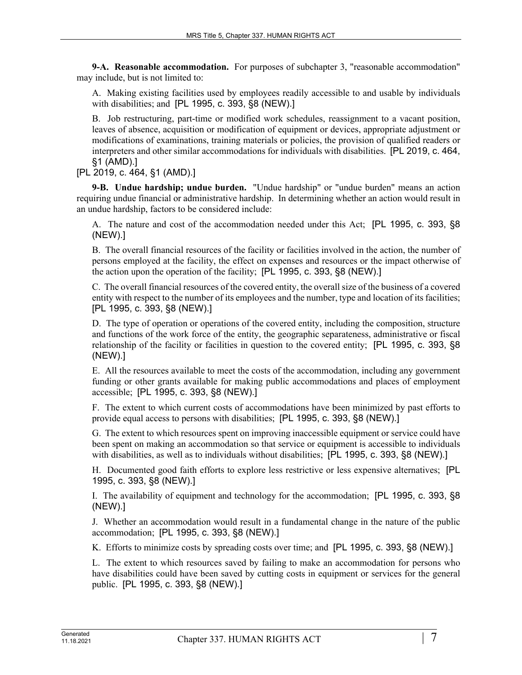**9-A. Reasonable accommodation.** For purposes of subchapter 3, "reasonable accommodation" may include, but is not limited to:

A. Making existing facilities used by employees readily accessible to and usable by individuals with disabilities; and [PL 1995, c. 393, §8 (NEW).]

B. Job restructuring, part-time or modified work schedules, reassignment to a vacant position, leaves of absence, acquisition or modification of equipment or devices, appropriate adjustment or modifications of examinations, training materials or policies, the provision of qualified readers or interpreters and other similar accommodations for individuals with disabilities. [PL 2019, c. 464, §1 (AMD).]

[PL 2019, c. 464, §1 (AMD).]

**9-B. Undue hardship; undue burden.** "Undue hardship" or "undue burden" means an action requiring undue financial or administrative hardship. In determining whether an action would result in an undue hardship, factors to be considered include:

A. The nature and cost of the accommodation needed under this Act; [PL 1995, c. 393, §8 (NEW).]

B. The overall financial resources of the facility or facilities involved in the action, the number of persons employed at the facility, the effect on expenses and resources or the impact otherwise of the action upon the operation of the facility; [PL 1995, c. 393, §8 (NEW).]

C. The overall financial resources of the covered entity, the overall size of the business of a covered entity with respect to the number of its employees and the number, type and location of its facilities; [PL 1995, c. 393, §8 (NEW).]

D. The type of operation or operations of the covered entity, including the composition, structure and functions of the work force of the entity, the geographic separateness, administrative or fiscal relationship of the facility or facilities in question to the covered entity; [PL 1995, c. 393, §8 (NEW).]

E. All the resources available to meet the costs of the accommodation, including any government funding or other grants available for making public accommodations and places of employment accessible; [PL 1995, c. 393, §8 (NEW).]

F. The extent to which current costs of accommodations have been minimized by past efforts to provide equal access to persons with disabilities; [PL 1995, c. 393, §8 (NEW).]

G. The extent to which resources spent on improving inaccessible equipment or service could have been spent on making an accommodation so that service or equipment is accessible to individuals with disabilities, as well as to individuals without disabilities; [PL 1995, c. 393, §8 (NEW).]

H. Documented good faith efforts to explore less restrictive or less expensive alternatives; [PL 1995, c. 393, §8 (NEW).]

I. The availability of equipment and technology for the accommodation; [PL 1995, c. 393, §8 (NEW).]

J. Whether an accommodation would result in a fundamental change in the nature of the public accommodation; [PL 1995, c. 393, §8 (NEW).]

K. Efforts to minimize costs by spreading costs over time; and [PL 1995, c. 393, §8 (NEW).]

L. The extent to which resources saved by failing to make an accommodation for persons who have disabilities could have been saved by cutting costs in equipment or services for the general public. [PL 1995, c. 393, §8 (NEW).]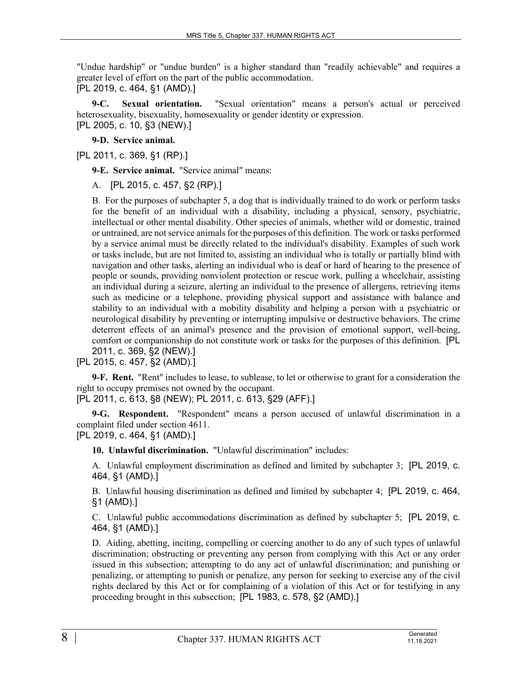"Undue hardship" or "undue burden" is a higher standard than "readily achievable" and requires a greater level of effort on the part of the public accommodation.

[PL 2019, c. 464, §1 (AMD).]

**9-C. Sexual orientation.** "Sexual orientation" means a person's actual or perceived heterosexuality, bisexuality, homosexuality or gender identity or expression. [PL 2005, c. 10, §3 (NEW).]

**9-D. Service animal.** 

[PL 2011, c. 369, §1 (RP).]

**9-E. Service animal.** "Service animal" means:

A. [PL 2015, c. 457, §2 (RP).]

B. For the purposes of subchapter 5, a dog that is individually trained to do work or perform tasks for the benefit of an individual with a disability, including a physical, sensory, psychiatric, intellectual or other mental disability. Other species of animals, whether wild or domestic, trained or untrained, are not service animals for the purposes of this definition. The work or tasks performed by a service animal must be directly related to the individual's disability. Examples of such work or tasks include, but are not limited to, assisting an individual who is totally or partially blind with navigation and other tasks, alerting an individual who is deaf or hard of hearing to the presence of people or sounds, providing nonviolent protection or rescue work, pulling a wheelchair, assisting an individual during a seizure, alerting an individual to the presence of allergens, retrieving items such as medicine or a telephone, providing physical support and assistance with balance and stability to an individual with a mobility disability and helping a person with a psychiatric or neurological disability by preventing or interrupting impulsive or destructive behaviors. The crime deterrent effects of an animal's presence and the provision of emotional support, well-being, comfort or companionship do not constitute work or tasks for the purposes of this definition. [PL 2011, c. 369, §2 (NEW).]

[PL 2015, c. 457, §2 (AMD).]

**9-F. Rent.** "Rent" includes to lease, to sublease, to let or otherwise to grant for a consideration the right to occupy premises not owned by the occupant.

[PL 2011, c. 613, §8 (NEW); PL 2011, c. 613, §29 (AFF).]

**9-G. Respondent.** "Respondent" means a person accused of unlawful discrimination in a complaint filed under section 4611.

[PL 2019, c. 464, §1 (AMD).]

**10. Unlawful discrimination.** "Unlawful discrimination" includes:

A. Unlawful employment discrimination as defined and limited by subchapter 3; [PL 2019, c. 464, §1 (AMD).]

B. Unlawful housing discrimination as defined and limited by subchapter 4; [PL 2019, c. 464, §1 (AMD).]

C. Unlawful public accommodations discrimination as defined by subchapter 5; [PL 2019, c. 464, §1 (AMD).]

D. Aiding, abetting, inciting, compelling or coercing another to do any of such types of unlawful discrimination; obstructing or preventing any person from complying with this Act or any order issued in this subsection; attempting to do any act of unlawful discrimination; and punishing or penalizing, or attempting to punish or penalize, any person for seeking to exercise any of the civil rights declared by this Act or for complaining of a violation of this Act or for testifying in any proceeding brought in this subsection; [PL 1983, c. 578, §2 (AMD).]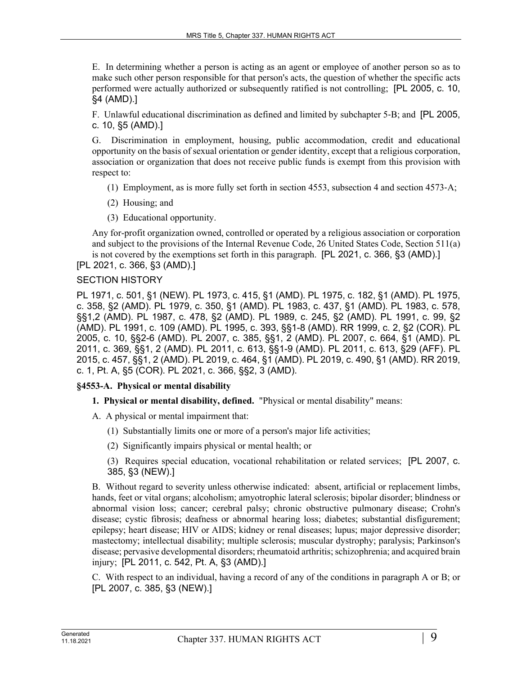E. In determining whether a person is acting as an agent or employee of another person so as to make such other person responsible for that person's acts, the question of whether the specific acts performed were actually authorized or subsequently ratified is not controlling; [PL 2005, c. 10, §4 (AMD).]

F. Unlawful educational discrimination as defined and limited by subchapter 5‑B; and [PL 2005, c. 10, §5 (AMD).]

G. Discrimination in employment, housing, public accommodation, credit and educational opportunity on the basis of sexual orientation or gender identity, except that a religious corporation, association or organization that does not receive public funds is exempt from this provision with respect to:

- (1) Employment, as is more fully set forth in section 4553, subsection 4 and section 4573‑A;
- (2) Housing; and
- (3) Educational opportunity.

Any for-profit organization owned, controlled or operated by a religious association or corporation and subject to the provisions of the Internal Revenue Code, 26 United States Code, Section 511(a) is not covered by the exemptions set forth in this paragraph. [PL 2021, c. 366, §3 (AMD).]

[PL 2021, c. 366, §3 (AMD).]

#### SECTION HISTORY

PL 1971, c. 501, §1 (NEW). PL 1973, c. 415, §1 (AMD). PL 1975, c. 182, §1 (AMD). PL 1975, c. 358, §2 (AMD). PL 1979, c. 350, §1 (AMD). PL 1983, c. 437, §1 (AMD). PL 1983, c. 578, §§1,2 (AMD). PL 1987, c. 478, §2 (AMD). PL 1989, c. 245, §2 (AMD). PL 1991, c. 99, §2 (AMD). PL 1991, c. 109 (AMD). PL 1995, c. 393, §§1-8 (AMD). RR 1999, c. 2, §2 (COR). PL 2005, c. 10, §§2-6 (AMD). PL 2007, c. 385, §§1, 2 (AMD). PL 2007, c. 664, §1 (AMD). PL 2011, c. 369, §§1, 2 (AMD). PL 2011, c. 613, §§1-9 (AMD). PL 2011, c. 613, §29 (AFF). PL 2015, c. 457, §§1, 2 (AMD). PL 2019, c. 464, §1 (AMD). PL 2019, c. 490, §1 (AMD). RR 2019, c. 1, Pt. A, §5 (COR). PL 2021, c. 366, §§2, 3 (AMD).

# **§4553-A. Physical or mental disability**

- **1. Physical or mental disability, defined.** "Physical or mental disability" means:
- A. A physical or mental impairment that:
	- (1) Substantially limits one or more of a person's major life activities;
	- (2) Significantly impairs physical or mental health; or

(3) Requires special education, vocational rehabilitation or related services; [PL 2007, c. 385, §3 (NEW).]

B. Without regard to severity unless otherwise indicated: absent, artificial or replacement limbs, hands, feet or vital organs; alcoholism; amyotrophic lateral sclerosis; bipolar disorder; blindness or abnormal vision loss; cancer; cerebral palsy; chronic obstructive pulmonary disease; Crohn's disease; cystic fibrosis; deafness or abnormal hearing loss; diabetes; substantial disfigurement; epilepsy; heart disease; HIV or AIDS; kidney or renal diseases; lupus; major depressive disorder; mastectomy; intellectual disability; multiple sclerosis; muscular dystrophy; paralysis; Parkinson's disease; pervasive developmental disorders; rheumatoid arthritis; schizophrenia; and acquired brain injury; [PL 2011, c. 542, Pt. A, §3 (AMD).]

C. With respect to an individual, having a record of any of the conditions in paragraph A or B; or [PL 2007, c. 385, §3 (NEW).]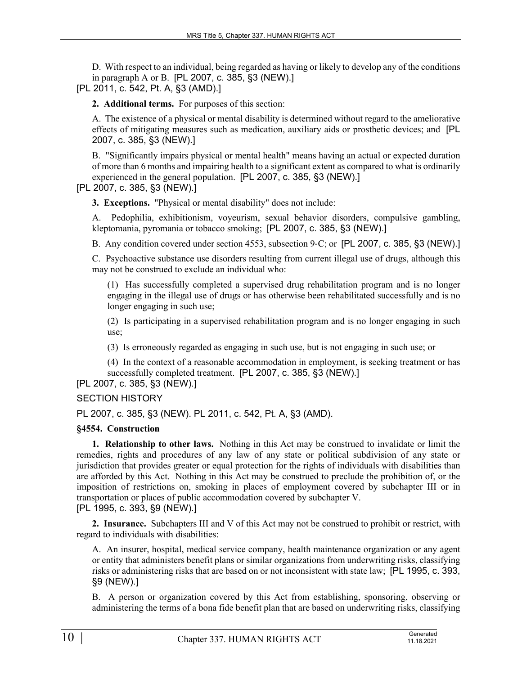D. With respect to an individual, being regarded as having or likely to develop any of the conditions in paragraph A or B. [PL 2007, c. 385, §3 (NEW).]

[PL 2011, c. 542, Pt. A, §3 (AMD).]

**2. Additional terms.** For purposes of this section:

A. The existence of a physical or mental disability is determined without regard to the ameliorative effects of mitigating measures such as medication, auxiliary aids or prosthetic devices; and [PL 2007, c. 385, §3 (NEW).]

B. "Significantly impairs physical or mental health" means having an actual or expected duration of more than 6 months and impairing health to a significant extent as compared to what is ordinarily experienced in the general population. [PL 2007, c. 385, §3 (NEW).]

# [PL 2007, c. 385, §3 (NEW).]

**3. Exceptions.** "Physical or mental disability" does not include:

A. Pedophilia, exhibitionism, voyeurism, sexual behavior disorders, compulsive gambling, kleptomania, pyromania or tobacco smoking; [PL 2007, c. 385, §3 (NEW).]

B. Any condition covered under section 4553, subsection 9‑C; or [PL 2007, c. 385, §3 (NEW).]

C. Psychoactive substance use disorders resulting from current illegal use of drugs, although this may not be construed to exclude an individual who:

(1) Has successfully completed a supervised drug rehabilitation program and is no longer engaging in the illegal use of drugs or has otherwise been rehabilitated successfully and is no longer engaging in such use;

(2) Is participating in a supervised rehabilitation program and is no longer engaging in such use;

(3) Is erroneously regarded as engaging in such use, but is not engaging in such use; or

(4) In the context of a reasonable accommodation in employment, is seeking treatment or has successfully completed treatment. [PL 2007, c. 385, §3 (NEW).]

[PL 2007, c. 385, §3 (NEW).]

SECTION HISTORY

PL 2007, c. 385, §3 (NEW). PL 2011, c. 542, Pt. A, §3 (AMD).

#### **§4554. Construction**

**1. Relationship to other laws.** Nothing in this Act may be construed to invalidate or limit the remedies, rights and procedures of any law of any state or political subdivision of any state or jurisdiction that provides greater or equal protection for the rights of individuals with disabilities than are afforded by this Act. Nothing in this Act may be construed to preclude the prohibition of, or the imposition of restrictions on, smoking in places of employment covered by subchapter III or in transportation or places of public accommodation covered by subchapter V. [PL 1995, c. 393, §9 (NEW).]

**2. Insurance.** Subchapters III and V of this Act may not be construed to prohibit or restrict, with regard to individuals with disabilities:

A. An insurer, hospital, medical service company, health maintenance organization or any agent or entity that administers benefit plans or similar organizations from underwriting risks, classifying risks or administering risks that are based on or not inconsistent with state law; [PL 1995, c. 393, §9 (NEW).]

B. A person or organization covered by this Act from establishing, sponsoring, observing or administering the terms of a bona fide benefit plan that are based on underwriting risks, classifying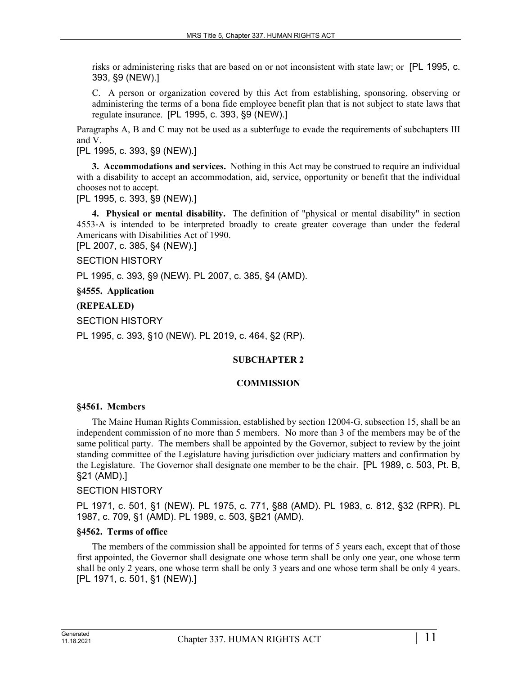risks or administering risks that are based on or not inconsistent with state law; or [PL 1995, c. 393, §9 (NEW).]

C. A person or organization covered by this Act from establishing, sponsoring, observing or administering the terms of a bona fide employee benefit plan that is not subject to state laws that regulate insurance. [PL 1995, c. 393, §9 (NEW).]

Paragraphs A, B and C may not be used as a subterfuge to evade the requirements of subchapters III and V.

[PL 1995, c. 393, §9 (NEW).]

**3. Accommodations and services.** Nothing in this Act may be construed to require an individual with a disability to accept an accommodation, aid, service, opportunity or benefit that the individual chooses not to accept.

[PL 1995, c. 393, §9 (NEW).]

**4. Physical or mental disability.** The definition of "physical or mental disability" in section 4553‑A is intended to be interpreted broadly to create greater coverage than under the federal Americans with Disabilities Act of 1990.

[PL 2007, c. 385, §4 (NEW).]

SECTION HISTORY

PL 1995, c. 393, §9 (NEW). PL 2007, c. 385, §4 (AMD).

**§4555. Application**

# **(REPEALED)**

SECTION HISTORY

PL 1995, c. 393, §10 (NEW). PL 2019, c. 464, §2 (RP).

#### **SUBCHAPTER 2**

#### **COMMISSION**

#### **§4561. Members**

The Maine Human Rights Commission, established by section 12004‑G, subsection 15, shall be an independent commission of no more than 5 members. No more than 3 of the members may be of the same political party. The members shall be appointed by the Governor, subject to review by the joint standing committee of the Legislature having jurisdiction over judiciary matters and confirmation by the Legislature. The Governor shall designate one member to be the chair. [PL 1989, c. 503, Pt. B, §21 (AMD).]

#### SECTION HISTORY

PL 1971, c. 501, §1 (NEW). PL 1975, c. 771, §88 (AMD). PL 1983, c. 812, §32 (RPR). PL 1987, c. 709, §1 (AMD). PL 1989, c. 503, §B21 (AMD).

#### **§4562. Terms of office**

The members of the commission shall be appointed for terms of 5 years each, except that of those first appointed, the Governor shall designate one whose term shall be only one year, one whose term shall be only 2 years, one whose term shall be only 3 years and one whose term shall be only 4 years. [PL 1971, c. 501, §1 (NEW).]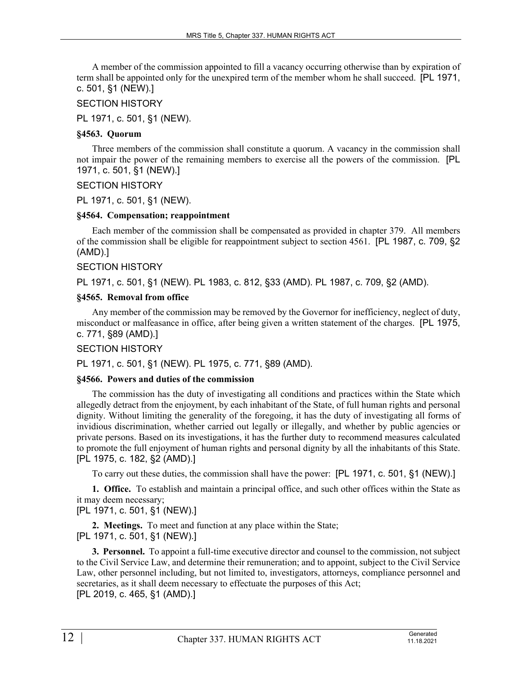A member of the commission appointed to fill a vacancy occurring otherwise than by expiration of term shall be appointed only for the unexpired term of the member whom he shall succeed. [PL 1971, c. 501, §1 (NEW).]

# SECTION HISTORY

PL 1971, c. 501, §1 (NEW).

#### **§4563. Quorum**

Three members of the commission shall constitute a quorum. A vacancy in the commission shall not impair the power of the remaining members to exercise all the powers of the commission. [PL 1971, c. 501, §1 (NEW).]

# SECTION HISTORY

PL 1971, c. 501, §1 (NEW).

# **§4564. Compensation; reappointment**

Each member of the commission shall be compensated as provided in chapter 379. All members of the commission shall be eligible for reappointment subject to section 4561. [PL 1987, c. 709, §2 (AMD).]

# SECTION HISTORY

PL 1971, c. 501, §1 (NEW). PL 1983, c. 812, §33 (AMD). PL 1987, c. 709, §2 (AMD).

# **§4565. Removal from office**

Any member of the commission may be removed by the Governor for inefficiency, neglect of duty, misconduct or malfeasance in office, after being given a written statement of the charges. [PL 1975, c. 771, §89 (AMD).]

# SECTION HISTORY

PL 1971, c. 501, §1 (NEW). PL 1975, c. 771, §89 (AMD).

#### **§4566. Powers and duties of the commission**

The commission has the duty of investigating all conditions and practices within the State which allegedly detract from the enjoyment, by each inhabitant of the State, of full human rights and personal dignity. Without limiting the generality of the foregoing, it has the duty of investigating all forms of invidious discrimination, whether carried out legally or illegally, and whether by public agencies or private persons. Based on its investigations, it has the further duty to recommend measures calculated to promote the full enjoyment of human rights and personal dignity by all the inhabitants of this State. [PL 1975, c. 182, §2 (AMD).]

To carry out these duties, the commission shall have the power: [PL 1971, c. 501, §1 (NEW).]

**1. Office.** To establish and maintain a principal office, and such other offices within the State as it may deem necessary;

# [PL 1971, c. 501, §1 (NEW).]

**2. Meetings.** To meet and function at any place within the State; [PL 1971, c. 501, §1 (NEW).]

**3. Personnel.** To appoint a full-time executive director and counsel to the commission, not subject to the Civil Service Law, and determine their remuneration; and to appoint, subject to the Civil Service Law, other personnel including, but not limited to, investigators, attorneys, compliance personnel and secretaries, as it shall deem necessary to effectuate the purposes of this Act; [PL 2019, c. 465, §1 (AMD).]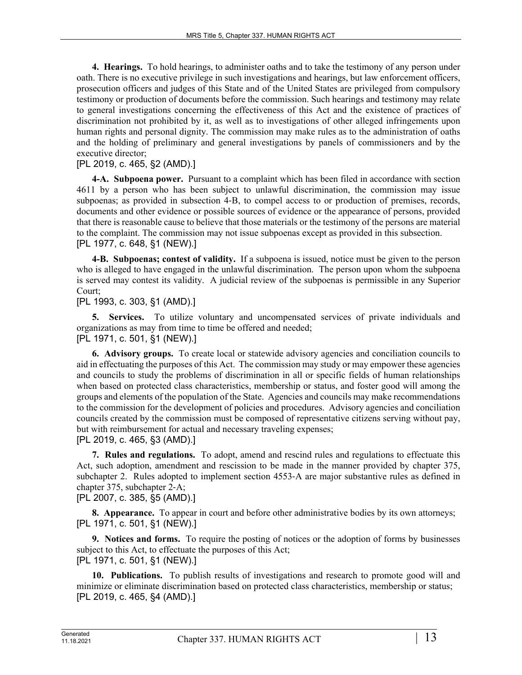**4. Hearings.** To hold hearings, to administer oaths and to take the testimony of any person under oath. There is no executive privilege in such investigations and hearings, but law enforcement officers, prosecution officers and judges of this State and of the United States are privileged from compulsory testimony or production of documents before the commission. Such hearings and testimony may relate to general investigations concerning the effectiveness of this Act and the existence of practices of discrimination not prohibited by it, as well as to investigations of other alleged infringements upon human rights and personal dignity. The commission may make rules as to the administration of oaths and the holding of preliminary and general investigations by panels of commissioners and by the executive director;

# [PL 2019, c. 465, §2 (AMD).]

**4-A. Subpoena power.** Pursuant to a complaint which has been filed in accordance with section 4611 by a person who has been subject to unlawful discrimination, the commission may issue subpoenas; as provided in subsection 4‑B, to compel access to or production of premises, records, documents and other evidence or possible sources of evidence or the appearance of persons, provided that there is reasonable cause to believe that those materials or the testimony of the persons are material to the complaint. The commission may not issue subpoenas except as provided in this subsection. [PL 1977, c. 648, §1 (NEW).]

**4-B. Subpoenas; contest of validity.** If a subpoena is issued, notice must be given to the person who is alleged to have engaged in the unlawful discrimination. The person upon whom the subpoena is served may contest its validity. A judicial review of the subpoenas is permissible in any Superior Court;

# [PL 1993, c. 303, §1 (AMD).]

**5. Services.** To utilize voluntary and uncompensated services of private individuals and organizations as may from time to time be offered and needed; [PL 1971, c. 501, §1 (NEW).]

**6. Advisory groups.** To create local or statewide advisory agencies and conciliation councils to aid in effectuating the purposes of this Act. The commission may study or may empower these agencies and councils to study the problems of discrimination in all or specific fields of human relationships when based on protected class characteristics, membership or status, and foster good will among the groups and elements of the population of the State. Agencies and councils may make recommendations to the commission for the development of policies and procedures. Advisory agencies and conciliation councils created by the commission must be composed of representative citizens serving without pay, but with reimbursement for actual and necessary traveling expenses;

[PL 2019, c. 465, §3 (AMD).]

**7. Rules and regulations.** To adopt, amend and rescind rules and regulations to effectuate this Act, such adoption, amendment and rescission to be made in the manner provided by chapter 375, subchapter 2. Rules adopted to implement section 4553‑A are major substantive rules as defined in chapter 375, subchapter 2‑A;

[PL 2007, c. 385, §5 (AMD).]

**8. Appearance.** To appear in court and before other administrative bodies by its own attorneys; [PL 1971, c. 501, §1 (NEW).]

**9. Notices and forms.** To require the posting of notices or the adoption of forms by businesses subject to this Act, to effectuate the purposes of this Act; [PL 1971, c. 501, §1 (NEW).]

**10. Publications.** To publish results of investigations and research to promote good will and minimize or eliminate discrimination based on protected class characteristics, membership or status; [PL 2019, c. 465, §4 (AMD).]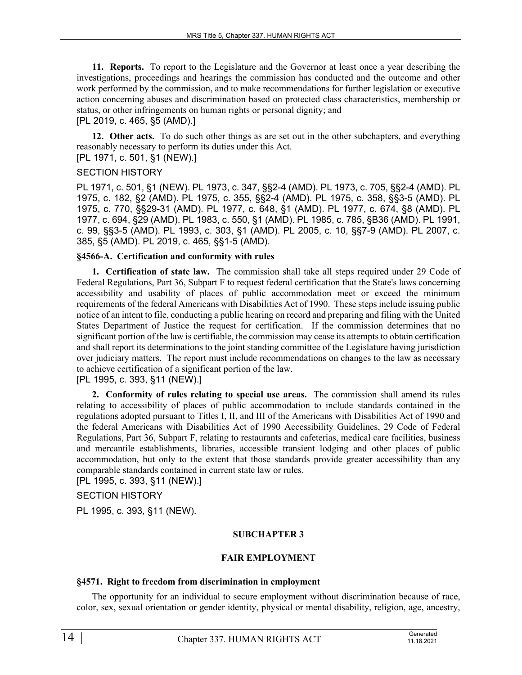**11. Reports.** To report to the Legislature and the Governor at least once a year describing the investigations, proceedings and hearings the commission has conducted and the outcome and other work performed by the commission, and to make recommendations for further legislation or executive action concerning abuses and discrimination based on protected class characteristics, membership or status, or other infringements on human rights or personal dignity; and [PL 2019, c. 465, §5 (AMD).]

**12. Other acts.** To do such other things as are set out in the other subchapters, and everything reasonably necessary to perform its duties under this Act.

[PL 1971, c. 501, §1 (NEW).]

# SECTION HISTORY

PL 1971, c. 501, §1 (NEW). PL 1973, c. 347, §§2-4 (AMD). PL 1973, c. 705, §§2-4 (AMD). PL 1975, c. 182, §2 (AMD). PL 1975, c. 355, §§2-4 (AMD). PL 1975, c. 358, §§3-5 (AMD). PL 1975, c. 770, §§29-31 (AMD). PL 1977, c. 648, §1 (AMD). PL 1977, c. 674, §8 (AMD). PL 1977, c. 694, §29 (AMD). PL 1983, c. 550, §1 (AMD). PL 1985, c. 785, §B36 (AMD). PL 1991, c. 99, §§3-5 (AMD). PL 1993, c. 303, §1 (AMD). PL 2005, c. 10, §§7-9 (AMD). PL 2007, c. 385, §5 (AMD). PL 2019, c. 465, §§1-5 (AMD).

#### **§4566-A. Certification and conformity with rules**

**1. Certification of state law.** The commission shall take all steps required under 29 Code of Federal Regulations, Part 36, Subpart F to request federal certification that the State's laws concerning accessibility and usability of places of public accommodation meet or exceed the minimum requirements of the federal Americans with Disabilities Act of 1990. These steps include issuing public notice of an intent to file, conducting a public hearing on record and preparing and filing with the United States Department of Justice the request for certification. If the commission determines that no significant portion of the law is certifiable, the commission may cease its attempts to obtain certification and shall report its determinations to the joint standing committee of the Legislature having jurisdiction over judiciary matters. The report must include recommendations on changes to the law as necessary to achieve certification of a significant portion of the law.

[PL 1995, c. 393, §11 (NEW).]

**2. Conformity of rules relating to special use areas.** The commission shall amend its rules relating to accessibility of places of public accommodation to include standards contained in the regulations adopted pursuant to Titles I, II, and III of the Americans with Disabilities Act of 1990 and the federal Americans with Disabilities Act of 1990 Accessibility Guidelines, 29 Code of Federal Regulations, Part 36, Subpart F, relating to restaurants and cafeterias, medical care facilities, business and mercantile establishments, libraries, accessible transient lodging and other places of public accommodation, but only to the extent that those standards provide greater accessibility than any comparable standards contained in current state law or rules.

[PL 1995, c. 393, §11 (NEW).]

SECTION HISTORY

PL 1995, c. 393, §11 (NEW).

# **SUBCHAPTER 3**

# **FAIR EMPLOYMENT**

# **§4571. Right to freedom from discrimination in employment**

The opportunity for an individual to secure employment without discrimination because of race, color, sex, sexual orientation or gender identity, physical or mental disability, religion, age, ancestry,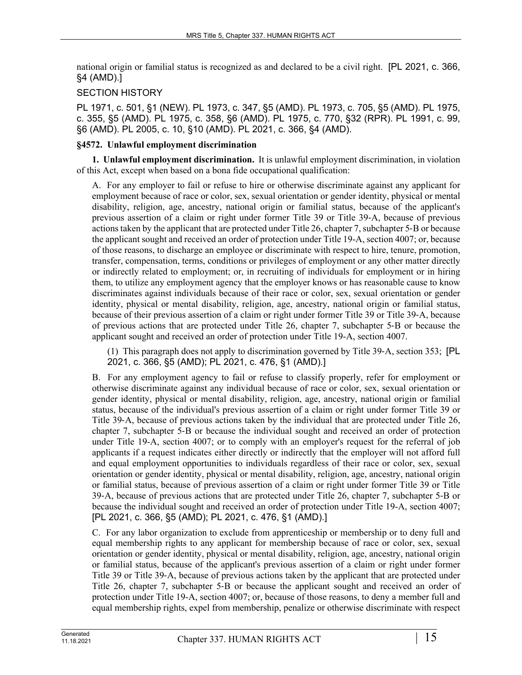national origin or familial status is recognized as and declared to be a civil right. [PL 2021, c. 366, §4 (AMD).]

# SECTION HISTORY

PL 1971, c. 501, §1 (NEW). PL 1973, c. 347, §5 (AMD). PL 1973, c. 705, §5 (AMD). PL 1975, c. 355, §5 (AMD). PL 1975, c. 358, §6 (AMD). PL 1975, c. 770, §32 (RPR). PL 1991, c. 99, §6 (AMD). PL 2005, c. 10, §10 (AMD). PL 2021, c. 366, §4 (AMD).

# **§4572. Unlawful employment discrimination**

**1. Unlawful employment discrimination.** It is unlawful employment discrimination, in violation of this Act, except when based on a bona fide occupational qualification:

A. For any employer to fail or refuse to hire or otherwise discriminate against any applicant for employment because of race or color, sex, sexual orientation or gender identity, physical or mental disability, religion, age, ancestry, national origin or familial status, because of the applicant's previous assertion of a claim or right under former Title 39 or Title 39‑A, because of previous actions taken by the applicant that are protected under Title 26, chapter 7, subchapter 5‑B or because the applicant sought and received an order of protection under Title 19-A, section 4007; or, because of those reasons, to discharge an employee or discriminate with respect to hire, tenure, promotion, transfer, compensation, terms, conditions or privileges of employment or any other matter directly or indirectly related to employment; or, in recruiting of individuals for employment or in hiring them, to utilize any employment agency that the employer knows or has reasonable cause to know discriminates against individuals because of their race or color, sex, sexual orientation or gender identity, physical or mental disability, religion, age, ancestry, national origin or familial status, because of their previous assertion of a claim or right under former Title 39 or Title 39‑A, because of previous actions that are protected under Title 26, chapter 7, subchapter 5‑B or because the applicant sought and received an order of protection under Title 19-A, section 4007.

(1) This paragraph does not apply to discrimination governed by Title 39‑A, section 353; [PL 2021, c. 366, §5 (AMD); PL 2021, c. 476, §1 (AMD).]

B. For any employment agency to fail or refuse to classify properly, refer for employment or otherwise discriminate against any individual because of race or color, sex, sexual orientation or gender identity, physical or mental disability, religion, age, ancestry, national origin or familial status, because of the individual's previous assertion of a claim or right under former Title 39 or Title 39‑A, because of previous actions taken by the individual that are protected under Title 26, chapter 7, subchapter 5‑B or because the individual sought and received an order of protection under Title 19-A, section 4007; or to comply with an employer's request for the referral of job applicants if a request indicates either directly or indirectly that the employer will not afford full and equal employment opportunities to individuals regardless of their race or color, sex, sexual orientation or gender identity, physical or mental disability, religion, age, ancestry, national origin or familial status, because of previous assertion of a claim or right under former Title 39 or Title 39‑A, because of previous actions that are protected under Title 26, chapter 7, subchapter 5‑B or because the individual sought and received an order of protection under Title 19-A, section 4007; [PL 2021, c. 366, §5 (AMD); PL 2021, c. 476, §1 (AMD).]

C. For any labor organization to exclude from apprenticeship or membership or to deny full and equal membership rights to any applicant for membership because of race or color, sex, sexual orientation or gender identity, physical or mental disability, religion, age, ancestry, national origin or familial status, because of the applicant's previous assertion of a claim or right under former Title 39 or Title 39–A, because of previous actions taken by the applicant that are protected under Title 26, chapter 7, subchapter 5‑B or because the applicant sought and received an order of protection under Title 19-A, section 4007; or, because of those reasons, to deny a member full and equal membership rights, expel from membership, penalize or otherwise discriminate with respect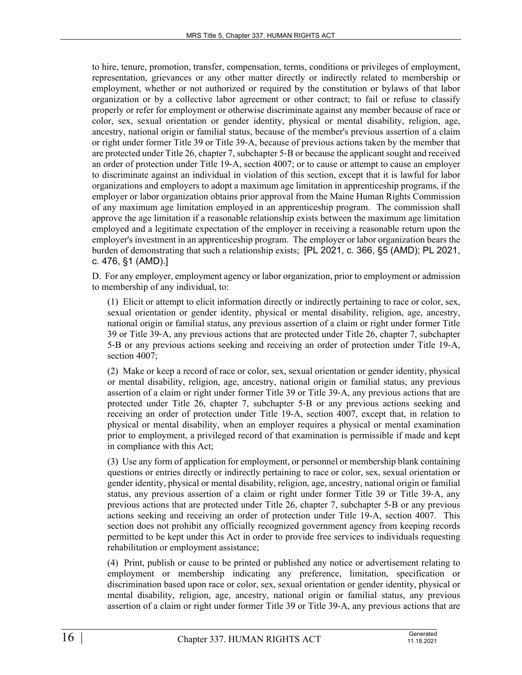to hire, tenure, promotion, transfer, compensation, terms, conditions or privileges of employment, representation, grievances or any other matter directly or indirectly related to membership or employment, whether or not authorized or required by the constitution or bylaws of that labor organization or by a collective labor agreement or other contract; to fail or refuse to classify properly or refer for employment or otherwise discriminate against any member because of race or color, sex, sexual orientation or gender identity, physical or mental disability, religion, age, ancestry, national origin or familial status, because of the member's previous assertion of a claim or right under former Title 39 or Title 39‑A, because of previous actions taken by the member that are protected under Title 26, chapter 7, subchapter 5‑B or because the applicant sought and received an order of protection under Title 19‑A, section 4007; or to cause or attempt to cause an employer to discriminate against an individual in violation of this section, except that it is lawful for labor organizations and employers to adopt a maximum age limitation in apprenticeship programs, if the employer or labor organization obtains prior approval from the Maine Human Rights Commission of any maximum age limitation employed in an apprenticeship program. The commission shall approve the age limitation if a reasonable relationship exists between the maximum age limitation employed and a legitimate expectation of the employer in receiving a reasonable return upon the employer's investment in an apprenticeship program. The employer or labor organization bears the burden of demonstrating that such a relationship exists; [PL 2021, c. 366, §5 (AMD); PL 2021, c. 476, §1 (AMD).]

D. For any employer, employment agency or labor organization, prior to employment or admission to membership of any individual, to:

(1) Elicit or attempt to elicit information directly or indirectly pertaining to race or color, sex, sexual orientation or gender identity, physical or mental disability, religion, age, ancestry, national origin or familial status, any previous assertion of a claim or right under former Title 39 or Title 39‑A, any previous actions that are protected under Title 26, chapter 7, subchapter 5‑B or any previous actions seeking and receiving an order of protection under Title 19-A, section 4007;

(2) Make or keep a record of race or color, sex, sexual orientation or gender identity, physical or mental disability, religion, age, ancestry, national origin or familial status, any previous assertion of a claim or right under former Title 39 or Title 39‑A, any previous actions that are protected under Title 26, chapter 7, subchapter 5‑B or any previous actions seeking and receiving an order of protection under Title 19-A, section 4007, except that, in relation to physical or mental disability, when an employer requires a physical or mental examination prior to employment, a privileged record of that examination is permissible if made and kept in compliance with this Act;

(3) Use any form of application for employment, or personnel or membership blank containing questions or entries directly or indirectly pertaining to race or color, sex, sexual orientation or gender identity, physical or mental disability, religion, age, ancestry, national origin or familial status, any previous assertion of a claim or right under former Title 39 or Title 39‑A, any previous actions that are protected under Title 26, chapter 7, subchapter 5‑B or any previous actions seeking and receiving an order of protection under Title 19-A, section 4007. This section does not prohibit any officially recognized government agency from keeping records permitted to be kept under this Act in order to provide free services to individuals requesting rehabilitation or employment assistance;

(4) Print, publish or cause to be printed or published any notice or advertisement relating to employment or membership indicating any preference, limitation, specification or discrimination based upon race or color, sex, sexual orientation or gender identity, physical or mental disability, religion, age, ancestry, national origin or familial status, any previous assertion of a claim or right under former Title 39 or Title 39‑A, any previous actions that are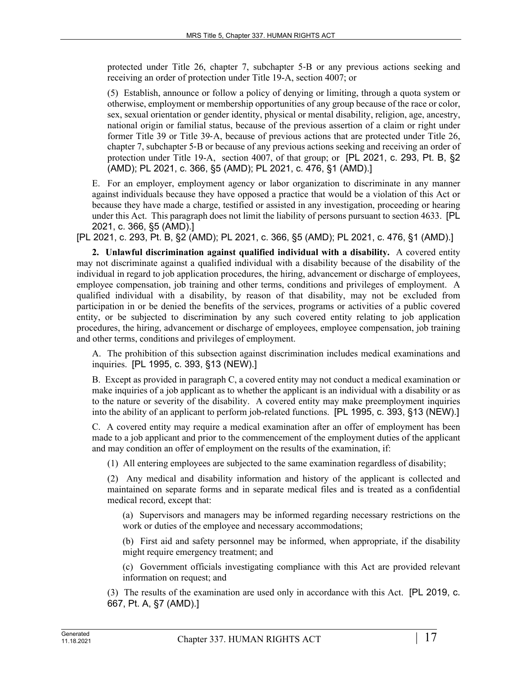protected under Title 26, chapter 7, subchapter 5‑B or any previous actions seeking and receiving an order of protection under Title 19-A, section 4007; or

(5) Establish, announce or follow a policy of denying or limiting, through a quota system or otherwise, employment or membership opportunities of any group because of the race or color, sex, sexual orientation or gender identity, physical or mental disability, religion, age, ancestry, national origin or familial status, because of the previous assertion of a claim or right under former Title 39 or Title 39‑A, because of previous actions that are protected under Title 26, chapter 7, subchapter 5‑B or because of any previous actions seeking and receiving an order of protection under Title 19-A, section 4007, of that group; or [PL 2021, c. 293, Pt. B, §2 (AMD); PL 2021, c. 366, §5 (AMD); PL 2021, c. 476, §1 (AMD).]

E. For an employer, employment agency or labor organization to discriminate in any manner against individuals because they have opposed a practice that would be a violation of this Act or because they have made a charge, testified or assisted in any investigation, proceeding or hearing under this Act. This paragraph does not limit the liability of persons pursuant to section 4633. [PL 2021, c. 366, §5 (AMD).]

[PL 2021, c. 293, Pt. B, §2 (AMD); PL 2021, c. 366, §5 (AMD); PL 2021, c. 476, §1 (AMD).]

**2. Unlawful discrimination against qualified individual with a disability.** A covered entity may not discriminate against a qualified individual with a disability because of the disability of the individual in regard to job application procedures, the hiring, advancement or discharge of employees, employee compensation, job training and other terms, conditions and privileges of employment. A qualified individual with a disability, by reason of that disability, may not be excluded from participation in or be denied the benefits of the services, programs or activities of a public covered entity, or be subjected to discrimination by any such covered entity relating to job application procedures, the hiring, advancement or discharge of employees, employee compensation, job training and other terms, conditions and privileges of employment.

A. The prohibition of this subsection against discrimination includes medical examinations and inquiries. [PL 1995, c. 393, §13 (NEW).]

B. Except as provided in paragraph C, a covered entity may not conduct a medical examination or make inquiries of a job applicant as to whether the applicant is an individual with a disability or as to the nature or severity of the disability. A covered entity may make preemployment inquiries into the ability of an applicant to perform job-related functions. [PL 1995, c. 393, §13 (NEW).]

C. A covered entity may require a medical examination after an offer of employment has been made to a job applicant and prior to the commencement of the employment duties of the applicant and may condition an offer of employment on the results of the examination, if:

(1) All entering employees are subjected to the same examination regardless of disability;

(2) Any medical and disability information and history of the applicant is collected and maintained on separate forms and in separate medical files and is treated as a confidential medical record, except that:

(a) Supervisors and managers may be informed regarding necessary restrictions on the work or duties of the employee and necessary accommodations;

(b) First aid and safety personnel may be informed, when appropriate, if the disability might require emergency treatment; and

(c) Government officials investigating compliance with this Act are provided relevant information on request; and

(3) The results of the examination are used only in accordance with this Act. [PL 2019, c. 667, Pt. A, §7 (AMD).]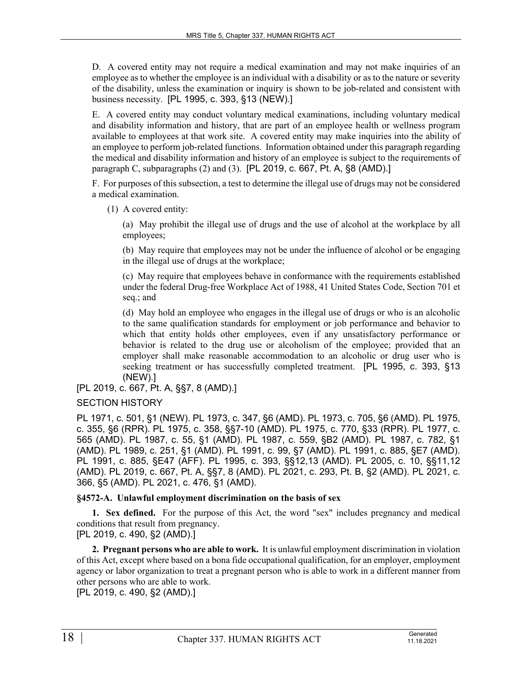D. A covered entity may not require a medical examination and may not make inquiries of an employee as to whether the employee is an individual with a disability or as to the nature or severity of the disability, unless the examination or inquiry is shown to be job-related and consistent with business necessity. [PL 1995, c. 393, §13 (NEW).]

E. A covered entity may conduct voluntary medical examinations, including voluntary medical and disability information and history, that are part of an employee health or wellness program available to employees at that work site. A covered entity may make inquiries into the ability of an employee to perform job-related functions. Information obtained under this paragraph regarding the medical and disability information and history of an employee is subject to the requirements of paragraph C, subparagraphs (2) and (3). [PL 2019, c. 667, Pt. A, §8 (AMD).]

F. For purposes of this subsection, a test to determine the illegal use of drugs may not be considered a medical examination.

(1) A covered entity:

(a) May prohibit the illegal use of drugs and the use of alcohol at the workplace by all employees;

(b) May require that employees may not be under the influence of alcohol or be engaging in the illegal use of drugs at the workplace;

(c) May require that employees behave in conformance with the requirements established under the federal Drug-free Workplace Act of 1988, 41 United States Code, Section 701 et seq.; and

(d) May hold an employee who engages in the illegal use of drugs or who is an alcoholic to the same qualification standards for employment or job performance and behavior to which that entity holds other employees, even if any unsatisfactory performance or behavior is related to the drug use or alcoholism of the employee; provided that an employer shall make reasonable accommodation to an alcoholic or drug user who is seeking treatment or has successfully completed treatment. [PL 1995, c. 393, §13 (NEW).]

[PL 2019, c. 667, Pt. A, §§7, 8 (AMD).]

SECTION HISTORY

PL 1971, c. 501, §1 (NEW). PL 1973, c. 347, §6 (AMD). PL 1973, c. 705, §6 (AMD). PL 1975, c. 355, §6 (RPR). PL 1975, c. 358, §§7-10 (AMD). PL 1975, c. 770, §33 (RPR). PL 1977, c. 565 (AMD). PL 1987, c. 55, §1 (AMD). PL 1987, c. 559, §B2 (AMD). PL 1987, c. 782, §1 (AMD). PL 1989, c. 251, §1 (AMD). PL 1991, c. 99, §7 (AMD). PL 1991, c. 885, §E7 (AMD). PL 1991, c. 885, §E47 (AFF). PL 1995, c. 393, §§12,13 (AMD). PL 2005, c. 10, §§11,12 (AMD). PL 2019, c. 667, Pt. A, §§7, 8 (AMD). PL 2021, c. 293, Pt. B, §2 (AMD). PL 2021, c. 366, §5 (AMD). PL 2021, c. 476, §1 (AMD).

#### **§4572-A. Unlawful employment discrimination on the basis of sex**

**1. Sex defined.** For the purpose of this Act, the word "sex" includes pregnancy and medical conditions that result from pregnancy.

[PL 2019, c. 490, §2 (AMD).]

**2. Pregnant persons who are able to work.** It is unlawful employment discrimination in violation of this Act, except where based on a bona fide occupational qualification, for an employer, employment agency or labor organization to treat a pregnant person who is able to work in a different manner from other persons who are able to work.

[PL 2019, c. 490, §2 (AMD).]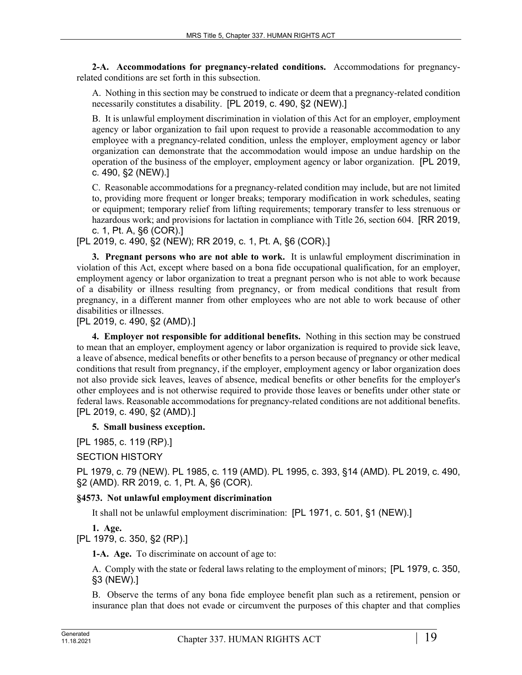**2-A. Accommodations for pregnancy-related conditions.** Accommodations for pregnancyrelated conditions are set forth in this subsection.

A. Nothing in this section may be construed to indicate or deem that a pregnancy-related condition necessarily constitutes a disability. [PL 2019, c. 490, §2 (NEW).]

B. It is unlawful employment discrimination in violation of this Act for an employer, employment agency or labor organization to fail upon request to provide a reasonable accommodation to any employee with a pregnancy-related condition, unless the employer, employment agency or labor organization can demonstrate that the accommodation would impose an undue hardship on the operation of the business of the employer, employment agency or labor organization. [PL 2019, c. 490, §2 (NEW).]

C. Reasonable accommodations for a pregnancy-related condition may include, but are not limited to, providing more frequent or longer breaks; temporary modification in work schedules, seating or equipment; temporary relief from lifting requirements; temporary transfer to less strenuous or hazardous work; and provisions for lactation in compliance with Title 26, section 604. [RR 2019, c. 1, Pt. A, §6 (COR).]

[PL 2019, c. 490, §2 (NEW); RR 2019, c. 1, Pt. A, §6 (COR).]

**3. Pregnant persons who are not able to work.** It is unlawful employment discrimination in violation of this Act, except where based on a bona fide occupational qualification, for an employer, employment agency or labor organization to treat a pregnant person who is not able to work because of a disability or illness resulting from pregnancy, or from medical conditions that result from pregnancy, in a different manner from other employees who are not able to work because of other disabilities or illnesses.

[PL 2019, c. 490, §2 (AMD).]

**4. Employer not responsible for additional benefits.** Nothing in this section may be construed to mean that an employer, employment agency or labor organization is required to provide sick leave, a leave of absence, medical benefits or other benefits to a person because of pregnancy or other medical conditions that result from pregnancy, if the employer, employment agency or labor organization does not also provide sick leaves, leaves of absence, medical benefits or other benefits for the employer's other employees and is not otherwise required to provide those leaves or benefits under other state or federal laws. Reasonable accommodations for pregnancy-related conditions are not additional benefits. [PL 2019, c. 490, §2 (AMD).]

#### **5. Small business exception.**

[PL 1985, c. 119 (RP).]

# SECTION HISTORY

PL 1979, c. 79 (NEW). PL 1985, c. 119 (AMD). PL 1995, c. 393, §14 (AMD). PL 2019, c. 490, §2 (AMD). RR 2019, c. 1, Pt. A, §6 (COR).

#### **§4573. Not unlawful employment discrimination**

It shall not be unlawful employment discrimination: [PL 1971, c. 501, §1 (NEW).]

# **1. Age.**

[PL 1979, c. 350, §2 (RP).]

**1-A. Age.** To discriminate on account of age to:

A. Comply with the state or federal laws relating to the employment of minors; [PL 1979, c. 350, §3 (NEW).]

B. Observe the terms of any bona fide employee benefit plan such as a retirement, pension or insurance plan that does not evade or circumvent the purposes of this chapter and that complies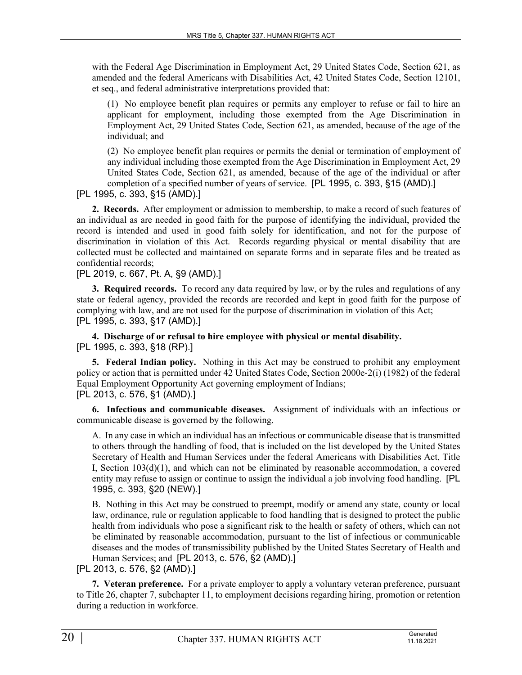with the Federal Age Discrimination in Employment Act, 29 United States Code, Section 621, as amended and the federal Americans with Disabilities Act, 42 United States Code, Section 12101, et seq., and federal administrative interpretations provided that:

(1) No employee benefit plan requires or permits any employer to refuse or fail to hire an applicant for employment, including those exempted from the Age Discrimination in Employment Act, 29 United States Code, Section 621, as amended, because of the age of the individual; and

(2) No employee benefit plan requires or permits the denial or termination of employment of any individual including those exempted from the Age Discrimination in Employment Act, 29 United States Code, Section 621, as amended, because of the age of the individual or after completion of a specified number of years of service. [PL 1995, c. 393, §15 (AMD).]

[PL 1995, c. 393, §15 (AMD).]

**2. Records.** After employment or admission to membership, to make a record of such features of an individual as are needed in good faith for the purpose of identifying the individual, provided the record is intended and used in good faith solely for identification, and not for the purpose of discrimination in violation of this Act. Records regarding physical or mental disability that are collected must be collected and maintained on separate forms and in separate files and be treated as confidential records;

[PL 2019, c. 667, Pt. A, §9 (AMD).]

**3. Required records.** To record any data required by law, or by the rules and regulations of any state or federal agency, provided the records are recorded and kept in good faith for the purpose of complying with law, and are not used for the purpose of discrimination in violation of this Act; [PL 1995, c. 393, §17 (AMD).]

**4. Discharge of or refusal to hire employee with physical or mental disability.**  [PL 1995, c. 393, §18 (RP).]

**5. Federal Indian policy.** Nothing in this Act may be construed to prohibit any employment policy or action that is permitted under 42 United States Code, Section 2000e‑2(i) (1982) of the federal Equal Employment Opportunity Act governing employment of Indians; [PL 2013, c. 576, §1 (AMD).]

**6. Infectious and communicable diseases.** Assignment of individuals with an infectious or communicable disease is governed by the following.

A. In any case in which an individual has an infectious or communicable disease that is transmitted to others through the handling of food, that is included on the list developed by the United States Secretary of Health and Human Services under the federal Americans with Disabilities Act, Title I, Section 103(d)(1), and which can not be eliminated by reasonable accommodation, a covered entity may refuse to assign or continue to assign the individual a job involving food handling. [PL 1995, c. 393, §20 (NEW).]

B. Nothing in this Act may be construed to preempt, modify or amend any state, county or local law, ordinance, rule or regulation applicable to food handling that is designed to protect the public health from individuals who pose a significant risk to the health or safety of others, which can not be eliminated by reasonable accommodation, pursuant to the list of infectious or communicable diseases and the modes of transmissibility published by the United States Secretary of Health and Human Services; and [PL 2013, c. 576, §2 (AMD).]

[PL 2013, c. 576, §2 (AMD).]

**7. Veteran preference.** For a private employer to apply a voluntary veteran preference, pursuant to Title 26, chapter 7, subchapter 11, to employment decisions regarding hiring, promotion or retention during a reduction in workforce.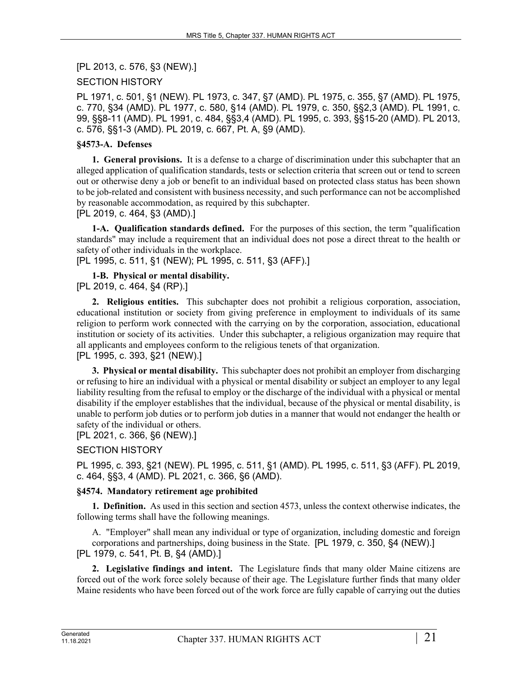[PL 2013, c. 576, §3 (NEW).]

# SECTION HISTORY

PL 1971, c. 501, §1 (NEW). PL 1973, c. 347, §7 (AMD). PL 1975, c. 355, §7 (AMD). PL 1975, c. 770, §34 (AMD). PL 1977, c. 580, §14 (AMD). PL 1979, c. 350, §§2,3 (AMD). PL 1991, c. 99, §§8-11 (AMD). PL 1991, c. 484, §§3,4 (AMD). PL 1995, c. 393, §§15-20 (AMD). PL 2013, c. 576, §§1-3 (AMD). PL 2019, c. 667, Pt. A, §9 (AMD).

# **§4573-A. Defenses**

**1. General provisions.** It is a defense to a charge of discrimination under this subchapter that an alleged application of qualification standards, tests or selection criteria that screen out or tend to screen out or otherwise deny a job or benefit to an individual based on protected class status has been shown to be job-related and consistent with business necessity, and such performance can not be accomplished by reasonable accommodation, as required by this subchapter.

[PL 2019, c. 464, §3 (AMD).]

**1-A. Qualification standards defined.** For the purposes of this section, the term "qualification standards" may include a requirement that an individual does not pose a direct threat to the health or safety of other individuals in the workplace.

[PL 1995, c. 511, §1 (NEW); PL 1995, c. 511, §3 (AFF).]

# **1-B. Physical or mental disability.**

[PL 2019, c. 464, §4 (RP).]

**2. Religious entities.** This subchapter does not prohibit a religious corporation, association, educational institution or society from giving preference in employment to individuals of its same religion to perform work connected with the carrying on by the corporation, association, educational institution or society of its activities. Under this subchapter, a religious organization may require that all applicants and employees conform to the religious tenets of that organization. [PL 1995, c. 393, §21 (NEW).]

**3. Physical or mental disability.** This subchapter does not prohibit an employer from discharging or refusing to hire an individual with a physical or mental disability or subject an employer to any legal liability resulting from the refusal to employ or the discharge of the individual with a physical or mental disability if the employer establishes that the individual, because of the physical or mental disability, is unable to perform job duties or to perform job duties in a manner that would not endanger the health or safety of the individual or others.

# [PL 2021, c. 366, §6 (NEW).]

# SECTION HISTORY

PL 1995, c. 393, §21 (NEW). PL 1995, c. 511, §1 (AMD). PL 1995, c. 511, §3 (AFF). PL 2019, c. 464, §§3, 4 (AMD). PL 2021, c. 366, §6 (AMD).

#### **§4574. Mandatory retirement age prohibited**

**1. Definition.** As used in this section and section 4573, unless the context otherwise indicates, the following terms shall have the following meanings.

A. "Employer" shall mean any individual or type of organization, including domestic and foreign corporations and partnerships, doing business in the State. [PL 1979, c. 350, §4 (NEW).] [PL 1979, c. 541, Pt. B, §4 (AMD).]

**2. Legislative findings and intent.** The Legislature finds that many older Maine citizens are forced out of the work force solely because of their age. The Legislature further finds that many older Maine residents who have been forced out of the work force are fully capable of carrying out the duties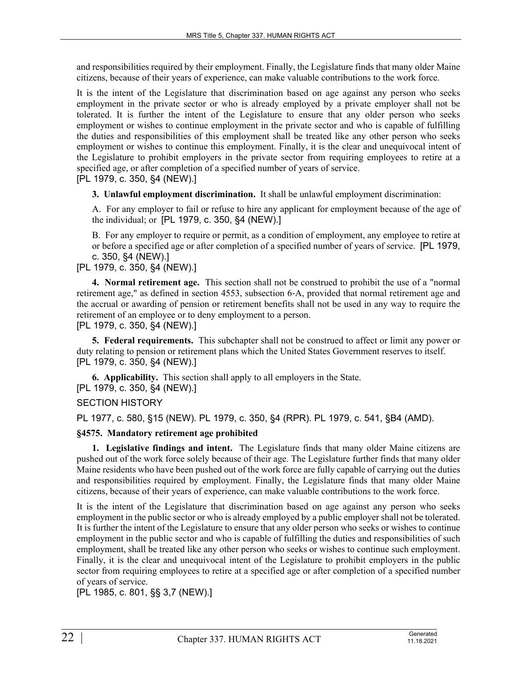and responsibilities required by their employment. Finally, the Legislature finds that many older Maine citizens, because of their years of experience, can make valuable contributions to the work force.

It is the intent of the Legislature that discrimination based on age against any person who seeks employment in the private sector or who is already employed by a private employer shall not be tolerated. It is further the intent of the Legislature to ensure that any older person who seeks employment or wishes to continue employment in the private sector and who is capable of fulfilling the duties and responsibilities of this employment shall be treated like any other person who seeks employment or wishes to continue this employment. Finally, it is the clear and unequivocal intent of the Legislature to prohibit employers in the private sector from requiring employees to retire at a specified age, or after completion of a specified number of years of service. [PL 1979, c. 350, §4 (NEW).]

**3. Unlawful employment discrimination.** It shall be unlawful employment discrimination:

A. For any employer to fail or refuse to hire any applicant for employment because of the age of the individual; or [PL 1979, c. 350, §4 (NEW).]

B. For any employer to require or permit, as a condition of employment, any employee to retire at or before a specified age or after completion of a specified number of years of service. [PL 1979, c. 350, §4 (NEW).]

[PL 1979, c. 350, §4 (NEW).]

**4. Normal retirement age.** This section shall not be construed to prohibit the use of a "normal retirement age," as defined in section 4553, subsection 6‑A, provided that normal retirement age and the accrual or awarding of pension or retirement benefits shall not be used in any way to require the retirement of an employee or to deny employment to a person.

[PL 1979, c. 350, §4 (NEW).]

**5. Federal requirements.** This subchapter shall not be construed to affect or limit any power or duty relating to pension or retirement plans which the United States Government reserves to itself. [PL 1979, c. 350, §4 (NEW).]

**6. Applicability.** This section shall apply to all employers in the State. [PL 1979, c. 350, §4 (NEW).]

SECTION HISTORY

PL 1977, c. 580, §15 (NEW). PL 1979, c. 350, §4 (RPR). PL 1979, c. 541, §B4 (AMD).

#### **§4575. Mandatory retirement age prohibited**

**1. Legislative findings and intent.** The Legislature finds that many older Maine citizens are pushed out of the work force solely because of their age. The Legislature further finds that many older Maine residents who have been pushed out of the work force are fully capable of carrying out the duties and responsibilities required by employment. Finally, the Legislature finds that many older Maine citizens, because of their years of experience, can make valuable contributions to the work force.

It is the intent of the Legislature that discrimination based on age against any person who seeks employment in the public sector or who is already employed by a public employer shall not be tolerated. It is further the intent of the Legislature to ensure that any older person who seeks or wishes to continue employment in the public sector and who is capable of fulfilling the duties and responsibilities of such employment, shall be treated like any other person who seeks or wishes to continue such employment. Finally, it is the clear and unequivocal intent of the Legislature to prohibit employers in the public sector from requiring employees to retire at a specified age or after completion of a specified number of years of service.

[PL 1985, c. 801, §§ 3,7 (NEW).]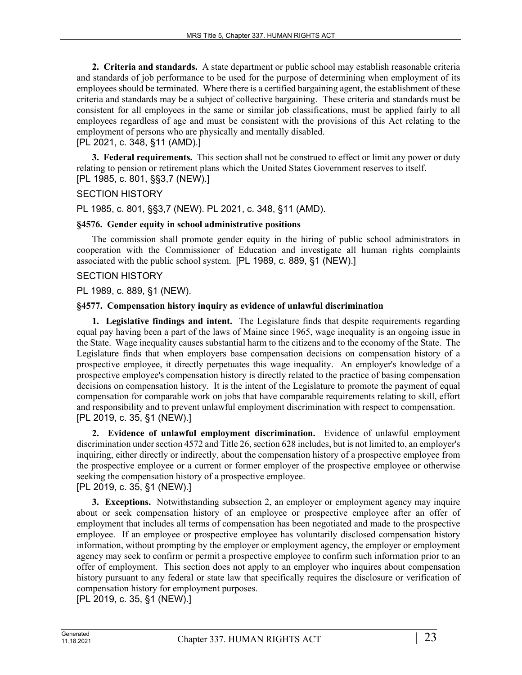**2. Criteria and standards.** A state department or public school may establish reasonable criteria and standards of job performance to be used for the purpose of determining when employment of its employees should be terminated. Where there is a certified bargaining agent, the establishment of these criteria and standards may be a subject of collective bargaining. These criteria and standards must be consistent for all employees in the same or similar job classifications, must be applied fairly to all employees regardless of age and must be consistent with the provisions of this Act relating to the employment of persons who are physically and mentally disabled.

[PL 2021, c. 348, §11 (AMD).]

**3. Federal requirements.** This section shall not be construed to effect or limit any power or duty relating to pension or retirement plans which the United States Government reserves to itself. [PL 1985, c. 801, §§3,7 (NEW).]

# SECTION HISTORY

PL 1985, c. 801, §§3,7 (NEW). PL 2021, c. 348, §11 (AMD).

#### **§4576. Gender equity in school administrative positions**

The commission shall promote gender equity in the hiring of public school administrators in cooperation with the Commissioner of Education and investigate all human rights complaints associated with the public school system. [PL 1989, c. 889, §1 (NEW).]

# SECTION HISTORY

PL 1989, c. 889, §1 (NEW).

# **§4577. Compensation history inquiry as evidence of unlawful discrimination**

**1. Legislative findings and intent.** The Legislature finds that despite requirements regarding equal pay having been a part of the laws of Maine since 1965, wage inequality is an ongoing issue in the State. Wage inequality causes substantial harm to the citizens and to the economy of the State. The Legislature finds that when employers base compensation decisions on compensation history of a prospective employee, it directly perpetuates this wage inequality. An employer's knowledge of a prospective employee's compensation history is directly related to the practice of basing compensation decisions on compensation history. It is the intent of the Legislature to promote the payment of equal compensation for comparable work on jobs that have comparable requirements relating to skill, effort and responsibility and to prevent unlawful employment discrimination with respect to compensation. [PL 2019, c. 35, §1 (NEW).]

**2. Evidence of unlawful employment discrimination.** Evidence of unlawful employment discrimination under section 4572 and Title 26, section 628 includes, but is not limited to, an employer's inquiring, either directly or indirectly, about the compensation history of a prospective employee from the prospective employee or a current or former employer of the prospective employee or otherwise seeking the compensation history of a prospective employee. [PL 2019, c. 35, §1 (NEW).]

**3. Exceptions.** Notwithstanding subsection 2, an employer or employment agency may inquire about or seek compensation history of an employee or prospective employee after an offer of employment that includes all terms of compensation has been negotiated and made to the prospective employee. If an employee or prospective employee has voluntarily disclosed compensation history information, without prompting by the employer or employment agency, the employer or employment agency may seek to confirm or permit a prospective employee to confirm such information prior to an offer of employment. This section does not apply to an employer who inquires about compensation history pursuant to any federal or state law that specifically requires the disclosure or verification of compensation history for employment purposes.

[PL 2019, c. 35, §1 (NEW).]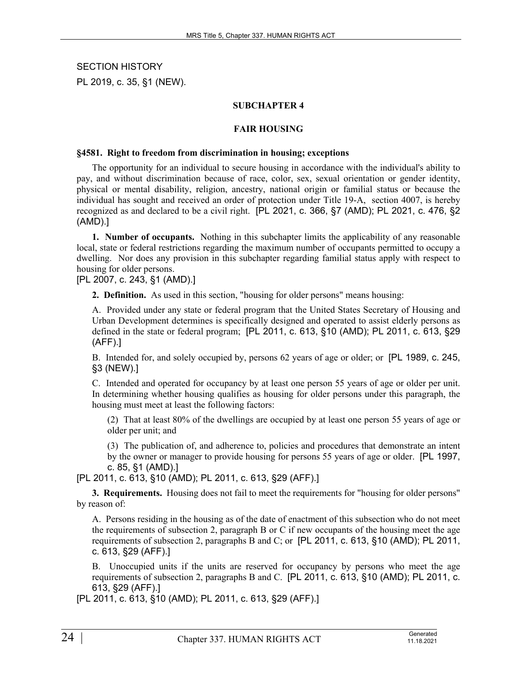SECTION HISTORY PL 2019, c. 35, §1 (NEW).

# **SUBCHAPTER 4**

#### **FAIR HOUSING**

#### **§4581. Right to freedom from discrimination in housing; exceptions**

The opportunity for an individual to secure housing in accordance with the individual's ability to pay, and without discrimination because of race, color, sex, sexual orientation or gender identity, physical or mental disability, religion, ancestry, national origin or familial status or because the individual has sought and received an order of protection under Title 19-A, section 4007, is hereby recognized as and declared to be a civil right. [PL 2021, c. 366, §7 (AMD); PL 2021, c. 476, §2 (AMD).]

**1. Number of occupants.** Nothing in this subchapter limits the applicability of any reasonable local, state or federal restrictions regarding the maximum number of occupants permitted to occupy a dwelling. Nor does any provision in this subchapter regarding familial status apply with respect to housing for older persons.

[PL 2007, c. 243, §1 (AMD).]

**2. Definition.** As used in this section, "housing for older persons" means housing:

A. Provided under any state or federal program that the United States Secretary of Housing and Urban Development determines is specifically designed and operated to assist elderly persons as defined in the state or federal program; [PL 2011, c. 613, §10 (AMD); PL 2011, c. 613, §29 (AFF).]

B. Intended for, and solely occupied by, persons 62 years of age or older; or [PL 1989, c. 245, §3 (NEW).]

C. Intended and operated for occupancy by at least one person 55 years of age or older per unit. In determining whether housing qualifies as housing for older persons under this paragraph, the housing must meet at least the following factors:

(2) That at least 80% of the dwellings are occupied by at least one person 55 years of age or older per unit; and

(3) The publication of, and adherence to, policies and procedures that demonstrate an intent by the owner or manager to provide housing for persons 55 years of age or older. [PL 1997, c. 85, §1 (AMD).]

[PL 2011, c. 613, §10 (AMD); PL 2011, c. 613, §29 (AFF).]

**3. Requirements.** Housing does not fail to meet the requirements for "housing for older persons" by reason of:

A. Persons residing in the housing as of the date of enactment of this subsection who do not meet the requirements of subsection 2, paragraph B or C if new occupants of the housing meet the age requirements of subsection 2, paragraphs B and C; or [PL 2011, c. 613, §10 (AMD); PL 2011, c. 613, §29 (AFF).]

B. Unoccupied units if the units are reserved for occupancy by persons who meet the age requirements of subsection 2, paragraphs B and C. [PL 2011, c. 613, §10 (AMD); PL 2011, c. 613, §29 (AFF).]

[PL 2011, c. 613, §10 (AMD); PL 2011, c. 613, §29 (AFF).]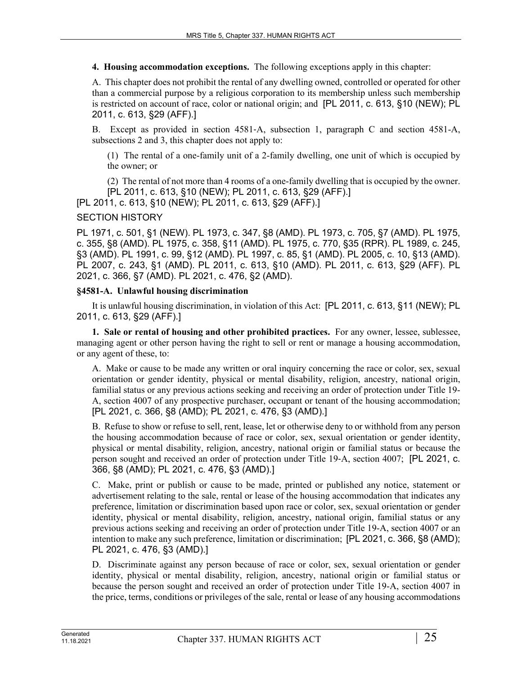**4. Housing accommodation exceptions.** The following exceptions apply in this chapter:

A. This chapter does not prohibit the rental of any dwelling owned, controlled or operated for other than a commercial purpose by a religious corporation to its membership unless such membership is restricted on account of race, color or national origin; and [PL 2011, c. 613, §10 (NEW); PL 2011, c. 613, §29 (AFF).]

B. Except as provided in section 4581‑A, subsection 1, paragraph C and section 4581-A, subsections 2 and 3, this chapter does not apply to:

(1) The rental of a one-family unit of a 2-family dwelling, one unit of which is occupied by the owner; or

(2) The rental of not more than 4 rooms of a one-family dwelling that is occupied by the owner. [PL 2011, c. 613, §10 (NEW); PL 2011, c. 613, §29 (AFF).]

[PL 2011, c. 613, §10 (NEW); PL 2011, c. 613, §29 (AFF).]

# SECTION HISTORY

PL 1971, c. 501, §1 (NEW). PL 1973, c. 347, §8 (AMD). PL 1973, c. 705, §7 (AMD). PL 1975, c. 355, §8 (AMD). PL 1975, c. 358, §11 (AMD). PL 1975, c. 770, §35 (RPR). PL 1989, c. 245, §3 (AMD). PL 1991, c. 99, §12 (AMD). PL 1997, c. 85, §1 (AMD). PL 2005, c. 10, §13 (AMD). PL 2007, c. 243, §1 (AMD). PL 2011, c. 613, §10 (AMD). PL 2011, c. 613, §29 (AFF). PL 2021, c. 366, §7 (AMD). PL 2021, c. 476, §2 (AMD).

#### **§4581-A. Unlawful housing discrimination**

It is unlawful housing discrimination, in violation of this Act: [PL 2011, c. 613, §11 (NEW); PL 2011, c. 613, §29 (AFF).]

**1. Sale or rental of housing and other prohibited practices.** For any owner, lessee, sublessee, managing agent or other person having the right to sell or rent or manage a housing accommodation, or any agent of these, to:

A. Make or cause to be made any written or oral inquiry concerning the race or color, sex, sexual orientation or gender identity, physical or mental disability, religion, ancestry, national origin, familial status or any previous actions seeking and receiving an order of protection under Title 19- A, section 4007 of any prospective purchaser, occupant or tenant of the housing accommodation; [PL 2021, c. 366, §8 (AMD); PL 2021, c. 476, §3 (AMD).]

B. Refuse to show or refuse to sell, rent, lease, let or otherwise deny to or withhold from any person the housing accommodation because of race or color, sex, sexual orientation or gender identity, physical or mental disability, religion, ancestry, national origin or familial status or because the person sought and received an order of protection under Title 19‑A, section 4007; [PL 2021, c. 366, §8 (AMD); PL 2021, c. 476, §3 (AMD).]

C. Make, print or publish or cause to be made, printed or published any notice, statement or advertisement relating to the sale, rental or lease of the housing accommodation that indicates any preference, limitation or discrimination based upon race or color, sex, sexual orientation or gender identity, physical or mental disability, religion, ancestry, national origin, familial status or any previous actions seeking and receiving an order of protection under Title 19-A, section 4007 or an intention to make any such preference, limitation or discrimination; [PL 2021, c. 366, §8 (AMD); PL 2021, c. 476, §3 (AMD).]

D. Discriminate against any person because of race or color, sex, sexual orientation or gender identity, physical or mental disability, religion, ancestry, national origin or familial status or because the person sought and received an order of protection under Title 19-A, section 4007 in the price, terms, conditions or privileges of the sale, rental or lease of any housing accommodations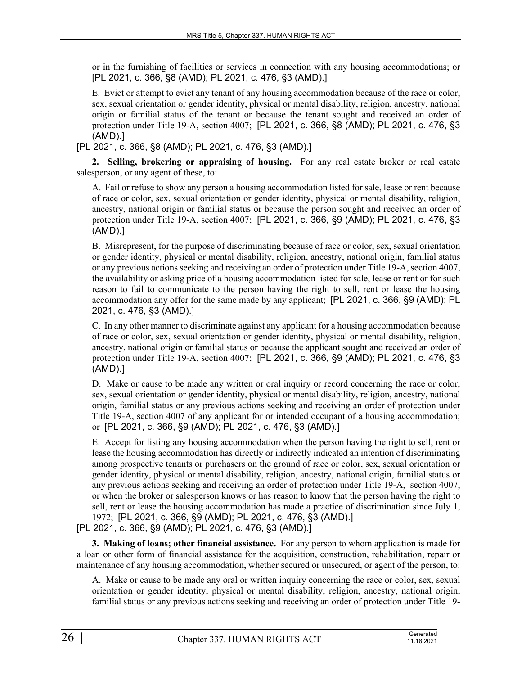or in the furnishing of facilities or services in connection with any housing accommodations; or [PL 2021, c. 366, §8 (AMD); PL 2021, c. 476, §3 (AMD).]

E. Evict or attempt to evict any tenant of any housing accommodation because of the race or color, sex, sexual orientation or gender identity, physical or mental disability, religion, ancestry, national origin or familial status of the tenant or because the tenant sought and received an order of protection under Title 19-A, section 4007; [PL 2021, c. 366, §8 (AMD); PL 2021, c. 476, §3 (AMD).]

[PL 2021, c. 366, §8 (AMD); PL 2021, c. 476, §3 (AMD).]

**2. Selling, brokering or appraising of housing.** For any real estate broker or real estate salesperson, or any agent of these, to:

A. Fail or refuse to show any person a housing accommodation listed for sale, lease or rent because of race or color, sex, sexual orientation or gender identity, physical or mental disability, religion, ancestry, national origin or familial status or because the person sought and received an order of protection under Title 19-A, section 4007; [PL 2021, c. 366, §9 (AMD); PL 2021, c. 476, §3 (AMD).]

B. Misrepresent, for the purpose of discriminating because of race or color, sex, sexual orientation or gender identity, physical or mental disability, religion, ancestry, national origin, familial status or any previous actions seeking and receiving an order of protection under Title 19-A, section 4007, the availability or asking price of a housing accommodation listed for sale, lease or rent or for such reason to fail to communicate to the person having the right to sell, rent or lease the housing accommodation any offer for the same made by any applicant; [PL 2021, c. 366, §9 (AMD); PL 2021, c. 476, §3 (AMD).]

C. In any other manner to discriminate against any applicant for a housing accommodation because of race or color, sex, sexual orientation or gender identity, physical or mental disability, religion, ancestry, national origin or familial status or because the applicant sought and received an order of protection under Title 19-A, section 4007; [PL 2021, c. 366, §9 (AMD); PL 2021, c. 476, §3 (AMD).]

D. Make or cause to be made any written or oral inquiry or record concerning the race or color, sex, sexual orientation or gender identity, physical or mental disability, religion, ancestry, national origin, familial status or any previous actions seeking and receiving an order of protection under Title 19-A, section 4007 of any applicant for or intended occupant of a housing accommodation; or [PL 2021, c. 366, §9 (AMD); PL 2021, c. 476, §3 (AMD).]

E. Accept for listing any housing accommodation when the person having the right to sell, rent or lease the housing accommodation has directly or indirectly indicated an intention of discriminating among prospective tenants or purchasers on the ground of race or color, sex, sexual orientation or gender identity, physical or mental disability, religion, ancestry, national origin, familial status or any previous actions seeking and receiving an order of protection under Title 19-A, section 4007, or when the broker or salesperson knows or has reason to know that the person having the right to sell, rent or lease the housing accommodation has made a practice of discrimination since July 1, 1972; [PL 2021, c. 366, §9 (AMD); PL 2021, c. 476, §3 (AMD).] [PL 2021, c. 366, §9 (AMD); PL 2021, c. 476, §3 (AMD).]

**3. Making of loans; other financial assistance.** For any person to whom application is made for a loan or other form of financial assistance for the acquisition, construction, rehabilitation, repair or maintenance of any housing accommodation, whether secured or unsecured, or agent of the person, to:

A. Make or cause to be made any oral or written inquiry concerning the race or color, sex, sexual orientation or gender identity, physical or mental disability, religion, ancestry, national origin, familial status or any previous actions seeking and receiving an order of protection under Title 19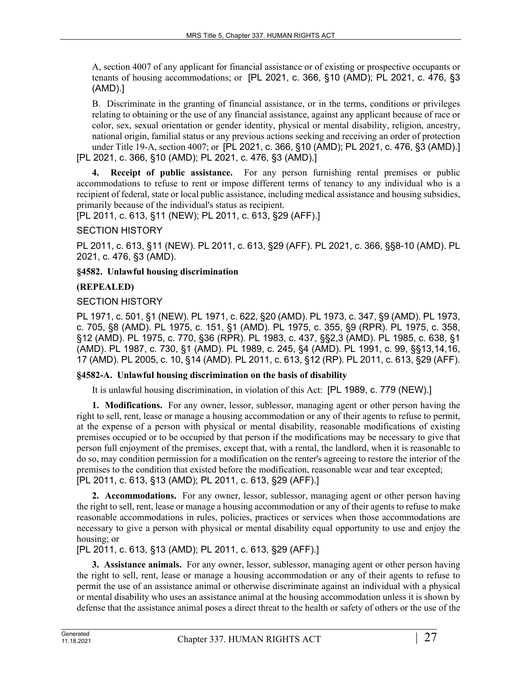A, section 4007 of any applicant for financial assistance or of existing or prospective occupants or tenants of housing accommodations; or [PL 2021, c. 366, §10 (AMD); PL 2021, c. 476, §3 (AMD).]

B. Discriminate in the granting of financial assistance, or in the terms, conditions or privileges relating to obtaining or the use of any financial assistance, against any applicant because of race or color, sex, sexual orientation or gender identity, physical or mental disability, religion, ancestry, national origin, familial status or any previous actions seeking and receiving an order of protection under Title 19-A, section 4007; or [PL 2021, c. 366, §10 (AMD); PL 2021, c. 476, §3 (AMD).] [PL 2021, c. 366, §10 (AMD); PL 2021, c. 476, §3 (AMD).]

**4. Receipt of public assistance.** For any person furnishing rental premises or public accommodations to refuse to rent or impose different terms of tenancy to any individual who is a recipient of federal, state or local public assistance, including medical assistance and housing subsidies, primarily because of the individual's status as recipient.

[PL 2011, c. 613, §11 (NEW); PL 2011, c. 613, §29 (AFF).]

#### SECTION HISTORY

PL 2011, c. 613, §11 (NEW). PL 2011, c. 613, §29 (AFF). PL 2021, c. 366, §§8-10 (AMD). PL 2021, c. 476, §3 (AMD).

# **§4582. Unlawful housing discrimination**

# **(REPEALED)**

# SECTION HISTORY

PL 1971, c. 501, §1 (NEW). PL 1971, c. 622, §20 (AMD). PL 1973, c. 347, §9 (AMD). PL 1973, c. 705, §8 (AMD). PL 1975, c. 151, §1 (AMD). PL 1975, c. 355, §9 (RPR). PL 1975, c. 358, §12 (AMD). PL 1975, c. 770, §36 (RPR). PL 1983, c. 437, §§2,3 (AMD). PL 1985, c. 638, §1 (AMD). PL 1987, c. 730, §1 (AMD). PL 1989, c. 245, §4 (AMD). PL 1991, c. 99, §§13,14,16, 17 (AMD). PL 2005, c. 10, §14 (AMD). PL 2011, c. 613, §12 (RP). PL 2011, c. 613, §29 (AFF).

#### **§4582-A. Unlawful housing discrimination on the basis of disability**

It is unlawful housing discrimination, in violation of this Act: [PL 1989, c. 779 (NEW).]

**1. Modifications.** For any owner, lessor, sublessor, managing agent or other person having the right to sell, rent, lease or manage a housing accommodation or any of their agents to refuse to permit, at the expense of a person with physical or mental disability, reasonable modifications of existing premises occupied or to be occupied by that person if the modifications may be necessary to give that person full enjoyment of the premises, except that, with a rental, the landlord, when it is reasonable to do so, may condition permission for a modification on the renter's agreeing to restore the interior of the premises to the condition that existed before the modification, reasonable wear and tear excepted; [PL 2011, c. 613, §13 (AMD); PL 2011, c. 613, §29 (AFF).]

**2. Accommodations.** For any owner, lessor, sublessor, managing agent or other person having the right to sell, rent, lease or manage a housing accommodation or any of their agents to refuse to make reasonable accommodations in rules, policies, practices or services when those accommodations are necessary to give a person with physical or mental disability equal opportunity to use and enjoy the housing; or

[PL 2011, c. 613, §13 (AMD); PL 2011, c. 613, §29 (AFF).]

**3. Assistance animals.** For any owner, lessor, sublessor, managing agent or other person having the right to sell, rent, lease or manage a housing accommodation or any of their agents to refuse to permit the use of an assistance animal or otherwise discriminate against an individual with a physical or mental disability who uses an assistance animal at the housing accommodation unless it is shown by defense that the assistance animal poses a direct threat to the health or safety of others or the use of the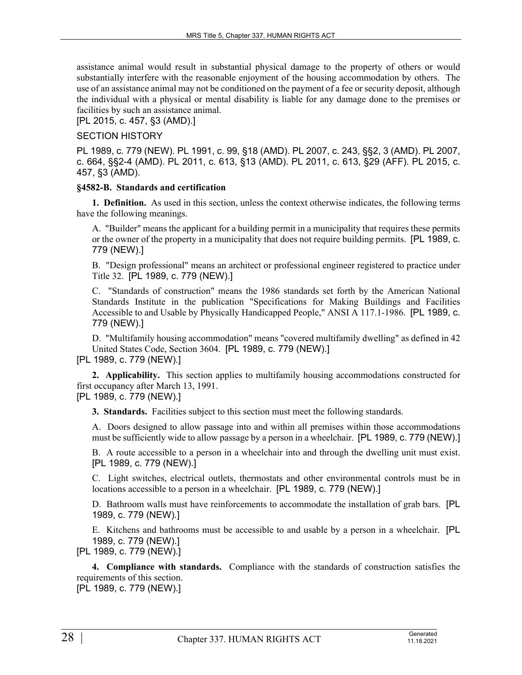assistance animal would result in substantial physical damage to the property of others or would substantially interfere with the reasonable enjoyment of the housing accommodation by others. The use of an assistance animal may not be conditioned on the payment of a fee or security deposit, although the individual with a physical or mental disability is liable for any damage done to the premises or facilities by such an assistance animal.

[PL 2015, c. 457, §3 (AMD).]

# SECTION HISTORY

PL 1989, c. 779 (NEW). PL 1991, c. 99, §18 (AMD). PL 2007, c. 243, §§2, 3 (AMD). PL 2007, c. 664, §§2-4 (AMD). PL 2011, c. 613, §13 (AMD). PL 2011, c. 613, §29 (AFF). PL 2015, c. 457, §3 (AMD).

#### **§4582-B. Standards and certification**

**1. Definition.** As used in this section, unless the context otherwise indicates, the following terms have the following meanings.

A. "Builder" means the applicant for a building permit in a municipality that requires these permits or the owner of the property in a municipality that does not require building permits. [PL 1989, c. 779 (NEW).]

B. "Design professional" means an architect or professional engineer registered to practice under Title 32. [PL 1989, c. 779 (NEW).]

C. "Standards of construction" means the 1986 standards set forth by the American National Standards Institute in the publication "Specifications for Making Buildings and Facilities Accessible to and Usable by Physically Handicapped People," ANSI A 117.1-1986. [PL 1989, c. 779 (NEW).]

D. "Multifamily housing accommodation" means "covered multifamily dwelling" as defined in 42 United States Code, Section 3604. [PL 1989, c. 779 (NEW).]

[PL 1989, c. 779 (NEW).]

**2. Applicability.** This section applies to multifamily housing accommodations constructed for first occupancy after March 13, 1991.

[PL 1989, c. 779 (NEW).]

**3. Standards.** Facilities subject to this section must meet the following standards.

A. Doors designed to allow passage into and within all premises within those accommodations must be sufficiently wide to allow passage by a person in a wheelchair. [PL 1989, c. 779 (NEW).]

B. A route accessible to a person in a wheelchair into and through the dwelling unit must exist. [PL 1989, c. 779 (NEW).]

C. Light switches, electrical outlets, thermostats and other environmental controls must be in locations accessible to a person in a wheelchair. [PL 1989, c. 779 (NEW).]

D. Bathroom walls must have reinforcements to accommodate the installation of grab bars. [PL 1989, c. 779 (NEW).]

E. Kitchens and bathrooms must be accessible to and usable by a person in a wheelchair. [PL 1989, c. 779 (NEW).]

[PL 1989, c. 779 (NEW).]

**4. Compliance with standards.** Compliance with the standards of construction satisfies the requirements of this section.

[PL 1989, c. 779 (NEW).]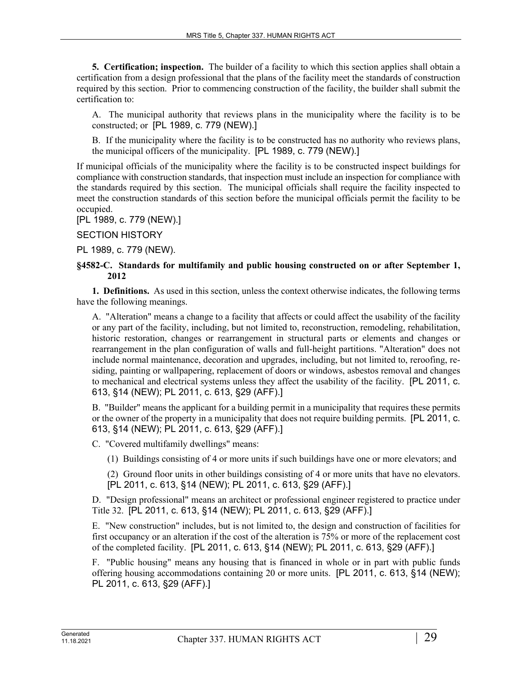**5. Certification; inspection.** The builder of a facility to which this section applies shall obtain a certification from a design professional that the plans of the facility meet the standards of construction required by this section. Prior to commencing construction of the facility, the builder shall submit the certification to:

A. The municipal authority that reviews plans in the municipality where the facility is to be constructed; or [PL 1989, c. 779 (NEW).]

B. If the municipality where the facility is to be constructed has no authority who reviews plans, the municipal officers of the municipality. [PL 1989, c. 779 (NEW).]

If municipal officials of the municipality where the facility is to be constructed inspect buildings for compliance with construction standards, that inspection must include an inspection for compliance with the standards required by this section. The municipal officials shall require the facility inspected to meet the construction standards of this section before the municipal officials permit the facility to be occupied.

[PL 1989, c. 779 (NEW).]

SECTION HISTORY

PL 1989, c. 779 (NEW).

#### **§4582-C. Standards for multifamily and public housing constructed on or after September 1, 2012**

**1. Definitions.** As used in this section, unless the context otherwise indicates, the following terms have the following meanings.

A. "Alteration" means a change to a facility that affects or could affect the usability of the facility or any part of the facility, including, but not limited to, reconstruction, remodeling, rehabilitation, historic restoration, changes or rearrangement in structural parts or elements and changes or rearrangement in the plan configuration of walls and full-height partitions. "Alteration" does not include normal maintenance, decoration and upgrades, including, but not limited to, reroofing, residing, painting or wallpapering, replacement of doors or windows, asbestos removal and changes to mechanical and electrical systems unless they affect the usability of the facility. [PL 2011, c. 613, §14 (NEW); PL 2011, c. 613, §29 (AFF).]

B. "Builder" means the applicant for a building permit in a municipality that requires these permits or the owner of the property in a municipality that does not require building permits. [PL 2011, c. 613, §14 (NEW); PL 2011, c. 613, §29 (AFF).]

C. "Covered multifamily dwellings" means:

(1) Buildings consisting of 4 or more units if such buildings have one or more elevators; and

(2) Ground floor units in other buildings consisting of 4 or more units that have no elevators. [PL 2011, c. 613, §14 (NEW); PL 2011, c. 613, §29 (AFF).]

D. "Design professional" means an architect or professional engineer registered to practice under Title 32. [PL 2011, c. 613, §14 (NEW); PL 2011, c. 613, §29 (AFF).]

E. "New construction" includes, but is not limited to, the design and construction of facilities for first occupancy or an alteration if the cost of the alteration is 75% or more of the replacement cost of the completed facility. [PL 2011, c. 613, §14 (NEW); PL 2011, c. 613, §29 (AFF).]

F. "Public housing" means any housing that is financed in whole or in part with public funds offering housing accommodations containing 20 or more units. [PL 2011, c. 613, §14 (NEW); PL 2011, c. 613, §29 (AFF).]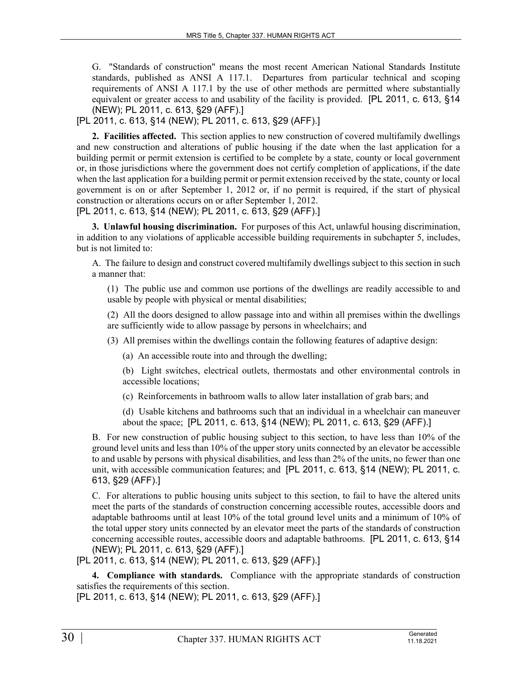G. "Standards of construction" means the most recent American National Standards Institute standards, published as ANSI A 117.1. Departures from particular technical and scoping requirements of ANSI A 117.1 by the use of other methods are permitted where substantially equivalent or greater access to and usability of the facility is provided. [PL 2011, c. 613, §14 (NEW); PL 2011, c. 613, §29 (AFF).]

[PL 2011, c. 613, §14 (NEW); PL 2011, c. 613, §29 (AFF).]

**2. Facilities affected.** This section applies to new construction of covered multifamily dwellings and new construction and alterations of public housing if the date when the last application for a building permit or permit extension is certified to be complete by a state, county or local government or, in those jurisdictions where the government does not certify completion of applications, if the date when the last application for a building permit or permit extension received by the state, county or local government is on or after September 1, 2012 or, if no permit is required, if the start of physical construction or alterations occurs on or after September 1, 2012.

[PL 2011, c. 613, §14 (NEW); PL 2011, c. 613, §29 (AFF).]

**3. Unlawful housing discrimination.** For purposes of this Act, unlawful housing discrimination, in addition to any violations of applicable accessible building requirements in subchapter 5, includes, but is not limited to:

A. The failure to design and construct covered multifamily dwellings subject to this section in such a manner that:

(1) The public use and common use portions of the dwellings are readily accessible to and usable by people with physical or mental disabilities;

(2) All the doors designed to allow passage into and within all premises within the dwellings are sufficiently wide to allow passage by persons in wheelchairs; and

- (3) All premises within the dwellings contain the following features of adaptive design:
	- (a) An accessible route into and through the dwelling;

(b) Light switches, electrical outlets, thermostats and other environmental controls in accessible locations;

(c) Reinforcements in bathroom walls to allow later installation of grab bars; and

(d) Usable kitchens and bathrooms such that an individual in a wheelchair can maneuver about the space; [PL 2011, c. 613, §14 (NEW); PL 2011, c. 613, §29 (AFF).]

B. For new construction of public housing subject to this section, to have less than 10% of the ground level units and less than 10% of the upper story units connected by an elevator be accessible to and usable by persons with physical disabilities, and less than 2% of the units, no fewer than one unit, with accessible communication features; and [PL 2011, c. 613, §14 (NEW); PL 2011, c. 613, §29 (AFF).]

C. For alterations to public housing units subject to this section, to fail to have the altered units meet the parts of the standards of construction concerning accessible routes, accessible doors and adaptable bathrooms until at least 10% of the total ground level units and a minimum of 10% of the total upper story units connected by an elevator meet the parts of the standards of construction concerning accessible routes, accessible doors and adaptable bathrooms. [PL 2011, c. 613, §14 (NEW); PL 2011, c. 613, §29 (AFF).]

[PL 2011, c. 613, §14 (NEW); PL 2011, c. 613, §29 (AFF).]

**4. Compliance with standards.** Compliance with the appropriate standards of construction satisfies the requirements of this section.

[PL 2011, c. 613, §14 (NEW); PL 2011, c. 613, §29 (AFF).]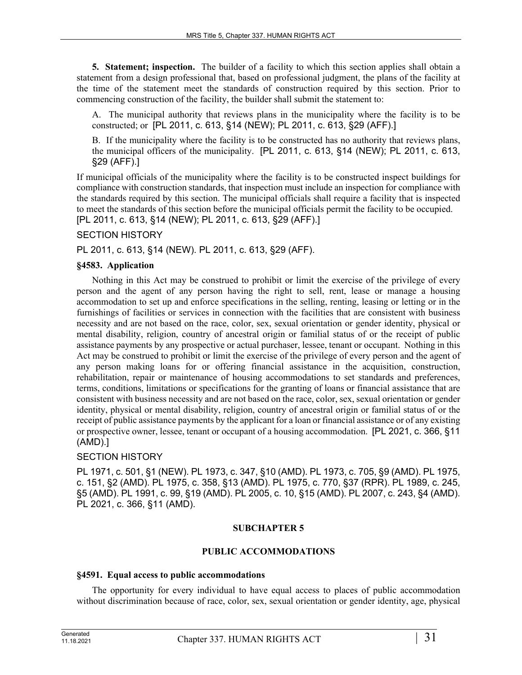**5. Statement; inspection.** The builder of a facility to which this section applies shall obtain a statement from a design professional that, based on professional judgment, the plans of the facility at the time of the statement meet the standards of construction required by this section. Prior to commencing construction of the facility, the builder shall submit the statement to:

A. The municipal authority that reviews plans in the municipality where the facility is to be constructed; or [PL 2011, c. 613, §14 (NEW); PL 2011, c. 613, §29 (AFF).]

B. If the municipality where the facility is to be constructed has no authority that reviews plans, the municipal officers of the municipality. [PL 2011, c. 613, §14 (NEW); PL 2011, c. 613, §29 (AFF).]

If municipal officials of the municipality where the facility is to be constructed inspect buildings for compliance with construction standards, that inspection must include an inspection for compliance with the standards required by this section. The municipal officials shall require a facility that is inspected to meet the standards of this section before the municipal officials permit the facility to be occupied. [PL 2011, c. 613, §14 (NEW); PL 2011, c. 613, §29 (AFF).]

# SECTION HISTORY

PL 2011, c. 613, §14 (NEW). PL 2011, c. 613, §29 (AFF).

#### **§4583. Application**

Nothing in this Act may be construed to prohibit or limit the exercise of the privilege of every person and the agent of any person having the right to sell, rent, lease or manage a housing accommodation to set up and enforce specifications in the selling, renting, leasing or letting or in the furnishings of facilities or services in connection with the facilities that are consistent with business necessity and are not based on the race, color, sex, sexual orientation or gender identity, physical or mental disability, religion, country of ancestral origin or familial status of or the receipt of public assistance payments by any prospective or actual purchaser, lessee, tenant or occupant. Nothing in this Act may be construed to prohibit or limit the exercise of the privilege of every person and the agent of any person making loans for or offering financial assistance in the acquisition, construction, rehabilitation, repair or maintenance of housing accommodations to set standards and preferences, terms, conditions, limitations or specifications for the granting of loans or financial assistance that are consistent with business necessity and are not based on the race, color, sex, sexual orientation or gender identity, physical or mental disability, religion, country of ancestral origin or familial status of or the receipt of public assistance payments by the applicant for a loan or financial assistance or of any existing or prospective owner, lessee, tenant or occupant of a housing accommodation. [PL 2021, c. 366, §11 (AMD).]

# SECTION HISTORY

PL 1971, c. 501, §1 (NEW). PL 1973, c. 347, §10 (AMD). PL 1973, c. 705, §9 (AMD). PL 1975, c. 151, §2 (AMD). PL 1975, c. 358, §13 (AMD). PL 1975, c. 770, §37 (RPR). PL 1989, c. 245, §5 (AMD). PL 1991, c. 99, §19 (AMD). PL 2005, c. 10, §15 (AMD). PL 2007, c. 243, §4 (AMD). PL 2021, c. 366, §11 (AMD).

#### **SUBCHAPTER 5**

#### **PUBLIC ACCOMMODATIONS**

#### **§4591. Equal access to public accommodations**

The opportunity for every individual to have equal access to places of public accommodation without discrimination because of race, color, sex, sexual orientation or gender identity, age, physical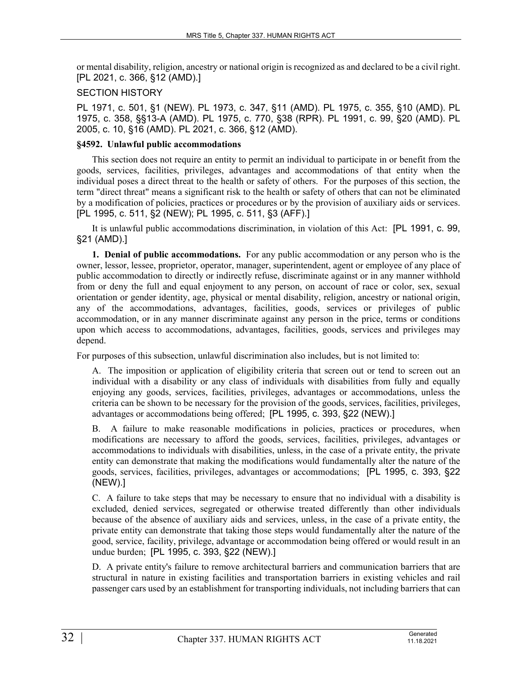or mental disability, religion, ancestry or national origin is recognized as and declared to be a civil right. [PL 2021, c. 366, §12 (AMD).]

# SECTION HISTORY

PL 1971, c. 501, §1 (NEW). PL 1973, c. 347, §11 (AMD). PL 1975, c. 355, §10 (AMD). PL 1975, c. 358, §§13-A (AMD). PL 1975, c. 770, §38 (RPR). PL 1991, c. 99, §20 (AMD). PL 2005, c. 10, §16 (AMD). PL 2021, c. 366, §12 (AMD).

#### **§4592. Unlawful public accommodations**

This section does not require an entity to permit an individual to participate in or benefit from the goods, services, facilities, privileges, advantages and accommodations of that entity when the individual poses a direct threat to the health or safety of others. For the purposes of this section, the term "direct threat" means a significant risk to the health or safety of others that can not be eliminated by a modification of policies, practices or procedures or by the provision of auxiliary aids or services. [PL 1995, c. 511, §2 (NEW); PL 1995, c. 511, §3 (AFF).]

It is unlawful public accommodations discrimination, in violation of this Act: [PL 1991, c. 99, §21 (AMD).]

**1. Denial of public accommodations.** For any public accommodation or any person who is the owner, lessor, lessee, proprietor, operator, manager, superintendent, agent or employee of any place of public accommodation to directly or indirectly refuse, discriminate against or in any manner withhold from or deny the full and equal enjoyment to any person, on account of race or color, sex, sexual orientation or gender identity, age, physical or mental disability, religion, ancestry or national origin, any of the accommodations, advantages, facilities, goods, services or privileges of public accommodation, or in any manner discriminate against any person in the price, terms or conditions upon which access to accommodations, advantages, facilities, goods, services and privileges may depend.

For purposes of this subsection, unlawful discrimination also includes, but is not limited to:

A. The imposition or application of eligibility criteria that screen out or tend to screen out an individual with a disability or any class of individuals with disabilities from fully and equally enjoying any goods, services, facilities, privileges, advantages or accommodations, unless the criteria can be shown to be necessary for the provision of the goods, services, facilities, privileges, advantages or accommodations being offered; [PL 1995, c. 393, §22 (NEW).]

B. A failure to make reasonable modifications in policies, practices or procedures, when modifications are necessary to afford the goods, services, facilities, privileges, advantages or accommodations to individuals with disabilities, unless, in the case of a private entity, the private entity can demonstrate that making the modifications would fundamentally alter the nature of the goods, services, facilities, privileges, advantages or accommodations; [PL 1995, c. 393, §22 (NEW).]

C. A failure to take steps that may be necessary to ensure that no individual with a disability is excluded, denied services, segregated or otherwise treated differently than other individuals because of the absence of auxiliary aids and services, unless, in the case of a private entity, the private entity can demonstrate that taking those steps would fundamentally alter the nature of the good, service, facility, privilege, advantage or accommodation being offered or would result in an undue burden; [PL 1995, c. 393, §22 (NEW).]

D. A private entity's failure to remove architectural barriers and communication barriers that are structural in nature in existing facilities and transportation barriers in existing vehicles and rail passenger cars used by an establishment for transporting individuals, not including barriers that can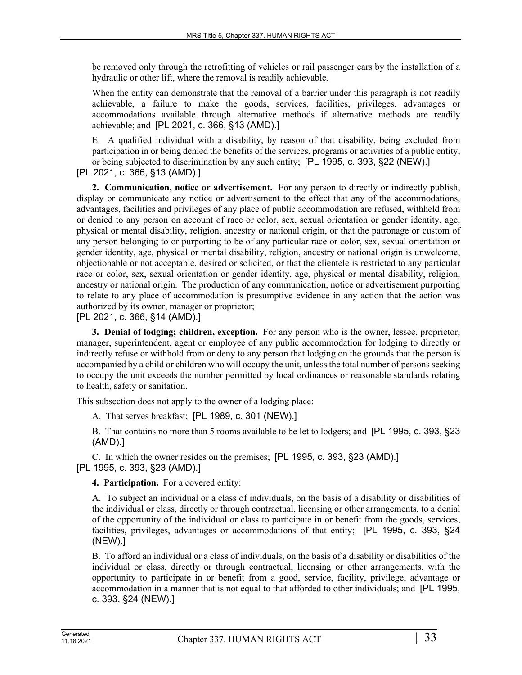be removed only through the retrofitting of vehicles or rail passenger cars by the installation of a hydraulic or other lift, where the removal is readily achievable.

When the entity can demonstrate that the removal of a barrier under this paragraph is not readily achievable, a failure to make the goods, services, facilities, privileges, advantages or accommodations available through alternative methods if alternative methods are readily achievable; and [PL 2021, c. 366, §13 (AMD).]

E. A qualified individual with a disability, by reason of that disability, being excluded from participation in or being denied the benefits of the services, programs or activities of a public entity, or being subjected to discrimination by any such entity; [PL 1995, c. 393, §22 (NEW).] [PL 2021, c. 366, §13 (AMD).]

**2. Communication, notice or advertisement.** For any person to directly or indirectly publish, display or communicate any notice or advertisement to the effect that any of the accommodations, advantages, facilities and privileges of any place of public accommodation are refused, withheld from or denied to any person on account of race or color, sex, sexual orientation or gender identity, age, physical or mental disability, religion, ancestry or national origin, or that the patronage or custom of any person belonging to or purporting to be of any particular race or color, sex, sexual orientation or gender identity, age, physical or mental disability, religion, ancestry or national origin is unwelcome, objectionable or not acceptable, desired or solicited, or that the clientele is restricted to any particular race or color, sex, sexual orientation or gender identity, age, physical or mental disability, religion, ancestry or national origin. The production of any communication, notice or advertisement purporting to relate to any place of accommodation is presumptive evidence in any action that the action was authorized by its owner, manager or proprietor;

[PL 2021, c. 366, §14 (AMD).]

**3. Denial of lodging; children, exception.** For any person who is the owner, lessee, proprietor, manager, superintendent, agent or employee of any public accommodation for lodging to directly or indirectly refuse or withhold from or deny to any person that lodging on the grounds that the person is accompanied by a child or children who will occupy the unit, unless the total number of persons seeking to occupy the unit exceeds the number permitted by local ordinances or reasonable standards relating to health, safety or sanitation.

This subsection does not apply to the owner of a lodging place:

A. That serves breakfast; [PL 1989, c. 301 (NEW).]

B. That contains no more than 5 rooms available to be let to lodgers; and [PL 1995, c. 393, §23 (AMD).]

C. In which the owner resides on the premises; [PL 1995, c. 393, §23 (AMD).] [PL 1995, c. 393, §23 (AMD).]

**4. Participation.** For a covered entity:

A. To subject an individual or a class of individuals, on the basis of a disability or disabilities of the individual or class, directly or through contractual, licensing or other arrangements, to a denial of the opportunity of the individual or class to participate in or benefit from the goods, services, facilities, privileges, advantages or accommodations of that entity; [PL 1995, c. 393, §24 (NEW).]

B. To afford an individual or a class of individuals, on the basis of a disability or disabilities of the individual or class, directly or through contractual, licensing or other arrangements, with the opportunity to participate in or benefit from a good, service, facility, privilege, advantage or accommodation in a manner that is not equal to that afforded to other individuals; and [PL 1995, c. 393, §24 (NEW).]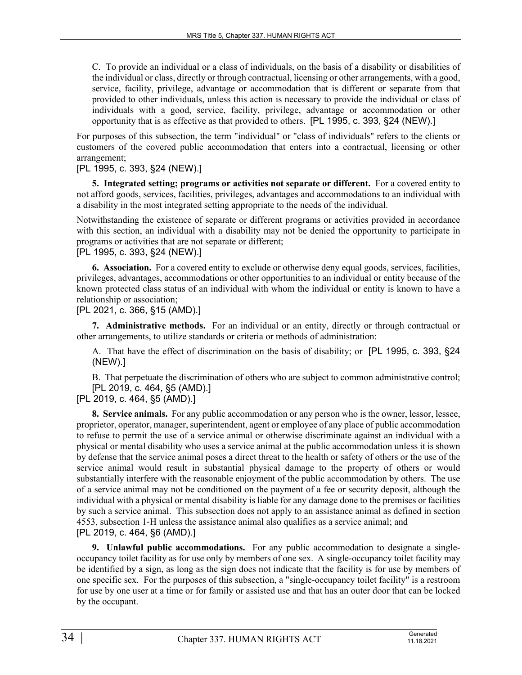C. To provide an individual or a class of individuals, on the basis of a disability or disabilities of the individual or class, directly or through contractual, licensing or other arrangements, with a good, service, facility, privilege, advantage or accommodation that is different or separate from that provided to other individuals, unless this action is necessary to provide the individual or class of individuals with a good, service, facility, privilege, advantage or accommodation or other opportunity that is as effective as that provided to others. [PL 1995, c. 393, §24 (NEW).]

For purposes of this subsection, the term "individual" or "class of individuals" refers to the clients or customers of the covered public accommodation that enters into a contractual, licensing or other arrangement;

# [PL 1995, c. 393, §24 (NEW).]

**5. Integrated setting; programs or activities not separate or different.** For a covered entity to not afford goods, services, facilities, privileges, advantages and accommodations to an individual with a disability in the most integrated setting appropriate to the needs of the individual.

Notwithstanding the existence of separate or different programs or activities provided in accordance with this section, an individual with a disability may not be denied the opportunity to participate in programs or activities that are not separate or different;

# [PL 1995, c. 393, §24 (NEW).]

**6. Association.** For a covered entity to exclude or otherwise deny equal goods, services, facilities, privileges, advantages, accommodations or other opportunities to an individual or entity because of the known protected class status of an individual with whom the individual or entity is known to have a relationship or association;

[PL 2021, c. 366, §15 (AMD).]

**7. Administrative methods.** For an individual or an entity, directly or through contractual or other arrangements, to utilize standards or criteria or methods of administration:

A. That have the effect of discrimination on the basis of disability; or [PL 1995, c. 393, §24 (NEW).]

B. That perpetuate the discrimination of others who are subject to common administrative control; [PL 2019, c. 464, §5 (AMD).]

[PL 2019, c. 464, §5 (AMD).]

**8. Service animals.** For any public accommodation or any person who is the owner, lessor, lessee, proprietor, operator, manager, superintendent, agent or employee of any place of public accommodation to refuse to permit the use of a service animal or otherwise discriminate against an individual with a physical or mental disability who uses a service animal at the public accommodation unless it is shown by defense that the service animal poses a direct threat to the health or safety of others or the use of the service animal would result in substantial physical damage to the property of others or would substantially interfere with the reasonable enjoyment of the public accommodation by others. The use of a service animal may not be conditioned on the payment of a fee or security deposit, although the individual with a physical or mental disability is liable for any damage done to the premises or facilities by such a service animal. This subsection does not apply to an assistance animal as defined in section 4553, subsection 1‑H unless the assistance animal also qualifies as a service animal; and [PL 2019, c. 464, §6 (AMD).]

**9. Unlawful public accommodations.** For any public accommodation to designate a singleoccupancy toilet facility as for use only by members of one sex. A single-occupancy toilet facility may be identified by a sign, as long as the sign does not indicate that the facility is for use by members of one specific sex. For the purposes of this subsection, a "single-occupancy toilet facility" is a restroom for use by one user at a time or for family or assisted use and that has an outer door that can be locked by the occupant.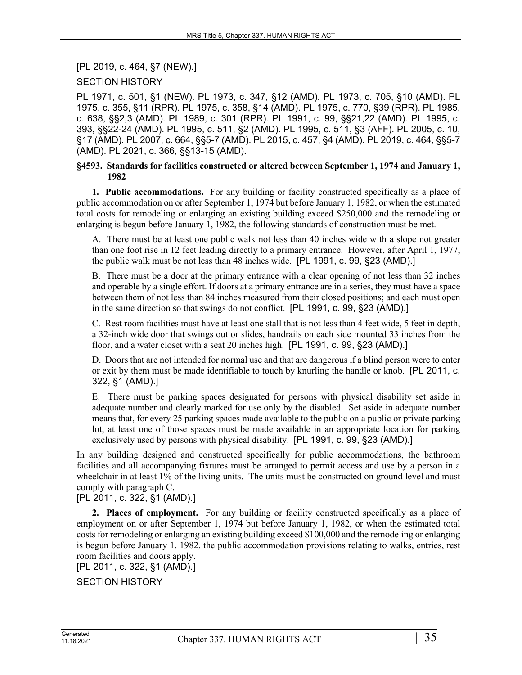[PL 2019, c. 464, §7 (NEW).]

# SECTION HISTORY

PL 1971, c. 501, §1 (NEW). PL 1973, c. 347, §12 (AMD). PL 1973, c. 705, §10 (AMD). PL 1975, c. 355, §11 (RPR). PL 1975, c. 358, §14 (AMD). PL 1975, c. 770, §39 (RPR). PL 1985, c. 638, §§2,3 (AMD). PL 1989, c. 301 (RPR). PL 1991, c. 99, §§21,22 (AMD). PL 1995, c. 393, §§22-24 (AMD). PL 1995, c. 511, §2 (AMD). PL 1995, c. 511, §3 (AFF). PL 2005, c. 10, §17 (AMD). PL 2007, c. 664, §§5-7 (AMD). PL 2015, c. 457, §4 (AMD). PL 2019, c. 464, §§5-7 (AMD). PL 2021, c. 366, §§13-15 (AMD).

#### **§4593. Standards for facilities constructed or altered between September 1, 1974 and January 1, 1982**

**1. Public accommodations.** For any building or facility constructed specifically as a place of public accommodation on or after September 1, 1974 but before January 1, 1982, or when the estimated total costs for remodeling or enlarging an existing building exceed \$250,000 and the remodeling or enlarging is begun before January 1, 1982, the following standards of construction must be met.

A. There must be at least one public walk not less than 40 inches wide with a slope not greater than one foot rise in 12 feet leading directly to a primary entrance. However, after April 1, 1977, the public walk must be not less than 48 inches wide. [PL 1991, c. 99, §23 (AMD).]

B. There must be a door at the primary entrance with a clear opening of not less than 32 inches and operable by a single effort. If doors at a primary entrance are in a series, they must have a space between them of not less than 84 inches measured from their closed positions; and each must open in the same direction so that swings do not conflict. [PL 1991, c. 99, §23 (AMD).]

C. Rest room facilities must have at least one stall that is not less than 4 feet wide, 5 feet in depth, a 32-inch wide door that swings out or slides, handrails on each side mounted 33 inches from the floor, and a water closet with a seat 20 inches high. [PL 1991, c. 99, §23 (AMD).]

D. Doors that are not intended for normal use and that are dangerous if a blind person were to enter or exit by them must be made identifiable to touch by knurling the handle or knob. [PL 2011, c. 322, §1 (AMD).]

E. There must be parking spaces designated for persons with physical disability set aside in adequate number and clearly marked for use only by the disabled. Set aside in adequate number means that, for every 25 parking spaces made available to the public on a public or private parking lot, at least one of those spaces must be made available in an appropriate location for parking exclusively used by persons with physical disability. [PL 1991, c. 99, §23 (AMD).]

In any building designed and constructed specifically for public accommodations, the bathroom facilities and all accompanying fixtures must be arranged to permit access and use by a person in a wheelchair in at least 1% of the living units. The units must be constructed on ground level and must comply with paragraph C.

[PL 2011, c. 322, §1 (AMD).]

**2. Places of employment.** For any building or facility constructed specifically as a place of employment on or after September 1, 1974 but before January 1, 1982, or when the estimated total costs for remodeling or enlarging an existing building exceed \$100,000 and the remodeling or enlarging is begun before January 1, 1982, the public accommodation provisions relating to walks, entries, rest room facilities and doors apply.

[PL 2011, c. 322, §1 (AMD).]

SECTION HISTORY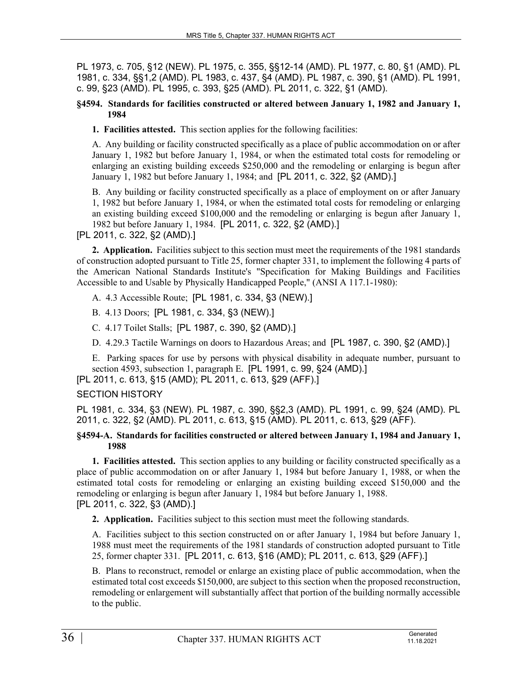PL 1973, c. 705, §12 (NEW). PL 1975, c. 355, §§12-14 (AMD). PL 1977, c. 80, §1 (AMD). PL 1981, c. 334, §§1,2 (AMD). PL 1983, c. 437, §4 (AMD). PL 1987, c. 390, §1 (AMD). PL 1991, c. 99, §23 (AMD). PL 1995, c. 393, §25 (AMD). PL 2011, c. 322, §1 (AMD).

#### **§4594. Standards for facilities constructed or altered between January 1, 1982 and January 1, 1984**

**1. Facilities attested.** This section applies for the following facilities:

A. Any building or facility constructed specifically as a place of public accommodation on or after January 1, 1982 but before January 1, 1984, or when the estimated total costs for remodeling or enlarging an existing building exceeds \$250,000 and the remodeling or enlarging is begun after January 1, 1982 but before January 1, 1984; and [PL 2011, c. 322, §2 (AMD).]

B. Any building or facility constructed specifically as a place of employment on or after January 1, 1982 but before January 1, 1984, or when the estimated total costs for remodeling or enlarging an existing building exceed \$100,000 and the remodeling or enlarging is begun after January 1, 1982 but before January 1, 1984. [PL 2011, c. 322, §2 (AMD).]

[PL 2011, c. 322, §2 (AMD).]

**2. Application.** Facilities subject to this section must meet the requirements of the 1981 standards of construction adopted pursuant to Title 25, former chapter 331, to implement the following 4 parts of the American National Standards Institute's "Specification for Making Buildings and Facilities Accessible to and Usable by Physically Handicapped People," (ANSI A 117.1-1980):

A. 4.3 Accessible Route; [PL 1981, c. 334, §3 (NEW).]

B. 4.13 Doors; [PL 1981, c. 334, §3 (NEW).]

C. 4.17 Toilet Stalls; [PL 1987, c. 390, §2 (AMD).]

D. 4.29.3 Tactile Warnings on doors to Hazardous Areas; and [PL 1987, c. 390, §2 (AMD).]

E. Parking spaces for use by persons with physical disability in adequate number, pursuant to section 4593, subsection 1, paragraph E. [PL 1991, c. 99, §24 (AMD).]

[PL 2011, c. 613, §15 (AMD); PL 2011, c. 613, §29 (AFF).]

# SECTION HISTORY

PL 1981, c. 334, §3 (NEW). PL 1987, c. 390, §§2,3 (AMD). PL 1991, c. 99, §24 (AMD). PL 2011, c. 322, §2 (AMD). PL 2011, c. 613, §15 (AMD). PL 2011, c. 613, §29 (AFF).

#### **§4594-A. Standards for facilities constructed or altered between January 1, 1984 and January 1, 1988**

**1. Facilities attested.** This section applies to any building or facility constructed specifically as a place of public accommodation on or after January 1, 1984 but before January 1, 1988, or when the estimated total costs for remodeling or enlarging an existing building exceed \$150,000 and the remodeling or enlarging is begun after January 1, 1984 but before January 1, 1988. [PL 2011, c. 322, §3 (AMD).]

**2. Application.** Facilities subject to this section must meet the following standards.

A. Facilities subject to this section constructed on or after January 1, 1984 but before January 1, 1988 must meet the requirements of the 1981 standards of construction adopted pursuant to Title 25, former chapter 331. [PL 2011, c. 613, §16 (AMD); PL 2011, c. 613, §29 (AFF).]

B. Plans to reconstruct, remodel or enlarge an existing place of public accommodation, when the estimated total cost exceeds \$150,000, are subject to this section when the proposed reconstruction, remodeling or enlargement will substantially affect that portion of the building normally accessible to the public.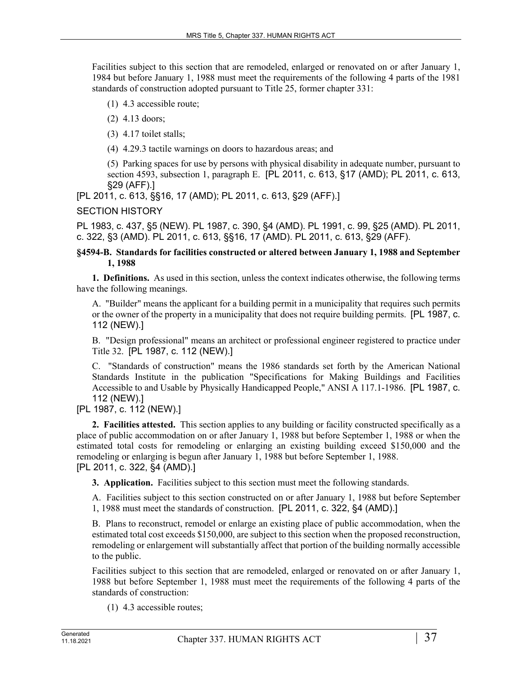Facilities subject to this section that are remodeled, enlarged or renovated on or after January 1, 1984 but before January 1, 1988 must meet the requirements of the following 4 parts of the 1981 standards of construction adopted pursuant to Title 25, former chapter 331:

- (1) 4.3 accessible route;
- (2) 4.13 doors;
- (3) 4.17 toilet stalls;
- (4) 4.29.3 tactile warnings on doors to hazardous areas; and

(5) Parking spaces for use by persons with physical disability in adequate number, pursuant to section 4593, subsection 1, paragraph E. [PL 2011, c. 613, §17 (AMD); PL 2011, c. 613, §29 (AFF).]

[PL 2011, c. 613, §§16, 17 (AMD); PL 2011, c. 613, §29 (AFF).]

# SECTION HISTORY

PL 1983, c. 437, §5 (NEW). PL 1987, c. 390, §4 (AMD). PL 1991, c. 99, §25 (AMD). PL 2011, c. 322, §3 (AMD). PL 2011, c. 613, §§16, 17 (AMD). PL 2011, c. 613, §29 (AFF).

#### **§4594-B. Standards for facilities constructed or altered between January 1, 1988 and September 1, 1988**

**1. Definitions.** As used in this section, unless the context indicates otherwise, the following terms have the following meanings.

A. "Builder" means the applicant for a building permit in a municipality that requires such permits or the owner of the property in a municipality that does not require building permits. [PL 1987, c. 112 (NEW).]

B. "Design professional" means an architect or professional engineer registered to practice under Title 32. [PL 1987, c. 112 (NEW).]

C. "Standards of construction" means the 1986 standards set forth by the American National Standards Institute in the publication "Specifications for Making Buildings and Facilities Accessible to and Usable by Physically Handicapped People," ANSI A 117.1-1986. [PL 1987, c. 112 (NEW).]

# [PL 1987, c. 112 (NEW).]

**2. Facilities attested.** This section applies to any building or facility constructed specifically as a place of public accommodation on or after January 1, 1988 but before September 1, 1988 or when the estimated total costs for remodeling or enlarging an existing building exceed \$150,000 and the remodeling or enlarging is begun after January 1, 1988 but before September 1, 1988. [PL 2011, c. 322, §4 (AMD).]

**3. Application.** Facilities subject to this section must meet the following standards.

A. Facilities subject to this section constructed on or after January 1, 1988 but before September 1, 1988 must meet the standards of construction. [PL 2011, c. 322, §4 (AMD).]

B. Plans to reconstruct, remodel or enlarge an existing place of public accommodation, when the estimated total cost exceeds \$150,000, are subject to this section when the proposed reconstruction, remodeling or enlargement will substantially affect that portion of the building normally accessible to the public.

Facilities subject to this section that are remodeled, enlarged or renovated on or after January 1, 1988 but before September 1, 1988 must meet the requirements of the following 4 parts of the standards of construction:

(1) 4.3 accessible routes;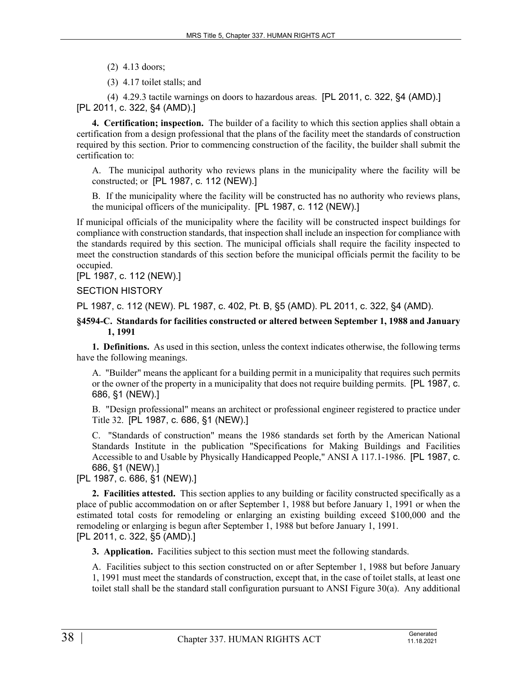- (2) 4.13 doors;
- (3) 4.17 toilet stalls; and

(4) 4.29.3 tactile warnings on doors to hazardous areas. [PL 2011, c. 322, §4 (AMD).] [PL 2011, c. 322, §4 (AMD).]

**4. Certification; inspection.** The builder of a facility to which this section applies shall obtain a certification from a design professional that the plans of the facility meet the standards of construction required by this section. Prior to commencing construction of the facility, the builder shall submit the certification to:

A. The municipal authority who reviews plans in the municipality where the facility will be constructed; or [PL 1987, c. 112 (NEW).]

B. If the municipality where the facility will be constructed has no authority who reviews plans, the municipal officers of the municipality. [PL 1987, c. 112 (NEW).]

If municipal officials of the municipality where the facility will be constructed inspect buildings for compliance with construction standards, that inspection shall include an inspection for compliance with the standards required by this section. The municipal officials shall require the facility inspected to meet the construction standards of this section before the municipal officials permit the facility to be occupied.

[PL 1987, c. 112 (NEW).]

# SECTION HISTORY

PL 1987, c. 112 (NEW). PL 1987, c. 402, Pt. B, §5 (AMD). PL 2011, c. 322, §4 (AMD).

#### **§4594-C. Standards for facilities constructed or altered between September 1, 1988 and January 1, 1991**

**1. Definitions.** As used in this section, unless the context indicates otherwise, the following terms have the following meanings.

A. "Builder" means the applicant for a building permit in a municipality that requires such permits or the owner of the property in a municipality that does not require building permits. [PL 1987, c. 686, §1 (NEW).]

B. "Design professional" means an architect or professional engineer registered to practice under Title 32. [PL 1987, c. 686, §1 (NEW).]

C. "Standards of construction" means the 1986 standards set forth by the American National Standards Institute in the publication "Specifications for Making Buildings and Facilities Accessible to and Usable by Physically Handicapped People," ANSI A 117.1-1986. [PL 1987, c. 686, §1 (NEW).]

[PL 1987, c. 686, §1 (NEW).]

**2. Facilities attested.** This section applies to any building or facility constructed specifically as a place of public accommodation on or after September 1, 1988 but before January 1, 1991 or when the estimated total costs for remodeling or enlarging an existing building exceed \$100,000 and the remodeling or enlarging is begun after September 1, 1988 but before January 1, 1991. [PL 2011, c. 322, §5 (AMD).]

**3. Application.** Facilities subject to this section must meet the following standards.

A. Facilities subject to this section constructed on or after September 1, 1988 but before January 1, 1991 must meet the standards of construction, except that, in the case of toilet stalls, at least one toilet stall shall be the standard stall configuration pursuant to ANSI Figure 30(a). Any additional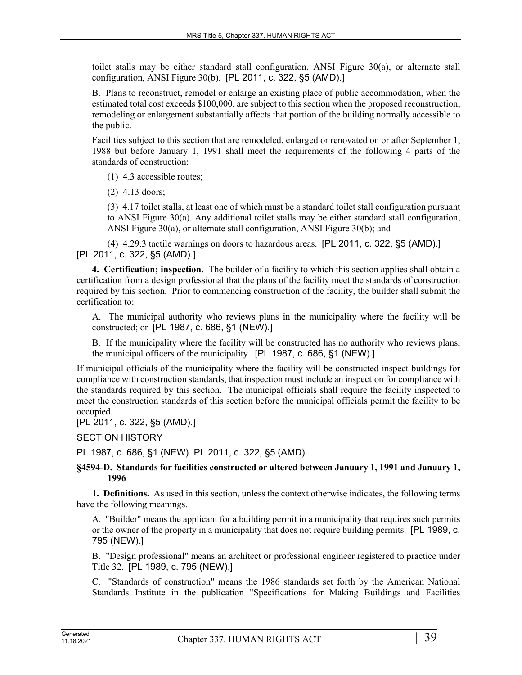toilet stalls may be either standard stall configuration, ANSI Figure 30(a), or alternate stall configuration, ANSI Figure 30(b). [PL 2011, c. 322, §5 (AMD).]

B. Plans to reconstruct, remodel or enlarge an existing place of public accommodation, when the estimated total cost exceeds \$100,000, are subject to this section when the proposed reconstruction, remodeling or enlargement substantially affects that portion of the building normally accessible to the public.

Facilities subject to this section that are remodeled, enlarged or renovated on or after September 1, 1988 but before January 1, 1991 shall meet the requirements of the following 4 parts of the standards of construction:

(1) 4.3 accessible routes;

(2) 4.13 doors;

(3) 4.17 toilet stalls, at least one of which must be a standard toilet stall configuration pursuant to ANSI Figure 30(a). Any additional toilet stalls may be either standard stall configuration, ANSI Figure 30(a), or alternate stall configuration, ANSI Figure 30(b); and

(4) 4.29.3 tactile warnings on doors to hazardous areas. [PL 2011, c. 322, §5 (AMD).] [PL 2011, c. 322, §5 (AMD).]

**4. Certification; inspection.** The builder of a facility to which this section applies shall obtain a certification from a design professional that the plans of the facility meet the standards of construction required by this section. Prior to commencing construction of the facility, the builder shall submit the certification to:

A. The municipal authority who reviews plans in the municipality where the facility will be constructed; or [PL 1987, c. 686, §1 (NEW).]

B. If the municipality where the facility will be constructed has no authority who reviews plans, the municipal officers of the municipality. [PL 1987, c. 686, §1 (NEW).]

If municipal officials of the municipality where the facility will be constructed inspect buildings for compliance with construction standards, that inspection must include an inspection for compliance with the standards required by this section. The municipal officials shall require the facility inspected to meet the construction standards of this section before the municipal officials permit the facility to be occupied.

[PL 2011, c. 322, §5 (AMD).]

SECTION HISTORY

PL 1987, c. 686, §1 (NEW). PL 2011, c. 322, §5 (AMD).

**§4594-D. Standards for facilities constructed or altered between January 1, 1991 and January 1, 1996**

**1. Definitions.** As used in this section, unless the context otherwise indicates, the following terms have the following meanings.

A. "Builder" means the applicant for a building permit in a municipality that requires such permits or the owner of the property in a municipality that does not require building permits. [PL 1989, c. 795 (NEW).]

B. "Design professional" means an architect or professional engineer registered to practice under Title 32. [PL 1989, c. 795 (NEW).]

C. "Standards of construction" means the 1986 standards set forth by the American National Standards Institute in the publication "Specifications for Making Buildings and Facilities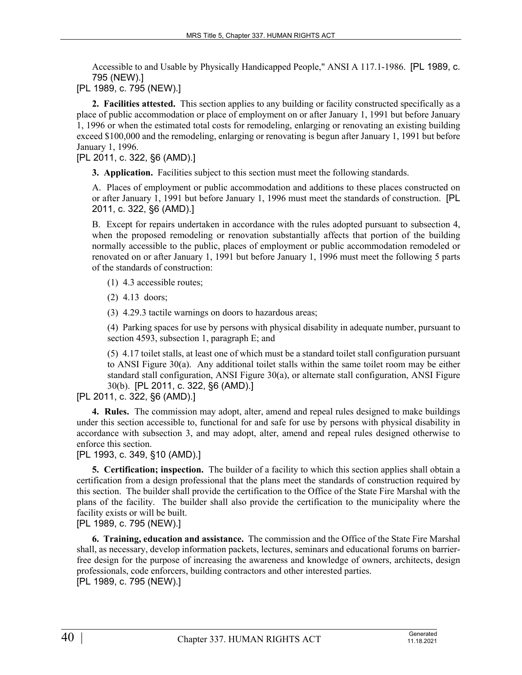Accessible to and Usable by Physically Handicapped People," ANSI A 117.1-1986. [PL 1989, c. 795 (NEW).]

[PL 1989, c. 795 (NEW).]

**2. Facilities attested.** This section applies to any building or facility constructed specifically as a place of public accommodation or place of employment on or after January 1, 1991 but before January 1, 1996 or when the estimated total costs for remodeling, enlarging or renovating an existing building exceed \$100,000 and the remodeling, enlarging or renovating is begun after January 1, 1991 but before January 1, 1996.

[PL 2011, c. 322, §6 (AMD).]

**3. Application.** Facilities subject to this section must meet the following standards.

A. Places of employment or public accommodation and additions to these places constructed on or after January 1, 1991 but before January 1, 1996 must meet the standards of construction. [PL 2011, c. 322, §6 (AMD).]

B. Except for repairs undertaken in accordance with the rules adopted pursuant to subsection 4, when the proposed remodeling or renovation substantially affects that portion of the building normally accessible to the public, places of employment or public accommodation remodeled or renovated on or after January 1, 1991 but before January 1, 1996 must meet the following 5 parts of the standards of construction:

(1) 4.3 accessible routes;

(2) 4.13 doors;

(3) 4.29.3 tactile warnings on doors to hazardous areas;

(4) Parking spaces for use by persons with physical disability in adequate number, pursuant to section 4593, subsection 1, paragraph E; and

(5) 4.17 toilet stalls, at least one of which must be a standard toilet stall configuration pursuant to ANSI Figure 30(a). Any additional toilet stalls within the same toilet room may be either standard stall configuration, ANSI Figure 30(a), or alternate stall configuration, ANSI Figure 30(b). [PL 2011, c. 322, §6 (AMD).]

[PL 2011, c. 322, §6 (AMD).]

**4. Rules.** The commission may adopt, alter, amend and repeal rules designed to make buildings under this section accessible to, functional for and safe for use by persons with physical disability in accordance with subsection 3, and may adopt, alter, amend and repeal rules designed otherwise to enforce this section.

[PL 1993, c. 349, §10 (AMD).]

**5. Certification; inspection.** The builder of a facility to which this section applies shall obtain a certification from a design professional that the plans meet the standards of construction required by this section. The builder shall provide the certification to the Office of the State Fire Marshal with the plans of the facility. The builder shall also provide the certification to the municipality where the facility exists or will be built.

[PL 1989, c. 795 (NEW).]

**6. Training, education and assistance.** The commission and the Office of the State Fire Marshal shall, as necessary, develop information packets, lectures, seminars and educational forums on barrierfree design for the purpose of increasing the awareness and knowledge of owners, architects, design professionals, code enforcers, building contractors and other interested parties. [PL 1989, c. 795 (NEW).]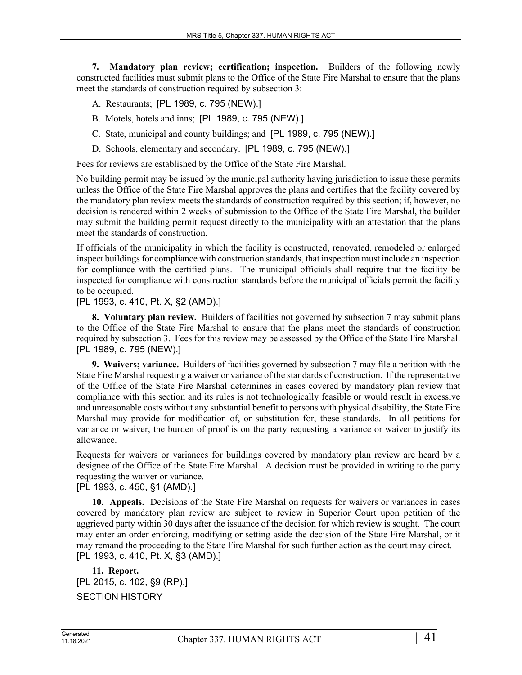**7. Mandatory plan review; certification; inspection.** Builders of the following newly constructed facilities must submit plans to the Office of the State Fire Marshal to ensure that the plans meet the standards of construction required by subsection 3:

A. Restaurants; [PL 1989, c. 795 (NEW).]

- B. Motels, hotels and inns; [PL 1989, c. 795 (NEW).]
- C. State, municipal and county buildings; and [PL 1989, c. 795 (NEW).]
- D. Schools, elementary and secondary. [PL 1989, c. 795 (NEW).]

Fees for reviews are established by the Office of the State Fire Marshal.

No building permit may be issued by the municipal authority having jurisdiction to issue these permits unless the Office of the State Fire Marshal approves the plans and certifies that the facility covered by the mandatory plan review meets the standards of construction required by this section; if, however, no decision is rendered within 2 weeks of submission to the Office of the State Fire Marshal, the builder may submit the building permit request directly to the municipality with an attestation that the plans meet the standards of construction.

If officials of the municipality in which the facility is constructed, renovated, remodeled or enlarged inspect buildings for compliance with construction standards, that inspection must include an inspection for compliance with the certified plans. The municipal officials shall require that the facility be inspected for compliance with construction standards before the municipal officials permit the facility to be occupied.

#### [PL 1993, c. 410, Pt. X, §2 (AMD).]

**8. Voluntary plan review.** Builders of facilities not governed by subsection 7 may submit plans to the Office of the State Fire Marshal to ensure that the plans meet the standards of construction required by subsection 3. Fees for this review may be assessed by the Office of the State Fire Marshal. [PL 1989, c. 795 (NEW).]

**9. Waivers; variance.** Builders of facilities governed by subsection 7 may file a petition with the State Fire Marshal requesting a waiver or variance of the standards of construction. If the representative of the Office of the State Fire Marshal determines in cases covered by mandatory plan review that compliance with this section and its rules is not technologically feasible or would result in excessive and unreasonable costs without any substantial benefit to persons with physical disability, the State Fire Marshal may provide for modification of, or substitution for, these standards. In all petitions for variance or waiver, the burden of proof is on the party requesting a variance or waiver to justify its allowance.

Requests for waivers or variances for buildings covered by mandatory plan review are heard by a designee of the Office of the State Fire Marshal. A decision must be provided in writing to the party requesting the waiver or variance.

[PL 1993, c. 450, §1 (AMD).]

**10. Appeals.** Decisions of the State Fire Marshal on requests for waivers or variances in cases covered by mandatory plan review are subject to review in Superior Court upon petition of the aggrieved party within 30 days after the issuance of the decision for which review is sought. The court may enter an order enforcing, modifying or setting aside the decision of the State Fire Marshal, or it may remand the proceeding to the State Fire Marshal for such further action as the court may direct. [PL 1993, c. 410, Pt. X, §3 (AMD).]

**11. Report.**  [PL 2015, c. 102, §9 (RP).] SECTION HISTORY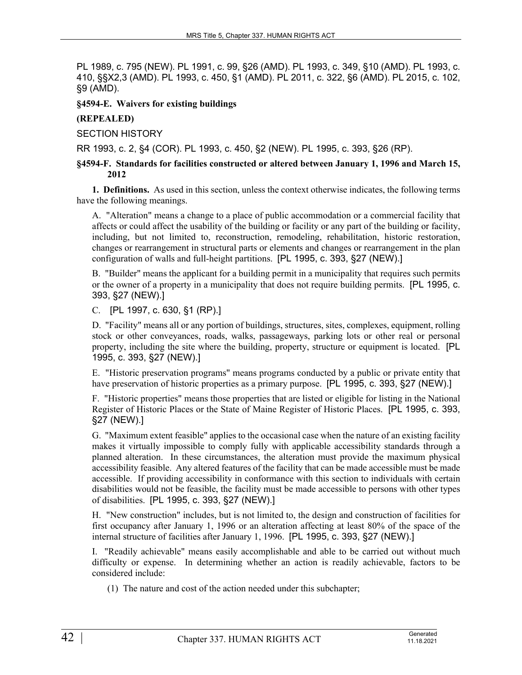PL 1989, c. 795 (NEW). PL 1991, c. 99, §26 (AMD). PL 1993, c. 349, §10 (AMD). PL 1993, c. 410, §§X2,3 (AMD). PL 1993, c. 450, §1 (AMD). PL 2011, c. 322, §6 (AMD). PL 2015, c. 102, §9 (AMD).

**§4594-E. Waivers for existing buildings**

# **(REPEALED)**

SECTION HISTORY

RR 1993, c. 2, §4 (COR). PL 1993, c. 450, §2 (NEW). PL 1995, c. 393, §26 (RP).

# **§4594-F. Standards for facilities constructed or altered between January 1, 1996 and March 15, 2012**

**1. Definitions.** As used in this section, unless the context otherwise indicates, the following terms have the following meanings.

A. "Alteration" means a change to a place of public accommodation or a commercial facility that affects or could affect the usability of the building or facility or any part of the building or facility, including, but not limited to, reconstruction, remodeling, rehabilitation, historic restoration, changes or rearrangement in structural parts or elements and changes or rearrangement in the plan configuration of walls and full-height partitions. [PL 1995, c. 393, §27 (NEW).]

B. "Builder" means the applicant for a building permit in a municipality that requires such permits or the owner of a property in a municipality that does not require building permits. [PL 1995, c. 393, §27 (NEW).]

C. [PL 1997, c. 630, §1 (RP).]

D. "Facility" means all or any portion of buildings, structures, sites, complexes, equipment, rolling stock or other conveyances, roads, walks, passageways, parking lots or other real or personal property, including the site where the building, property, structure or equipment is located. [PL 1995, c. 393, §27 (NEW).]

E. "Historic preservation programs" means programs conducted by a public or private entity that have preservation of historic properties as a primary purpose. [PL 1995, c. 393, §27 (NEW).]

F. "Historic properties" means those properties that are listed or eligible for listing in the National Register of Historic Places or the State of Maine Register of Historic Places. [PL 1995, c. 393, §27 (NEW).]

G. "Maximum extent feasible" applies to the occasional case when the nature of an existing facility makes it virtually impossible to comply fully with applicable accessibility standards through a planned alteration. In these circumstances, the alteration must provide the maximum physical accessibility feasible. Any altered features of the facility that can be made accessible must be made accessible. If providing accessibility in conformance with this section to individuals with certain disabilities would not be feasible, the facility must be made accessible to persons with other types of disabilities. [PL 1995, c. 393, §27 (NEW).]

H. "New construction" includes, but is not limited to, the design and construction of facilities for first occupancy after January 1, 1996 or an alteration affecting at least 80% of the space of the internal structure of facilities after January 1, 1996. [PL 1995, c. 393, §27 (NEW).]

I. "Readily achievable" means easily accomplishable and able to be carried out without much difficulty or expense. In determining whether an action is readily achievable, factors to be considered include:

(1) The nature and cost of the action needed under this subchapter;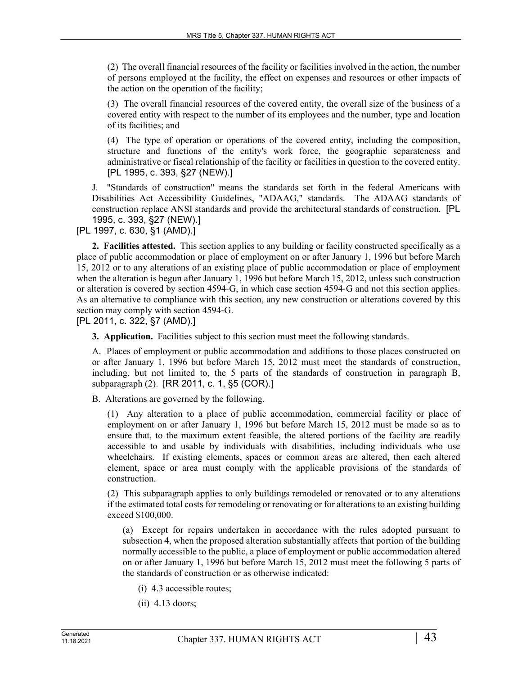(2) The overall financial resources of the facility or facilities involved in the action, the number of persons employed at the facility, the effect on expenses and resources or other impacts of the action on the operation of the facility;

(3) The overall financial resources of the covered entity, the overall size of the business of a covered entity with respect to the number of its employees and the number, type and location of its facilities; and

(4) The type of operation or operations of the covered entity, including the composition, structure and functions of the entity's work force, the geographic separateness and administrative or fiscal relationship of the facility or facilities in question to the covered entity. [PL 1995, c. 393, §27 (NEW).]

J. "Standards of construction" means the standards set forth in the federal Americans with Disabilities Act Accessibility Guidelines, "ADAAG," standards. The ADAAG standards of construction replace ANSI standards and provide the architectural standards of construction. [PL 1995, c. 393, §27 (NEW).]

[PL 1997, c. 630, §1 (AMD).]

**2. Facilities attested.** This section applies to any building or facility constructed specifically as a place of public accommodation or place of employment on or after January 1, 1996 but before March 15, 2012 or to any alterations of an existing place of public accommodation or place of employment when the alteration is begun after January 1, 1996 but before March 15, 2012, unless such construction or alteration is covered by section 4594‑G, in which case section 4594‑G and not this section applies. As an alternative to compliance with this section, any new construction or alterations covered by this section may comply with section 4594‑G.

[PL 2011, c. 322, §7 (AMD).]

**3. Application.** Facilities subject to this section must meet the following standards.

A. Places of employment or public accommodation and additions to those places constructed on or after January 1, 1996 but before March 15, 2012 must meet the standards of construction, including, but not limited to, the 5 parts of the standards of construction in paragraph B, subparagraph (2). [RR 2011, c. 1, §5 (COR).]

B. Alterations are governed by the following.

(1) Any alteration to a place of public accommodation, commercial facility or place of employment on or after January 1, 1996 but before March 15, 2012 must be made so as to ensure that, to the maximum extent feasible, the altered portions of the facility are readily accessible to and usable by individuals with disabilities, including individuals who use wheelchairs. If existing elements, spaces or common areas are altered, then each altered element, space or area must comply with the applicable provisions of the standards of construction.

(2) This subparagraph applies to only buildings remodeled or renovated or to any alterations if the estimated total costs for remodeling or renovating or for alterations to an existing building exceed \$100,000.

(a) Except for repairs undertaken in accordance with the rules adopted pursuant to subsection 4, when the proposed alteration substantially affects that portion of the building normally accessible to the public, a place of employment or public accommodation altered on or after January 1, 1996 but before March 15, 2012 must meet the following 5 parts of the standards of construction or as otherwise indicated:

- (i) 4.3 accessible routes;
- (ii) 4.13 doors;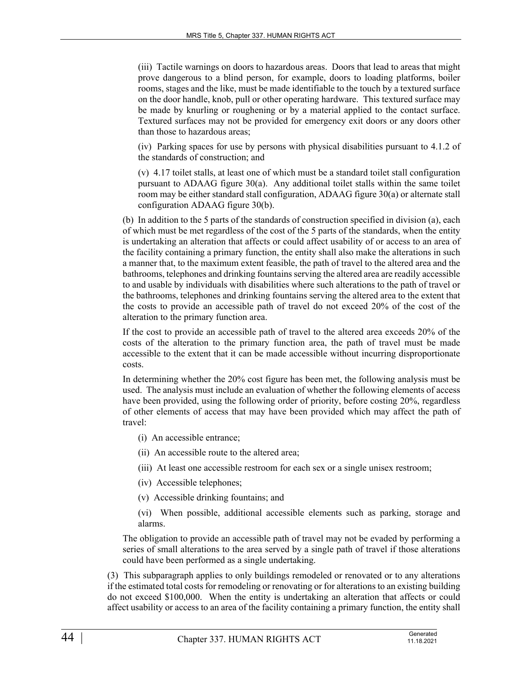(iii) Tactile warnings on doors to hazardous areas. Doors that lead to areas that might prove dangerous to a blind person, for example, doors to loading platforms, boiler rooms, stages and the like, must be made identifiable to the touch by a textured surface on the door handle, knob, pull or other operating hardware. This textured surface may be made by knurling or roughening or by a material applied to the contact surface. Textured surfaces may not be provided for emergency exit doors or any doors other than those to hazardous areas;

(iv) Parking spaces for use by persons with physical disabilities pursuant to 4.1.2 of the standards of construction; and

(v) 4.17 toilet stalls, at least one of which must be a standard toilet stall configuration pursuant to ADAAG figure 30(a). Any additional toilet stalls within the same toilet room may be either standard stall configuration, ADAAG figure 30(a) or alternate stall configuration ADAAG figure 30(b).

(b) In addition to the 5 parts of the standards of construction specified in division (a), each of which must be met regardless of the cost of the 5 parts of the standards, when the entity is undertaking an alteration that affects or could affect usability of or access to an area of the facility containing a primary function, the entity shall also make the alterations in such a manner that, to the maximum extent feasible, the path of travel to the altered area and the bathrooms, telephones and drinking fountains serving the altered area are readily accessible to and usable by individuals with disabilities where such alterations to the path of travel or the bathrooms, telephones and drinking fountains serving the altered area to the extent that the costs to provide an accessible path of travel do not exceed 20% of the cost of the alteration to the primary function area.

If the cost to provide an accessible path of travel to the altered area exceeds 20% of the costs of the alteration to the primary function area, the path of travel must be made accessible to the extent that it can be made accessible without incurring disproportionate costs.

In determining whether the 20% cost figure has been met, the following analysis must be used. The analysis must include an evaluation of whether the following elements of access have been provided, using the following order of priority, before costing 20%, regardless of other elements of access that may have been provided which may affect the path of travel:

- (i) An accessible entrance;
- (ii) An accessible route to the altered area;
- (iii) At least one accessible restroom for each sex or a single unisex restroom;
- (iv) Accessible telephones;
- (v) Accessible drinking fountains; and
- (vi) When possible, additional accessible elements such as parking, storage and alarms.

The obligation to provide an accessible path of travel may not be evaded by performing a series of small alterations to the area served by a single path of travel if those alterations could have been performed as a single undertaking.

(3) This subparagraph applies to only buildings remodeled or renovated or to any alterations if the estimated total costs for remodeling or renovating or for alterations to an existing building do not exceed \$100,000. When the entity is undertaking an alteration that affects or could affect usability or access to an area of the facility containing a primary function, the entity shall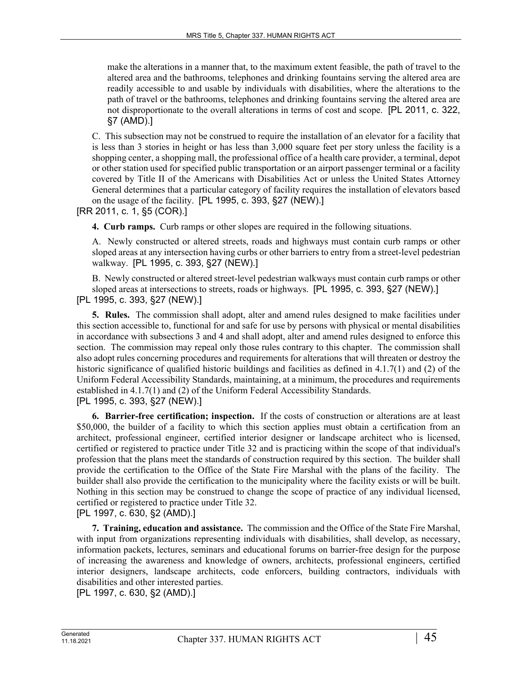make the alterations in a manner that, to the maximum extent feasible, the path of travel to the altered area and the bathrooms, telephones and drinking fountains serving the altered area are readily accessible to and usable by individuals with disabilities, where the alterations to the path of travel or the bathrooms, telephones and drinking fountains serving the altered area are not disproportionate to the overall alterations in terms of cost and scope. [PL 2011, c. 322, §7 (AMD).]

C. This subsection may not be construed to require the installation of an elevator for a facility that is less than 3 stories in height or has less than 3,000 square feet per story unless the facility is a shopping center, a shopping mall, the professional office of a health care provider, a terminal, depot or other station used for specified public transportation or an airport passenger terminal or a facility covered by Title II of the Americans with Disabilities Act or unless the United States Attorney General determines that a particular category of facility requires the installation of elevators based on the usage of the facility. [PL 1995, c. 393, §27 (NEW).]

[RR 2011, c. 1, §5 (COR).]

**4. Curb ramps.** Curb ramps or other slopes are required in the following situations.

A. Newly constructed or altered streets, roads and highways must contain curb ramps or other sloped areas at any intersection having curbs or other barriers to entry from a street-level pedestrian walkway. [PL 1995, c. 393, §27 (NEW).]

B. Newly constructed or altered street-level pedestrian walkways must contain curb ramps or other sloped areas at intersections to streets, roads or highways. [PL 1995, c. 393, §27 (NEW).] [PL 1995, c. 393, §27 (NEW).]

**5. Rules.** The commission shall adopt, alter and amend rules designed to make facilities under this section accessible to, functional for and safe for use by persons with physical or mental disabilities in accordance with subsections 3 and 4 and shall adopt, alter and amend rules designed to enforce this section. The commission may repeal only those rules contrary to this chapter. The commission shall also adopt rules concerning procedures and requirements for alterations that will threaten or destroy the historic significance of qualified historic buildings and facilities as defined in 4.1.7(1) and (2) of the Uniform Federal Accessibility Standards, maintaining, at a minimum, the procedures and requirements established in 4.1.7(1) and (2) of the Uniform Federal Accessibility Standards. [PL 1995, c. 393, §27 (NEW).]

**6. Barrier-free certification; inspection.** If the costs of construction or alterations are at least \$50,000, the builder of a facility to which this section applies must obtain a certification from an architect, professional engineer, certified interior designer or landscape architect who is licensed, certified or registered to practice under Title 32 and is practicing within the scope of that individual's profession that the plans meet the standards of construction required by this section. The builder shall provide the certification to the Office of the State Fire Marshal with the plans of the facility. The builder shall also provide the certification to the municipality where the facility exists or will be built. Nothing in this section may be construed to change the scope of practice of any individual licensed, certified or registered to practice under Title 32.

[PL 1997, c. 630, §2 (AMD).]

**7. Training, education and assistance.** The commission and the Office of the State Fire Marshal, with input from organizations representing individuals with disabilities, shall develop, as necessary, information packets, lectures, seminars and educational forums on barrier-free design for the purpose of increasing the awareness and knowledge of owners, architects, professional engineers, certified interior designers, landscape architects, code enforcers, building contractors, individuals with disabilities and other interested parties.

[PL 1997, c. 630, §2 (AMD).]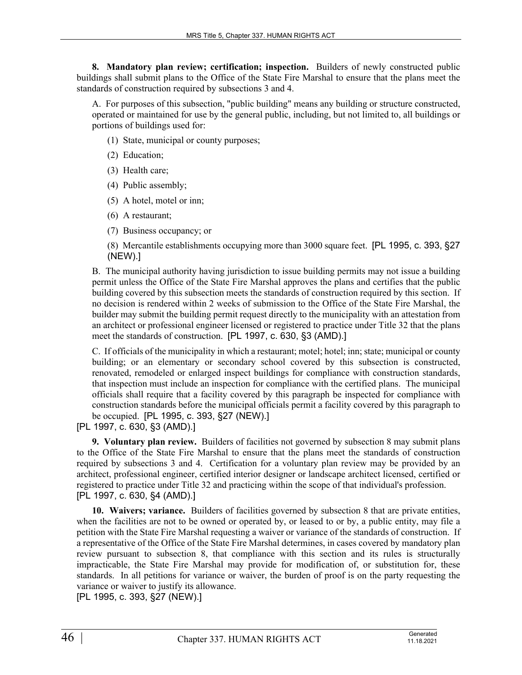**8. Mandatory plan review; certification; inspection.** Builders of newly constructed public buildings shall submit plans to the Office of the State Fire Marshal to ensure that the plans meet the standards of construction required by subsections 3 and 4.

A. For purposes of this subsection, "public building" means any building or structure constructed, operated or maintained for use by the general public, including, but not limited to, all buildings or portions of buildings used for:

(1) State, municipal or county purposes;

- (2) Education;
- (3) Health care;
- (4) Public assembly;
- (5) A hotel, motel or inn;
- (6) A restaurant;
- (7) Business occupancy; or

(8) Mercantile establishments occupying more than 3000 square feet. [PL 1995, c. 393, §27 (NEW).]

B. The municipal authority having jurisdiction to issue building permits may not issue a building permit unless the Office of the State Fire Marshal approves the plans and certifies that the public building covered by this subsection meets the standards of construction required by this section. If no decision is rendered within 2 weeks of submission to the Office of the State Fire Marshal, the builder may submit the building permit request directly to the municipality with an attestation from an architect or professional engineer licensed or registered to practice under Title 32 that the plans meet the standards of construction. [PL 1997, c. 630, §3 (AMD).]

C. If officials of the municipality in which a restaurant; motel; hotel; inn; state; municipal or county building; or an elementary or secondary school covered by this subsection is constructed, renovated, remodeled or enlarged inspect buildings for compliance with construction standards, that inspection must include an inspection for compliance with the certified plans. The municipal officials shall require that a facility covered by this paragraph be inspected for compliance with construction standards before the municipal officials permit a facility covered by this paragraph to be occupied. [PL 1995, c. 393, §27 (NEW).]

[PL 1997, c. 630, §3 (AMD).]

**9. Voluntary plan review.** Builders of facilities not governed by subsection 8 may submit plans to the Office of the State Fire Marshal to ensure that the plans meet the standards of construction required by subsections 3 and 4. Certification for a voluntary plan review may be provided by an architect, professional engineer, certified interior designer or landscape architect licensed, certified or registered to practice under Title 32 and practicing within the scope of that individual's profession. [PL 1997, c. 630, §4 (AMD).]

**10. Waivers; variance.** Builders of facilities governed by subsection 8 that are private entities, when the facilities are not to be owned or operated by, or leased to or by, a public entity, may file a petition with the State Fire Marshal requesting a waiver or variance of the standards of construction. If a representative of the Office of the State Fire Marshal determines, in cases covered by mandatory plan review pursuant to subsection 8, that compliance with this section and its rules is structurally impracticable, the State Fire Marshal may provide for modification of, or substitution for, these standards. In all petitions for variance or waiver, the burden of proof is on the party requesting the variance or waiver to justify its allowance.

[PL 1995, c. 393, §27 (NEW).]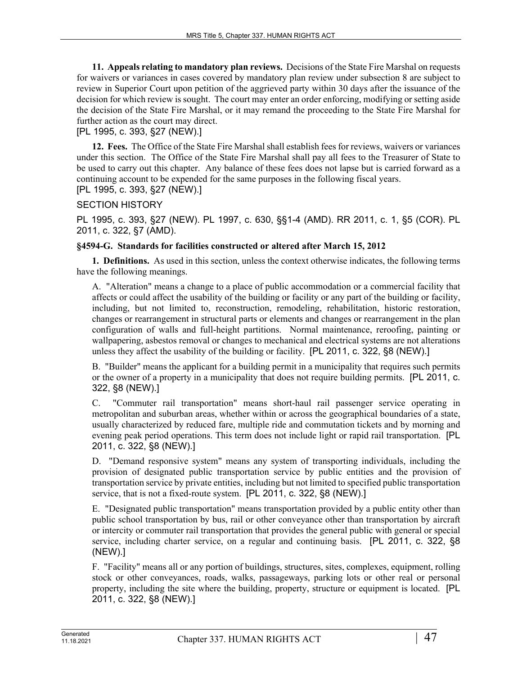**11. Appeals relating to mandatory plan reviews.** Decisions of the State Fire Marshal on requests for waivers or variances in cases covered by mandatory plan review under subsection 8 are subject to review in Superior Court upon petition of the aggrieved party within 30 days after the issuance of the decision for which review is sought. The court may enter an order enforcing, modifying or setting aside the decision of the State Fire Marshal, or it may remand the proceeding to the State Fire Marshal for further action as the court may direct.

# [PL 1995, c. 393, §27 (NEW).]

**12. Fees.** The Office of the State Fire Marshal shall establish fees for reviews, waivers or variances under this section. The Office of the State Fire Marshal shall pay all fees to the Treasurer of State to be used to carry out this chapter. Any balance of these fees does not lapse but is carried forward as a continuing account to be expended for the same purposes in the following fiscal years.

# [PL 1995, c. 393, §27 (NEW).]

# SECTION HISTORY

PL 1995, c. 393, §27 (NEW). PL 1997, c. 630, §§1-4 (AMD). RR 2011, c. 1, §5 (COR). PL 2011, c. 322, §7 (AMD).

# **§4594-G. Standards for facilities constructed or altered after March 15, 2012**

**1. Definitions.** As used in this section, unless the context otherwise indicates, the following terms have the following meanings.

A. "Alteration" means a change to a place of public accommodation or a commercial facility that affects or could affect the usability of the building or facility or any part of the building or facility, including, but not limited to, reconstruction, remodeling, rehabilitation, historic restoration, changes or rearrangement in structural parts or elements and changes or rearrangement in the plan configuration of walls and full-height partitions. Normal maintenance, reroofing, painting or wallpapering, asbestos removal or changes to mechanical and electrical systems are not alterations unless they affect the usability of the building or facility. [PL 2011, c. 322, §8 (NEW).]

B. "Builder" means the applicant for a building permit in a municipality that requires such permits or the owner of a property in a municipality that does not require building permits. [PL 2011, c. 322, §8 (NEW).]

C. "Commuter rail transportation" means short-haul rail passenger service operating in metropolitan and suburban areas, whether within or across the geographical boundaries of a state, usually characterized by reduced fare, multiple ride and commutation tickets and by morning and evening peak period operations. This term does not include light or rapid rail transportation. [PL 2011, c. 322, §8 (NEW).]

D. "Demand responsive system" means any system of transporting individuals, including the provision of designated public transportation service by public entities and the provision of transportation service by private entities, including but not limited to specified public transportation service, that is not a fixed-route system. [PL 2011, c. 322, §8 (NEW).]

E. "Designated public transportation" means transportation provided by a public entity other than public school transportation by bus, rail or other conveyance other than transportation by aircraft or intercity or commuter rail transportation that provides the general public with general or special service, including charter service, on a regular and continuing basis. [PL 2011, c. 322, §8 (NEW).]

F. "Facility" means all or any portion of buildings, structures, sites, complexes, equipment, rolling stock or other conveyances, roads, walks, passageways, parking lots or other real or personal property, including the site where the building, property, structure or equipment is located. [PL 2011, c. 322, §8 (NEW).]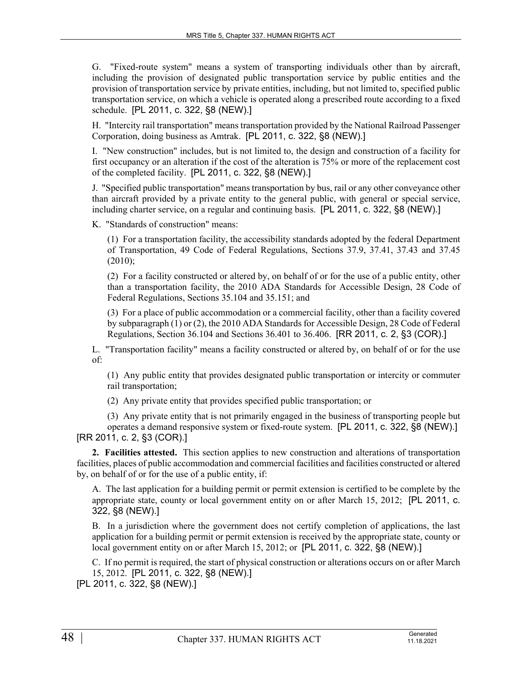G. "Fixed-route system" means a system of transporting individuals other than by aircraft, including the provision of designated public transportation service by public entities and the provision of transportation service by private entities, including, but not limited to, specified public transportation service, on which a vehicle is operated along a prescribed route according to a fixed schedule. [PL 2011, c. 322, §8 (NEW).]

H. "Intercity rail transportation" means transportation provided by the National Railroad Passenger Corporation, doing business as Amtrak. [PL 2011, c. 322, §8 (NEW).]

I. "New construction" includes, but is not limited to, the design and construction of a facility for first occupancy or an alteration if the cost of the alteration is 75% or more of the replacement cost of the completed facility. [PL 2011, c. 322, §8 (NEW).]

J. "Specified public transportation" means transportation by bus, rail or any other conveyance other than aircraft provided by a private entity to the general public, with general or special service, including charter service, on a regular and continuing basis. [PL 2011, c. 322, §8 (NEW).]

K. "Standards of construction" means:

(1) For a transportation facility, the accessibility standards adopted by the federal Department of Transportation, 49 Code of Federal Regulations, Sections 37.9, 37.41, 37.43 and 37.45  $(2010);$ 

(2) For a facility constructed or altered by, on behalf of or for the use of a public entity, other than a transportation facility, the 2010 ADA Standards for Accessible Design, 28 Code of Federal Regulations, Sections 35.104 and 35.151; and

(3) For a place of public accommodation or a commercial facility, other than a facility covered by subparagraph (1) or (2), the 2010 ADA Standards for Accessible Design, 28 Code of Federal Regulations, Section 36.104 and Sections 36.401 to 36.406. [RR 2011, c. 2, §3 (COR).]

L. "Transportation facility" means a facility constructed or altered by, on behalf of or for the use of:

(1) Any public entity that provides designated public transportation or intercity or commuter rail transportation;

(2) Any private entity that provides specified public transportation; or

(3) Any private entity that is not primarily engaged in the business of transporting people but operates a demand responsive system or fixed-route system. [PL 2011, c. 322, §8 (NEW).] [RR 2011, c. 2, §3 (COR).]

**2. Facilities attested.** This section applies to new construction and alterations of transportation facilities, places of public accommodation and commercial facilities and facilities constructed or altered by, on behalf of or for the use of a public entity, if:

A. The last application for a building permit or permit extension is certified to be complete by the appropriate state, county or local government entity on or after March 15, 2012; [PL 2011, c. 322, §8 (NEW).]

B. In a jurisdiction where the government does not certify completion of applications, the last application for a building permit or permit extension is received by the appropriate state, county or local government entity on or after March 15, 2012; or [PL 2011, c. 322, §8 (NEW).]

C. If no permit is required, the start of physical construction or alterations occurs on or after March 15, 2012. [PL 2011, c. 322, §8 (NEW).]

[PL 2011, c. 322, §8 (NEW).]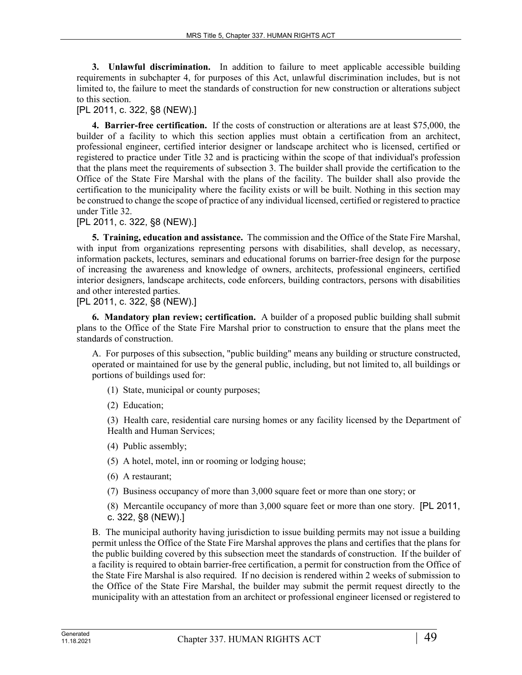**3. Unlawful discrimination.** In addition to failure to meet applicable accessible building requirements in subchapter 4, for purposes of this Act, unlawful discrimination includes, but is not limited to, the failure to meet the standards of construction for new construction or alterations subject to this section.

# [PL 2011, c. 322, §8 (NEW).]

**4. Barrier-free certification.** If the costs of construction or alterations are at least \$75,000, the builder of a facility to which this section applies must obtain a certification from an architect, professional engineer, certified interior designer or landscape architect who is licensed, certified or registered to practice under Title 32 and is practicing within the scope of that individual's profession that the plans meet the requirements of subsection 3. The builder shall provide the certification to the Office of the State Fire Marshal with the plans of the facility. The builder shall also provide the certification to the municipality where the facility exists or will be built. Nothing in this section may be construed to change the scope of practice of any individual licensed, certified or registered to practice under Title 32.

#### [PL 2011, c. 322, §8 (NEW).]

**5. Training, education and assistance.** The commission and the Office of the State Fire Marshal, with input from organizations representing persons with disabilities, shall develop, as necessary, information packets, lectures, seminars and educational forums on barrier-free design for the purpose of increasing the awareness and knowledge of owners, architects, professional engineers, certified interior designers, landscape architects, code enforcers, building contractors, persons with disabilities and other interested parties.

# [PL 2011, c. 322, §8 (NEW).]

**6. Mandatory plan review; certification.** A builder of a proposed public building shall submit plans to the Office of the State Fire Marshal prior to construction to ensure that the plans meet the standards of construction.

A. For purposes of this subsection, "public building" means any building or structure constructed, operated or maintained for use by the general public, including, but not limited to, all buildings or portions of buildings used for:

- (1) State, municipal or county purposes;
- (2) Education;

(3) Health care, residential care nursing homes or any facility licensed by the Department of Health and Human Services;

- (4) Public assembly;
- (5) A hotel, motel, inn or rooming or lodging house;
- (6) A restaurant;
- (7) Business occupancy of more than 3,000 square feet or more than one story; or

(8) Mercantile occupancy of more than 3,000 square feet or more than one story. [PL 2011, c. 322, §8 (NEW).]

B. The municipal authority having jurisdiction to issue building permits may not issue a building permit unless the Office of the State Fire Marshal approves the plans and certifies that the plans for the public building covered by this subsection meet the standards of construction. If the builder of a facility is required to obtain barrier-free certification, a permit for construction from the Office of the State Fire Marshal is also required. If no decision is rendered within 2 weeks of submission to the Office of the State Fire Marshal, the builder may submit the permit request directly to the municipality with an attestation from an architect or professional engineer licensed or registered to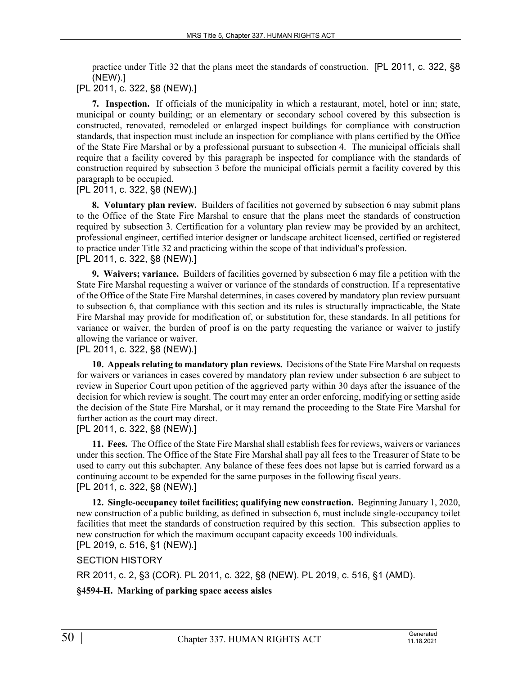practice under Title 32 that the plans meet the standards of construction. [PL 2011, c. 322, §8 (NEW).]

# [PL 2011, c. 322, §8 (NEW).]

**7. Inspection.** If officials of the municipality in which a restaurant, motel, hotel or inn; state, municipal or county building; or an elementary or secondary school covered by this subsection is constructed, renovated, remodeled or enlarged inspect buildings for compliance with construction standards, that inspection must include an inspection for compliance with plans certified by the Office of the State Fire Marshal or by a professional pursuant to subsection 4. The municipal officials shall require that a facility covered by this paragraph be inspected for compliance with the standards of construction required by subsection 3 before the municipal officials permit a facility covered by this paragraph to be occupied.

# [PL 2011, c. 322, §8 (NEW).]

**8. Voluntary plan review.** Builders of facilities not governed by subsection 6 may submit plans to the Office of the State Fire Marshal to ensure that the plans meet the standards of construction required by subsection 3. Certification for a voluntary plan review may be provided by an architect, professional engineer, certified interior designer or landscape architect licensed, certified or registered to practice under Title 32 and practicing within the scope of that individual's profession. [PL 2011, c. 322, §8 (NEW).]

**9. Waivers; variance.** Builders of facilities governed by subsection 6 may file a petition with the State Fire Marshal requesting a waiver or variance of the standards of construction. If a representative of the Office of the State Fire Marshal determines, in cases covered by mandatory plan review pursuant to subsection 6, that compliance with this section and its rules is structurally impracticable, the State Fire Marshal may provide for modification of, or substitution for, these standards. In all petitions for variance or waiver, the burden of proof is on the party requesting the variance or waiver to justify allowing the variance or waiver.

# [PL 2011, c. 322, §8 (NEW).]

**10. Appeals relating to mandatory plan reviews.** Decisions of the State Fire Marshal on requests for waivers or variances in cases covered by mandatory plan review under subsection 6 are subject to review in Superior Court upon petition of the aggrieved party within 30 days after the issuance of the decision for which review is sought. The court may enter an order enforcing, modifying or setting aside the decision of the State Fire Marshal, or it may remand the proceeding to the State Fire Marshal for further action as the court may direct.

# [PL 2011, c. 322, §8 (NEW).]

**11. Fees.** The Office of the State Fire Marshal shall establish fees for reviews, waivers or variances under this section. The Office of the State Fire Marshal shall pay all fees to the Treasurer of State to be used to carry out this subchapter. Any balance of these fees does not lapse but is carried forward as a continuing account to be expended for the same purposes in the following fiscal years. [PL 2011, c. 322, §8 (NEW).]

**12. Single-occupancy toilet facilities; qualifying new construction.** Beginning January 1, 2020, new construction of a public building, as defined in subsection 6, must include single-occupancy toilet facilities that meet the standards of construction required by this section. This subsection applies to new construction for which the maximum occupant capacity exceeds 100 individuals.

# [PL 2019, c. 516, §1 (NEW).]

# SECTION HISTORY

RR 2011, c. 2, §3 (COR). PL 2011, c. 322, §8 (NEW). PL 2019, c. 516, §1 (AMD).

# **§4594-H. Marking of parking space access aisles**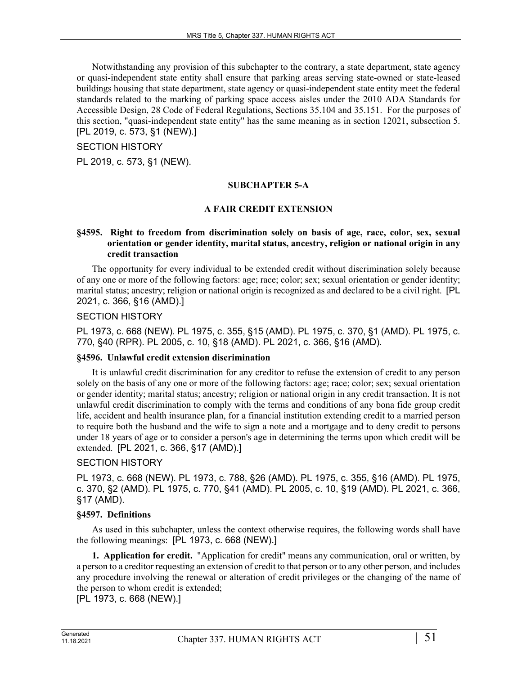Notwithstanding any provision of this subchapter to the contrary, a state department, state agency or quasi-independent state entity shall ensure that parking areas serving state-owned or state-leased buildings housing that state department, state agency or quasi-independent state entity meet the federal standards related to the marking of parking space access aisles under the 2010 ADA Standards for Accessible Design, 28 Code of Federal Regulations, Sections 35.104 and 35.151. For the purposes of this section, "quasi-independent state entity" has the same meaning as in section 12021, subsection 5. [PL 2019, c. 573, §1 (NEW).]

#### SECTION HISTORY

PL 2019, c. 573, §1 (NEW).

# **SUBCHAPTER 5-A**

#### **A FAIR CREDIT EXTENSION**

#### **§4595. Right to freedom from discrimination solely on basis of age, race, color, sex, sexual orientation or gender identity, marital status, ancestry, religion or national origin in any credit transaction**

The opportunity for every individual to be extended credit without discrimination solely because of any one or more of the following factors: age; race; color; sex; sexual orientation or gender identity; marital status; ancestry; religion or national origin is recognized as and declared to be a civil right. [PL 2021, c. 366, §16 (AMD).]

#### SECTION HISTORY

PL 1973, c. 668 (NEW). PL 1975, c. 355, §15 (AMD). PL 1975, c. 370, §1 (AMD). PL 1975, c. 770, §40 (RPR). PL 2005, c. 10, §18 (AMD). PL 2021, c. 366, §16 (AMD).

#### **§4596. Unlawful credit extension discrimination**

It is unlawful credit discrimination for any creditor to refuse the extension of credit to any person solely on the basis of any one or more of the following factors: age; race; color; sex; sexual orientation or gender identity; marital status; ancestry; religion or national origin in any credit transaction. It is not unlawful credit discrimination to comply with the terms and conditions of any bona fide group credit life, accident and health insurance plan, for a financial institution extending credit to a married person to require both the husband and the wife to sign a note and a mortgage and to deny credit to persons under 18 years of age or to consider a person's age in determining the terms upon which credit will be extended. [PL 2021, c. 366, §17 (AMD).]

#### SECTION HISTORY

PL 1973, c. 668 (NEW). PL 1973, c. 788, §26 (AMD). PL 1975, c. 355, §16 (AMD). PL 1975, c. 370, §2 (AMD). PL 1975, c. 770, §41 (AMD). PL 2005, c. 10, §19 (AMD). PL 2021, c. 366, §17 (AMD).

#### **§4597. Definitions**

As used in this subchapter, unless the context otherwise requires, the following words shall have the following meanings: [PL 1973, c. 668 (NEW).]

**1. Application for credit.** "Application for credit" means any communication, oral or written, by a person to a creditor requesting an extension of credit to that person or to any other person, and includes any procedure involving the renewal or alteration of credit privileges or the changing of the name of the person to whom credit is extended;

[PL 1973, c. 668 (NEW).]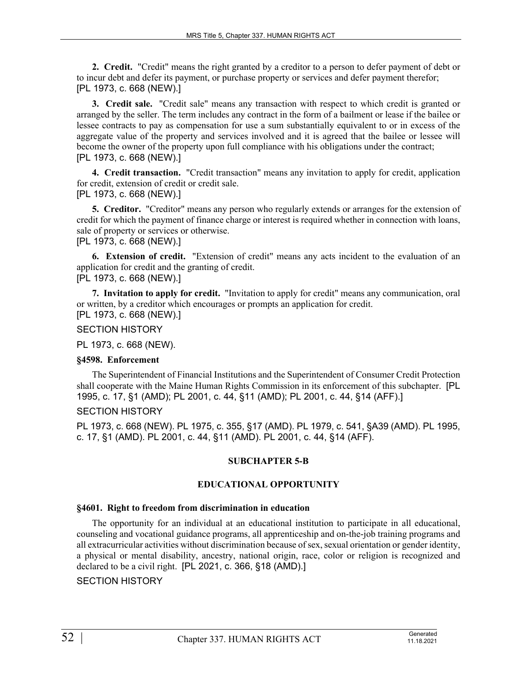**2. Credit.** "Credit" means the right granted by a creditor to a person to defer payment of debt or to incur debt and defer its payment, or purchase property or services and defer payment therefor; [PL 1973, c. 668 (NEW).]

**3. Credit sale.** "Credit sale" means any transaction with respect to which credit is granted or arranged by the seller. The term includes any contract in the form of a bailment or lease if the bailee or lessee contracts to pay as compensation for use a sum substantially equivalent to or in excess of the aggregate value of the property and services involved and it is agreed that the bailee or lessee will become the owner of the property upon full compliance with his obligations under the contract; [PL 1973, c. 668 (NEW).]

**4. Credit transaction.** "Credit transaction" means any invitation to apply for credit, application for credit, extension of credit or credit sale.

[PL 1973, c. 668 (NEW).]

**5. Creditor.** "Creditor" means any person who regularly extends or arranges for the extension of credit for which the payment of finance charge or interest is required whether in connection with loans, sale of property or services or otherwise.

[PL 1973, c. 668 (NEW).]

**6. Extension of credit.** "Extension of credit" means any acts incident to the evaluation of an application for credit and the granting of credit.

[PL 1973, c. 668 (NEW).]

**7. Invitation to apply for credit.** "Invitation to apply for credit" means any communication, oral or written, by a creditor which encourages or prompts an application for credit. [PL 1973, c. 668 (NEW).]

SECTION HISTORY

PL 1973, c. 668 (NEW).

#### **§4598. Enforcement**

The Superintendent of Financial Institutions and the Superintendent of Consumer Credit Protection shall cooperate with the Maine Human Rights Commission in its enforcement of this subchapter. [PL 1995, c. 17, §1 (AMD); PL 2001, c. 44, §11 (AMD); PL 2001, c. 44, §14 (AFF).]

SECTION HISTORY

PL 1973, c. 668 (NEW). PL 1975, c. 355, §17 (AMD). PL 1979, c. 541, §A39 (AMD). PL 1995, c. 17, §1 (AMD). PL 2001, c. 44, §11 (AMD). PL 2001, c. 44, §14 (AFF).

# **SUBCHAPTER 5-B**

# **EDUCATIONAL OPPORTUNITY**

#### **§4601. Right to freedom from discrimination in education**

The opportunity for an individual at an educational institution to participate in all educational, counseling and vocational guidance programs, all apprenticeship and on-the-job training programs and all extracurricular activities without discrimination because of sex, sexual orientation or gender identity, a physical or mental disability, ancestry, national origin, race, color or religion is recognized and declared to be a civil right. [PL 2021, c. 366, §18 (AMD).]

SECTION HISTORY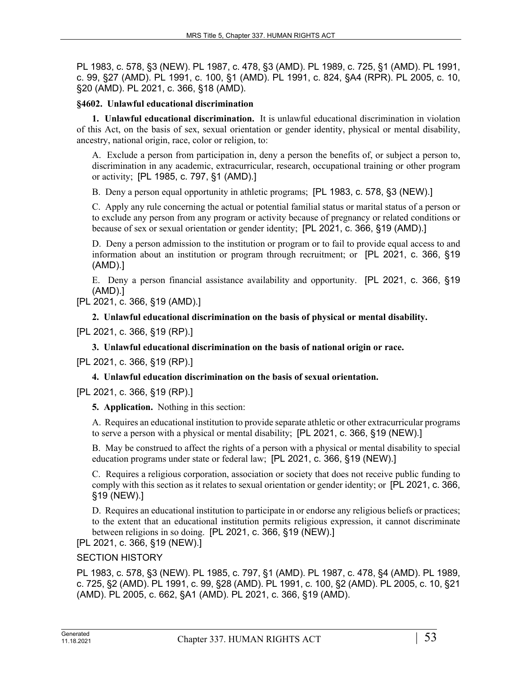PL 1983, c. 578, §3 (NEW). PL 1987, c. 478, §3 (AMD). PL 1989, c. 725, §1 (AMD). PL 1991, c. 99, §27 (AMD). PL 1991, c. 100, §1 (AMD). PL 1991, c. 824, §A4 (RPR). PL 2005, c. 10, §20 (AMD). PL 2021, c. 366, §18 (AMD).

# **§4602. Unlawful educational discrimination**

**1. Unlawful educational discrimination.** It is unlawful educational discrimination in violation of this Act, on the basis of sex, sexual orientation or gender identity, physical or mental disability, ancestry, national origin, race, color or religion, to:

A. Exclude a person from participation in, deny a person the benefits of, or subject a person to, discrimination in any academic, extracurricular, research, occupational training or other program or activity; [PL 1985, c. 797, §1 (AMD).]

B. Deny a person equal opportunity in athletic programs; [PL 1983, c. 578, §3 (NEW).]

C. Apply any rule concerning the actual or potential familial status or marital status of a person or to exclude any person from any program or activity because of pregnancy or related conditions or because of sex or sexual orientation or gender identity; [PL 2021, c. 366, §19 (AMD).]

D. Deny a person admission to the institution or program or to fail to provide equal access to and information about an institution or program through recruitment; or [PL 2021, c. 366, §19 (AMD).]

E. Deny a person financial assistance availability and opportunity. [PL 2021, c. 366, §19 (AMD).]

[PL 2021, c. 366, §19 (AMD).]

**2. Unlawful educational discrimination on the basis of physical or mental disability.** 

[PL 2021, c. 366, §19 (RP).]

**3. Unlawful educational discrimination on the basis of national origin or race.** 

[PL 2021, c. 366, §19 (RP).]

#### **4. Unlawful education discrimination on the basis of sexual orientation.**

[PL 2021, c. 366, §19 (RP).]

**5. Application.** Nothing in this section:

A. Requires an educational institution to provide separate athletic or other extracurricular programs to serve a person with a physical or mental disability; [PL 2021, c. 366, §19 (NEW).]

B. May be construed to affect the rights of a person with a physical or mental disability to special education programs under state or federal law; [PL 2021, c. 366, §19 (NEW).]

C. Requires a religious corporation, association or society that does not receive public funding to comply with this section as it relates to sexual orientation or gender identity; or [PL 2021, c. 366, §19 (NEW).]

D. Requires an educational institution to participate in or endorse any religious beliefs or practices; to the extent that an educational institution permits religious expression, it cannot discriminate between religions in so doing. [PL 2021, c. 366, §19 (NEW).]

[PL 2021, c. 366, §19 (NEW).]

SECTION HISTORY

PL 1983, c. 578, §3 (NEW). PL 1985, c. 797, §1 (AMD). PL 1987, c. 478, §4 (AMD). PL 1989, c. 725, §2 (AMD). PL 1991, c. 99, §28 (AMD). PL 1991, c. 100, §2 (AMD). PL 2005, c. 10, §21 (AMD). PL 2005, c. 662, §A1 (AMD). PL 2021, c. 366, §19 (AMD).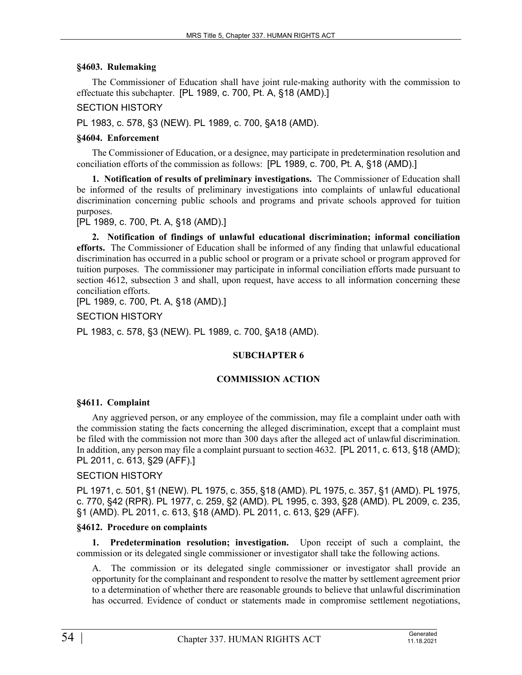#### **§4603. Rulemaking**

The Commissioner of Education shall have joint rule-making authority with the commission to effectuate this subchapter. [PL 1989, c. 700, Pt. A, §18 (AMD).]

# SECTION HISTORY

PL 1983, c. 578, §3 (NEW). PL 1989, c. 700, §A18 (AMD).

# **§4604. Enforcement**

The Commissioner of Education, or a designee, may participate in predetermination resolution and conciliation efforts of the commission as follows: [PL 1989, c. 700, Pt. A, §18 (AMD).]

**1. Notification of results of preliminary investigations.** The Commissioner of Education shall be informed of the results of preliminary investigations into complaints of unlawful educational discrimination concerning public schools and programs and private schools approved for tuition purposes.

[PL 1989, c. 700, Pt. A, §18 (AMD).]

**2. Notification of findings of unlawful educational discrimination; informal conciliation efforts.** The Commissioner of Education shall be informed of any finding that unlawful educational discrimination has occurred in a public school or program or a private school or program approved for tuition purposes. The commissioner may participate in informal conciliation efforts made pursuant to section 4612, subsection 3 and shall, upon request, have access to all information concerning these conciliation efforts.

[PL 1989, c. 700, Pt. A, §18 (AMD).]

SECTION HISTORY

PL 1983, c. 578, §3 (NEW). PL 1989, c. 700, §A18 (AMD).

# **SUBCHAPTER 6**

#### **COMMISSION ACTION**

#### **§4611. Complaint**

Any aggrieved person, or any employee of the commission, may file a complaint under oath with the commission stating the facts concerning the alleged discrimination, except that a complaint must be filed with the commission not more than 300 days after the alleged act of unlawful discrimination. In addition, any person may file a complaint pursuant to section 4632. [PL 2011, c. 613, §18 (AMD); PL 2011, c. 613, §29 (AFF).]

# SECTION HISTORY

PL 1971, c. 501, §1 (NEW). PL 1975, c. 355, §18 (AMD). PL 1975, c. 357, §1 (AMD). PL 1975, c. 770, §42 (RPR). PL 1977, c. 259, §2 (AMD). PL 1995, c. 393, §28 (AMD). PL 2009, c. 235, §1 (AMD). PL 2011, c. 613, §18 (AMD). PL 2011, c. 613, §29 (AFF).

# **§4612. Procedure on complaints**

**1. Predetermination resolution; investigation.** Upon receipt of such a complaint, the commission or its delegated single commissioner or investigator shall take the following actions.

A. The commission or its delegated single commissioner or investigator shall provide an opportunity for the complainant and respondent to resolve the matter by settlement agreement prior to a determination of whether there are reasonable grounds to believe that unlawful discrimination has occurred. Evidence of conduct or statements made in compromise settlement negotiations,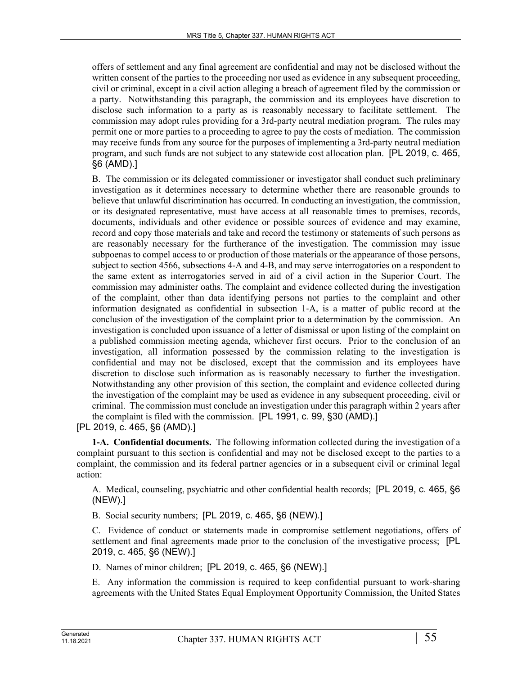offers of settlement and any final agreement are confidential and may not be disclosed without the written consent of the parties to the proceeding nor used as evidence in any subsequent proceeding, civil or criminal, except in a civil action alleging a breach of agreement filed by the commission or a party. Notwithstanding this paragraph, the commission and its employees have discretion to disclose such information to a party as is reasonably necessary to facilitate settlement. The commission may adopt rules providing for a 3rd-party neutral mediation program. The rules may permit one or more parties to a proceeding to agree to pay the costs of mediation. The commission may receive funds from any source for the purposes of implementing a 3rd-party neutral mediation program, and such funds are not subject to any statewide cost allocation plan. [PL 2019, c. 465, §6 (AMD).]

B. The commission or its delegated commissioner or investigator shall conduct such preliminary investigation as it determines necessary to determine whether there are reasonable grounds to believe that unlawful discrimination has occurred. In conducting an investigation, the commission, or its designated representative, must have access at all reasonable times to premises, records, documents, individuals and other evidence or possible sources of evidence and may examine, record and copy those materials and take and record the testimony or statements of such persons as are reasonably necessary for the furtherance of the investigation. The commission may issue subpoenas to compel access to or production of those materials or the appearance of those persons, subject to section 4566, subsections 4-A and 4-B, and may serve interrogatories on a respondent to the same extent as interrogatories served in aid of a civil action in the Superior Court. The commission may administer oaths. The complaint and evidence collected during the investigation of the complaint, other than data identifying persons not parties to the complaint and other information designated as confidential in subsection 1‑A, is a matter of public record at the conclusion of the investigation of the complaint prior to a determination by the commission. An investigation is concluded upon issuance of a letter of dismissal or upon listing of the complaint on a published commission meeting agenda, whichever first occurs. Prior to the conclusion of an investigation, all information possessed by the commission relating to the investigation is confidential and may not be disclosed, except that the commission and its employees have discretion to disclose such information as is reasonably necessary to further the investigation. Notwithstanding any other provision of this section, the complaint and evidence collected during the investigation of the complaint may be used as evidence in any subsequent proceeding, civil or criminal. The commission must conclude an investigation under this paragraph within 2 years after the complaint is filed with the commission. [PL 1991, c. 99, §30 (AMD).]

[PL 2019, c. 465, §6 (AMD).]

**1-A. Confidential documents.** The following information collected during the investigation of a complaint pursuant to this section is confidential and may not be disclosed except to the parties to a complaint, the commission and its federal partner agencies or in a subsequent civil or criminal legal action:

A. Medical, counseling, psychiatric and other confidential health records; [PL 2019, c. 465, §6 (NEW).]

B. Social security numbers; [PL 2019, c. 465, §6 (NEW).]

C. Evidence of conduct or statements made in compromise settlement negotiations, offers of settlement and final agreements made prior to the conclusion of the investigative process; [PL 2019, c. 465, §6 (NEW).]

D. Names of minor children; [PL 2019, c. 465, §6 (NEW).]

E. Any information the commission is required to keep confidential pursuant to work-sharing agreements with the United States Equal Employment Opportunity Commission, the United States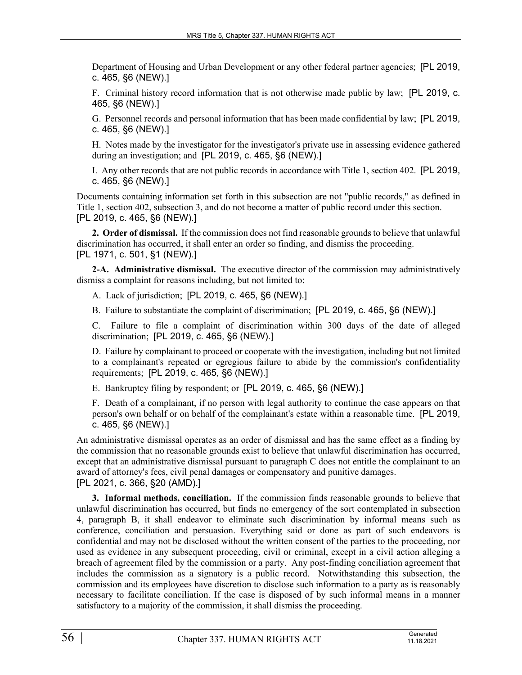Department of Housing and Urban Development or any other federal partner agencies; [PL 2019, c. 465, §6 (NEW).]

F. Criminal history record information that is not otherwise made public by law; [PL 2019, c. 465, §6 (NEW).]

G. Personnel records and personal information that has been made confidential by law; [PL 2019, c. 465, §6 (NEW).]

H. Notes made by the investigator for the investigator's private use in assessing evidence gathered during an investigation; and [PL 2019, c. 465, §6 (NEW).]

I. Any other records that are not public records in accordance with Title 1, section 402. [PL 2019, c. 465, §6 (NEW).]

Documents containing information set forth in this subsection are not "public records," as defined in Title 1, section 402, subsection 3, and do not become a matter of public record under this section. [PL 2019, c. 465, §6 (NEW).]

**2. Order of dismissal.** If the commission does not find reasonable grounds to believe that unlawful discrimination has occurred, it shall enter an order so finding, and dismiss the proceeding. [PL 1971, c. 501, §1 (NEW).]

**2-A. Administrative dismissal.** The executive director of the commission may administratively dismiss a complaint for reasons including, but not limited to:

A. Lack of jurisdiction; [PL 2019, c. 465, §6 (NEW).]

B. Failure to substantiate the complaint of discrimination; [PL 2019, c. 465, §6 (NEW).]

C. Failure to file a complaint of discrimination within 300 days of the date of alleged discrimination; [PL 2019, c. 465, §6 (NEW).]

D. Failure by complainant to proceed or cooperate with the investigation, including but not limited to a complainant's repeated or egregious failure to abide by the commission's confidentiality requirements; [PL 2019, c. 465, §6 (NEW).]

E. Bankruptcy filing by respondent; or [PL 2019, c. 465, §6 (NEW).]

F. Death of a complainant, if no person with legal authority to continue the case appears on that person's own behalf or on behalf of the complainant's estate within a reasonable time. [PL 2019, c. 465, §6 (NEW).]

An administrative dismissal operates as an order of dismissal and has the same effect as a finding by the commission that no reasonable grounds exist to believe that unlawful discrimination has occurred, except that an administrative dismissal pursuant to paragraph C does not entitle the complainant to an award of attorney's fees, civil penal damages or compensatory and punitive damages. [PL 2021, c. 366, §20 (AMD).]

**3. Informal methods, conciliation.** If the commission finds reasonable grounds to believe that unlawful discrimination has occurred, but finds no emergency of the sort contemplated in subsection 4, paragraph B, it shall endeavor to eliminate such discrimination by informal means such as conference, conciliation and persuasion. Everything said or done as part of such endeavors is confidential and may not be disclosed without the written consent of the parties to the proceeding, nor used as evidence in any subsequent proceeding, civil or criminal, except in a civil action alleging a breach of agreement filed by the commission or a party. Any post-finding conciliation agreement that includes the commission as a signatory is a public record. Notwithstanding this subsection, the commission and its employees have discretion to disclose such information to a party as is reasonably necessary to facilitate conciliation. If the case is disposed of by such informal means in a manner satisfactory to a majority of the commission, it shall dismiss the proceeding.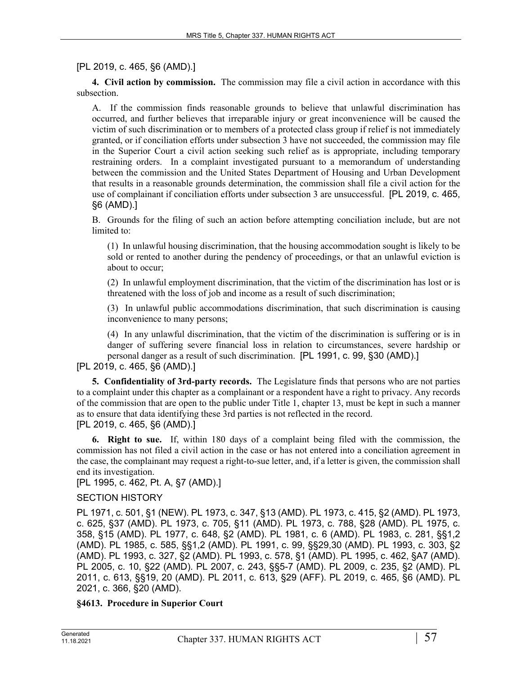# [PL 2019, c. 465, §6 (AMD).]

**4. Civil action by commission.** The commission may file a civil action in accordance with this subsection.

A. If the commission finds reasonable grounds to believe that unlawful discrimination has occurred, and further believes that irreparable injury or great inconvenience will be caused the victim of such discrimination or to members of a protected class group if relief is not immediately granted, or if conciliation efforts under subsection 3 have not succeeded, the commission may file in the Superior Court a civil action seeking such relief as is appropriate, including temporary restraining orders. In a complaint investigated pursuant to a memorandum of understanding between the commission and the United States Department of Housing and Urban Development that results in a reasonable grounds determination, the commission shall file a civil action for the use of complainant if conciliation efforts under subsection 3 are unsuccessful. [PL 2019, c. 465, §6 (AMD).]

B. Grounds for the filing of such an action before attempting conciliation include, but are not limited to:

(1) In unlawful housing discrimination, that the housing accommodation sought is likely to be sold or rented to another during the pendency of proceedings, or that an unlawful eviction is about to occur;

(2) In unlawful employment discrimination, that the victim of the discrimination has lost or is threatened with the loss of job and income as a result of such discrimination;

(3) In unlawful public accommodations discrimination, that such discrimination is causing inconvenience to many persons;

(4) In any unlawful discrimination, that the victim of the discrimination is suffering or is in danger of suffering severe financial loss in relation to circumstances, severe hardship or personal danger as a result of such discrimination. [PL 1991, c. 99, §30 (AMD).]

# [PL 2019, c. 465, §6 (AMD).]

**5. Confidentiality of 3rd-party records.** The Legislature finds that persons who are not parties to a complaint under this chapter as a complainant or a respondent have a right to privacy. Any records of the commission that are open to the public under Title 1, chapter 13, must be kept in such a manner as to ensure that data identifying these 3rd parties is not reflected in the record. [PL 2019, c. 465, §6 (AMD).]

**6. Right to sue.** If, within 180 days of a complaint being filed with the commission, the commission has not filed a civil action in the case or has not entered into a conciliation agreement in the case, the complainant may request a right-to-sue letter, and, if a letter is given, the commission shall end its investigation.

[PL 1995, c. 462, Pt. A, §7 (AMD).]

# SECTION HISTORY

PL 1971, c. 501, §1 (NEW). PL 1973, c. 347, §13 (AMD). PL 1973, c. 415, §2 (AMD). PL 1973, c. 625, §37 (AMD). PL 1973, c. 705, §11 (AMD). PL 1973, c. 788, §28 (AMD). PL 1975, c. 358, §15 (AMD). PL 1977, c. 648, §2 (AMD). PL 1981, c. 6 (AMD). PL 1983, c. 281, §§1,2 (AMD). PL 1985, c. 585, §§1,2 (AMD). PL 1991, c. 99, §§29,30 (AMD). PL 1993, c. 303, §2 (AMD). PL 1993, c. 327, §2 (AMD). PL 1993, c. 578, §1 (AMD). PL 1995, c. 462, §A7 (AMD). PL 2005, c. 10, §22 (AMD). PL 2007, c. 243, §§5-7 (AMD). PL 2009, c. 235, §2 (AMD). PL 2011, c. 613, §§19, 20 (AMD). PL 2011, c. 613, §29 (AFF). PL 2019, c. 465, §6 (AMD). PL 2021, c. 366, §20 (AMD).

#### **§4613. Procedure in Superior Court**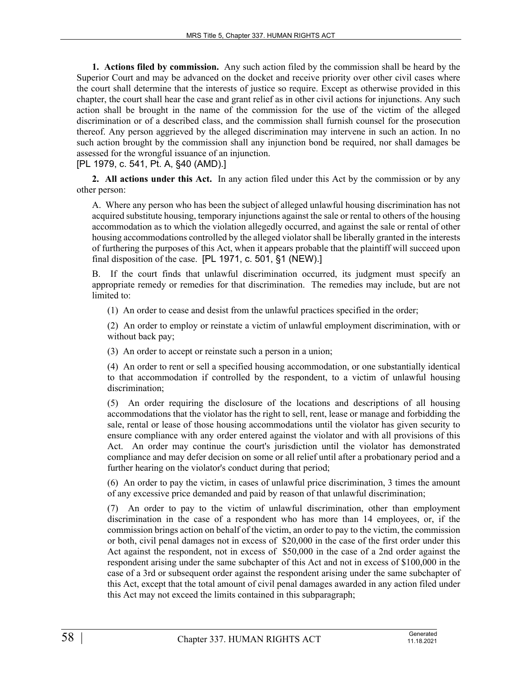**1. Actions filed by commission.** Any such action filed by the commission shall be heard by the Superior Court and may be advanced on the docket and receive priority over other civil cases where the court shall determine that the interests of justice so require. Except as otherwise provided in this chapter, the court shall hear the case and grant relief as in other civil actions for injunctions. Any such action shall be brought in the name of the commission for the use of the victim of the alleged discrimination or of a described class, and the commission shall furnish counsel for the prosecution thereof. Any person aggrieved by the alleged discrimination may intervene in such an action. In no such action brought by the commission shall any injunction bond be required, nor shall damages be assessed for the wrongful issuance of an injunction.

[PL 1979, c. 541, Pt. A, §40 (AMD).]

**2. All actions under this Act.** In any action filed under this Act by the commission or by any other person:

A. Where any person who has been the subject of alleged unlawful housing discrimination has not acquired substitute housing, temporary injunctions against the sale or rental to others of the housing accommodation as to which the violation allegedly occurred, and against the sale or rental of other housing accommodations controlled by the alleged violator shall be liberally granted in the interests of furthering the purposes of this Act, when it appears probable that the plaintiff will succeed upon final disposition of the case. [PL 1971, c. 501, §1 (NEW).]

B. If the court finds that unlawful discrimination occurred, its judgment must specify an appropriate remedy or remedies for that discrimination. The remedies may include, but are not limited to:

(1) An order to cease and desist from the unlawful practices specified in the order;

(2) An order to employ or reinstate a victim of unlawful employment discrimination, with or without back pay;

(3) An order to accept or reinstate such a person in a union;

(4) An order to rent or sell a specified housing accommodation, or one substantially identical to that accommodation if controlled by the respondent, to a victim of unlawful housing discrimination;

(5) An order requiring the disclosure of the locations and descriptions of all housing accommodations that the violator has the right to sell, rent, lease or manage and forbidding the sale, rental or lease of those housing accommodations until the violator has given security to ensure compliance with any order entered against the violator and with all provisions of this Act. An order may continue the court's jurisdiction until the violator has demonstrated compliance and may defer decision on some or all relief until after a probationary period and a further hearing on the violator's conduct during that period;

(6) An order to pay the victim, in cases of unlawful price discrimination, 3 times the amount of any excessive price demanded and paid by reason of that unlawful discrimination;

(7) An order to pay to the victim of unlawful discrimination, other than employment discrimination in the case of a respondent who has more than 14 employees, or, if the commission brings action on behalf of the victim, an order to pay to the victim, the commission or both, civil penal damages not in excess of \$20,000 in the case of the first order under this Act against the respondent, not in excess of \$50,000 in the case of a 2nd order against the respondent arising under the same subchapter of this Act and not in excess of \$100,000 in the case of a 3rd or subsequent order against the respondent arising under the same subchapter of this Act, except that the total amount of civil penal damages awarded in any action filed under this Act may not exceed the limits contained in this subparagraph;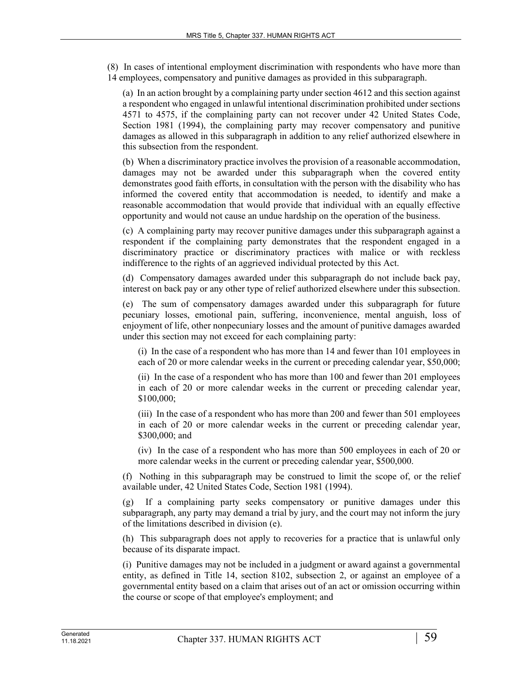(8) In cases of intentional employment discrimination with respondents who have more than 14 employees, compensatory and punitive damages as provided in this subparagraph.

(a) In an action brought by a complaining party under section 4612 and this section against a respondent who engaged in unlawful intentional discrimination prohibited under sections 4571 to 4575, if the complaining party can not recover under 42 United States Code, Section 1981 (1994), the complaining party may recover compensatory and punitive damages as allowed in this subparagraph in addition to any relief authorized elsewhere in this subsection from the respondent.

(b) When a discriminatory practice involves the provision of a reasonable accommodation, damages may not be awarded under this subparagraph when the covered entity demonstrates good faith efforts, in consultation with the person with the disability who has informed the covered entity that accommodation is needed, to identify and make a reasonable accommodation that would provide that individual with an equally effective opportunity and would not cause an undue hardship on the operation of the business.

(c) A complaining party may recover punitive damages under this subparagraph against a respondent if the complaining party demonstrates that the respondent engaged in a discriminatory practice or discriminatory practices with malice or with reckless indifference to the rights of an aggrieved individual protected by this Act.

(d) Compensatory damages awarded under this subparagraph do not include back pay, interest on back pay or any other type of relief authorized elsewhere under this subsection.

(e) The sum of compensatory damages awarded under this subparagraph for future pecuniary losses, emotional pain, suffering, inconvenience, mental anguish, loss of enjoyment of life, other nonpecuniary losses and the amount of punitive damages awarded under this section may not exceed for each complaining party:

(i) In the case of a respondent who has more than 14 and fewer than 101 employees in each of 20 or more calendar weeks in the current or preceding calendar year, \$50,000;

(ii) In the case of a respondent who has more than 100 and fewer than 201 employees in each of 20 or more calendar weeks in the current or preceding calendar year, \$100,000;

(iii) In the case of a respondent who has more than 200 and fewer than 501 employees in each of 20 or more calendar weeks in the current or preceding calendar year, \$300,000; and

(iv) In the case of a respondent who has more than 500 employees in each of 20 or more calendar weeks in the current or preceding calendar year, \$500,000.

(f) Nothing in this subparagraph may be construed to limit the scope of, or the relief available under, 42 United States Code, Section 1981 (1994).

(g) If a complaining party seeks compensatory or punitive damages under this subparagraph, any party may demand a trial by jury, and the court may not inform the jury of the limitations described in division (e).

(h) This subparagraph does not apply to recoveries for a practice that is unlawful only because of its disparate impact.

(i) Punitive damages may not be included in a judgment or award against a governmental entity, as defined in Title 14, section 8102, subsection 2, or against an employee of a governmental entity based on a claim that arises out of an act or omission occurring within the course or scope of that employee's employment; and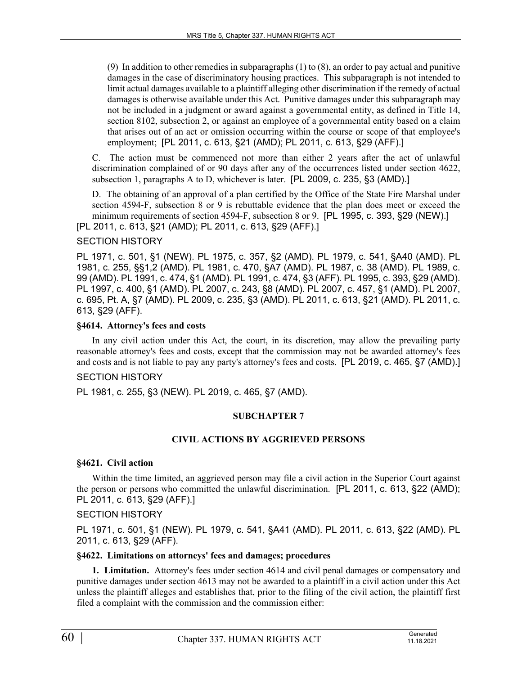(9) In addition to other remedies in subparagraphs (1) to (8), an order to pay actual and punitive damages in the case of discriminatory housing practices. This subparagraph is not intended to limit actual damages available to a plaintiff alleging other discrimination if the remedy of actual damages is otherwise available under this Act. Punitive damages under this subparagraph may not be included in a judgment or award against a governmental entity, as defined in Title 14, section 8102, subsection 2, or against an employee of a governmental entity based on a claim that arises out of an act or omission occurring within the course or scope of that employee's employment; [PL 2011, c. 613, §21 (AMD); PL 2011, c. 613, §29 (AFF).]

C. The action must be commenced not more than either 2 years after the act of unlawful discrimination complained of or 90 days after any of the occurrences listed under section 4622, subsection 1, paragraphs A to D, whichever is later. [PL 2009, c. 235, §3 (AMD).]

D. The obtaining of an approval of a plan certified by the Office of the State Fire Marshal under section 4594‑F, subsection 8 or 9 is rebuttable evidence that the plan does meet or exceed the minimum requirements of section 4594-F, subsection 8 or 9. [PL 1995, c. 393, §29 (NEW).] [PL 2011, c. 613, §21 (AMD); PL 2011, c. 613, §29 (AFF).]

# SECTION HISTORY

PL 1971, c. 501, §1 (NEW). PL 1975, c. 357, §2 (AMD). PL 1979, c. 541, §A40 (AMD). PL 1981, c. 255, §§1,2 (AMD). PL 1981, c. 470, §A7 (AMD). PL 1987, c. 38 (AMD). PL 1989, c. 99 (AMD). PL 1991, c. 474, §1 (AMD). PL 1991, c. 474, §3 (AFF). PL 1995, c. 393, §29 (AMD). PL 1997, c. 400, §1 (AMD). PL 2007, c. 243, §8 (AMD). PL 2007, c. 457, §1 (AMD). PL 2007, c. 695, Pt. A, §7 (AMD). PL 2009, c. 235, §3 (AMD). PL 2011, c. 613, §21 (AMD). PL 2011, c. 613, §29 (AFF).

#### **§4614. Attorney's fees and costs**

In any civil action under this Act, the court, in its discretion, may allow the prevailing party reasonable attorney's fees and costs, except that the commission may not be awarded attorney's fees and costs and is not liable to pay any party's attorney's fees and costs. [PL 2019, c. 465, §7 (AMD).]

#### SECTION HISTORY

PL 1981, c. 255, §3 (NEW). PL 2019, c. 465, §7 (AMD).

#### **SUBCHAPTER 7**

#### **CIVIL ACTIONS BY AGGRIEVED PERSONS**

#### **§4621. Civil action**

Within the time limited, an aggrieved person may file a civil action in the Superior Court against the person or persons who committed the unlawful discrimination. [PL 2011, c. 613, §22 (AMD); PL 2011, c. 613, §29 (AFF).]

#### SECTION HISTORY

PL 1971, c. 501, §1 (NEW). PL 1979, c. 541, §A41 (AMD). PL 2011, c. 613, §22 (AMD). PL 2011, c. 613, §29 (AFF).

#### **§4622. Limitations on attorneys' fees and damages; procedures**

**1. Limitation.** Attorney's fees under section 4614 and civil penal damages or compensatory and punitive damages under section 4613 may not be awarded to a plaintiff in a civil action under this Act unless the plaintiff alleges and establishes that, prior to the filing of the civil action, the plaintiff first filed a complaint with the commission and the commission either: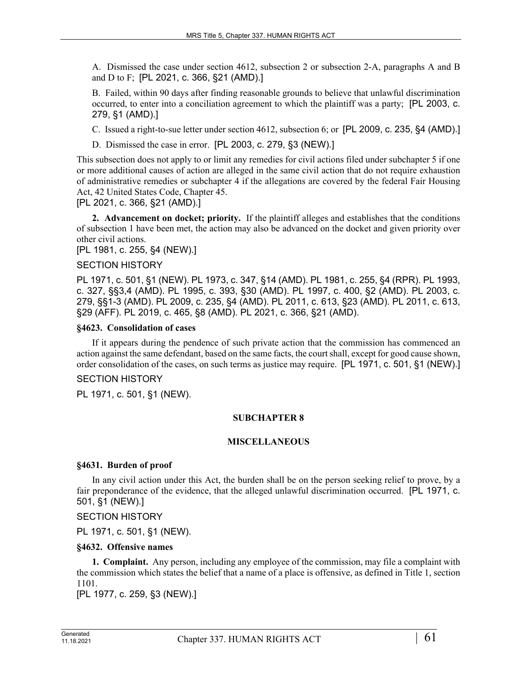A. Dismissed the case under section 4612, subsection 2 or subsection 2-A, paragraphs A and B and D to F; [PL 2021, c. 366, §21 (AMD).]

B. Failed, within 90 days after finding reasonable grounds to believe that unlawful discrimination occurred, to enter into a conciliation agreement to which the plaintiff was a party; [PL 2003, c. 279, §1 (AMD).]

C. Issued a right-to-sue letter under section 4612, subsection 6; or [PL 2009, c. 235, §4 (AMD).]

D. Dismissed the case in error. [PL 2003, c. 279, §3 (NEW).]

This subsection does not apply to or limit any remedies for civil actions filed under subchapter 5 if one or more additional causes of action are alleged in the same civil action that do not require exhaustion of administrative remedies or subchapter 4 if the allegations are covered by the federal Fair Housing Act, 42 United States Code, Chapter 45.

[PL 2021, c. 366, §21 (AMD).]

**2. Advancement on docket; priority.** If the plaintiff alleges and establishes that the conditions of subsection 1 have been met, the action may also be advanced on the docket and given priority over other civil actions.

[PL 1981, c. 255, §4 (NEW).]

#### SECTION HISTORY

PL 1971, c. 501, §1 (NEW). PL 1973, c. 347, §14 (AMD). PL 1981, c. 255, §4 (RPR). PL 1993, c. 327, §§3,4 (AMD). PL 1995, c. 393, §30 (AMD). PL 1997, c. 400, §2 (AMD). PL 2003, c. 279, §§1-3 (AMD). PL 2009, c. 235, §4 (AMD). PL 2011, c. 613, §23 (AMD). PL 2011, c. 613, §29 (AFF). PL 2019, c. 465, §8 (AMD). PL 2021, c. 366, §21 (AMD).

#### **§4623. Consolidation of cases**

If it appears during the pendence of such private action that the commission has commenced an action against the same defendant, based on the same facts, the court shall, except for good cause shown, order consolidation of the cases, on such terms as justice may require. [PL 1971, c. 501, §1 (NEW).]

# SECTION HISTORY

PL 1971, c. 501, §1 (NEW).

#### **SUBCHAPTER 8**

#### **MISCELLANEOUS**

#### **§4631. Burden of proof**

In any civil action under this Act, the burden shall be on the person seeking relief to prove, by a fair preponderance of the evidence, that the alleged unlawful discrimination occurred. [PL 1971, c. 501, §1 (NEW).]

#### SECTION HISTORY

PL 1971, c. 501, §1 (NEW).

#### **§4632. Offensive names**

**1. Complaint.** Any person, including any employee of the commission, may file a complaint with the commission which states the belief that a name of a place is offensive, as defined in Title 1, section 1101.

[PL 1977, c. 259, §3 (NEW).]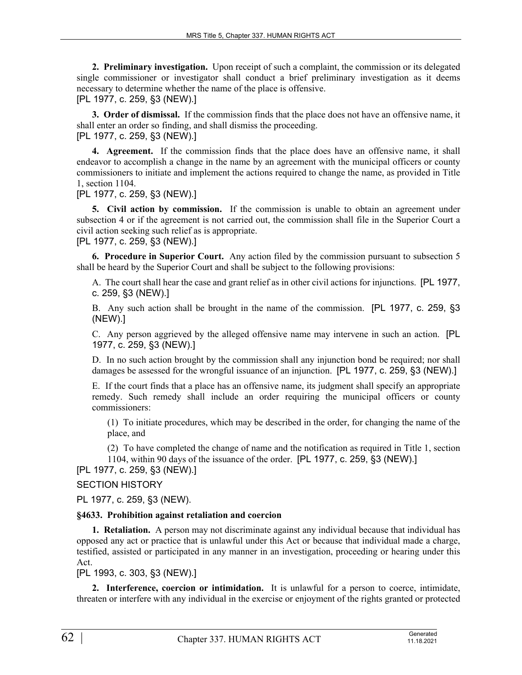**2. Preliminary investigation.** Upon receipt of such a complaint, the commission or its delegated single commissioner or investigator shall conduct a brief preliminary investigation as it deems necessary to determine whether the name of the place is offensive. [PL 1977, c. 259, §3 (NEW).]

**3. Order of dismissal.** If the commission finds that the place does not have an offensive name, it shall enter an order so finding, and shall dismiss the proceeding.

[PL 1977, c. 259, §3 (NEW).]

**4. Agreement.** If the commission finds that the place does have an offensive name, it shall endeavor to accomplish a change in the name by an agreement with the municipal officers or county commissioners to initiate and implement the actions required to change the name, as provided in Title 1, section 1104.

[PL 1977, c. 259, §3 (NEW).]

**5. Civil action by commission.** If the commission is unable to obtain an agreement under subsection 4 or if the agreement is not carried out, the commission shall file in the Superior Court a civil action seeking such relief as is appropriate.

[PL 1977, c. 259, §3 (NEW).]

**6. Procedure in Superior Court.** Any action filed by the commission pursuant to subsection 5 shall be heard by the Superior Court and shall be subject to the following provisions:

A. The court shall hear the case and grant relief as in other civil actions for injunctions. [PL 1977, c. 259, §3 (NEW).]

B. Any such action shall be brought in the name of the commission. [PL 1977, c. 259, §3 (NEW).]

C. Any person aggrieved by the alleged offensive name may intervene in such an action. [PL 1977, c. 259, §3 (NEW).]

D. In no such action brought by the commission shall any injunction bond be required; nor shall damages be assessed for the wrongful issuance of an injunction. [PL 1977, c. 259, §3 (NEW).]

E. If the court finds that a place has an offensive name, its judgment shall specify an appropriate remedy. Such remedy shall include an order requiring the municipal officers or county commissioners:

(1) To initiate procedures, which may be described in the order, for changing the name of the place, and

(2) To have completed the change of name and the notification as required in Title 1, section 1104, within 90 days of the issuance of the order. [PL 1977, c. 259, §3 (NEW).]

[PL 1977, c. 259, §3 (NEW).]

# SECTION HISTORY

PL 1977, c. 259, §3 (NEW).

#### **§4633. Prohibition against retaliation and coercion**

**1. Retaliation.** A person may not discriminate against any individual because that individual has opposed any act or practice that is unlawful under this Act or because that individual made a charge, testified, assisted or participated in any manner in an investigation, proceeding or hearing under this Act.

[PL 1993, c. 303, §3 (NEW).]

**2. Interference, coercion or intimidation.** It is unlawful for a person to coerce, intimidate, threaten or interfere with any individual in the exercise or enjoyment of the rights granted or protected